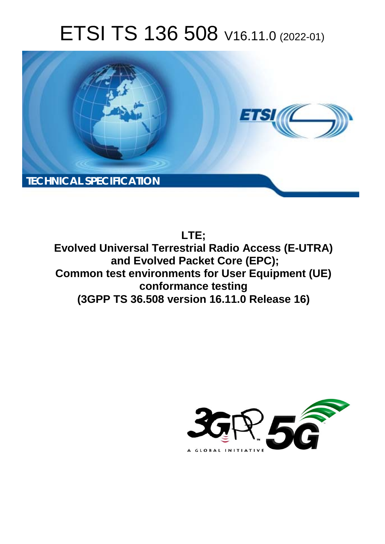# ETSI TS 136 508 V16.11.0 (2022-01)



**LTE;**

**Evolved Universal Terrestrial Radio Access (E-UTRA) and Evolved Packet Core (EPC); Common test environments for User Equipment (UE) conformance testing (3GPP TS 36.508 version 16.11.0 Release 16)** 

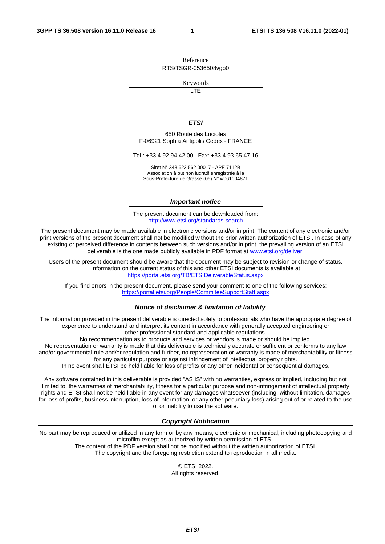Reference RTS/TSGR-0536508vgb0

Keywords

**LTE** 

### *ETSI*

650 Route des Lucioles F-06921 Sophia Antipolis Cedex - FRANCE

Tel.: +33 4 92 94 42 00 Fax: +33 4 93 65 47 16

Siret N° 348 623 562 00017 - APE 7112B Association à but non lucratif enregistrée à la Sous-Préfecture de Grasse (06) N° w061004871

### *Important notice*

The present document can be downloaded from: <http://www.etsi.org/standards-search>

The present document may be made available in electronic versions and/or in print. The content of any electronic and/or print versions of the present document shall not be modified without the prior written authorization of ETSI. In case of any existing or perceived difference in contents between such versions and/or in print, the prevailing version of an ETSI deliverable is the one made publicly available in PDF format at [www.etsi.org/deliver](http://www.etsi.org/deliver).

Users of the present document should be aware that the document may be subject to revision or change of status. Information on the current status of this and other ETSI documents is available at <https://portal.etsi.org/TB/ETSIDeliverableStatus.aspx>

If you find errors in the present document, please send your comment to one of the following services: <https://portal.etsi.org/People/CommiteeSupportStaff.aspx>

### *Notice of disclaimer & limitation of liability*

The information provided in the present deliverable is directed solely to professionals who have the appropriate degree of experience to understand and interpret its content in accordance with generally accepted engineering or other professional standard and applicable regulations.

No recommendation as to products and services or vendors is made or should be implied.

No representation or warranty is made that this deliverable is technically accurate or sufficient or conforms to any law and/or governmental rule and/or regulation and further, no representation or warranty is made of merchantability or fitness for any particular purpose or against infringement of intellectual property rights.

In no event shall ETSI be held liable for loss of profits or any other incidental or consequential damages.

Any software contained in this deliverable is provided "AS IS" with no warranties, express or implied, including but not limited to, the warranties of merchantability, fitness for a particular purpose and non-infringement of intellectual property rights and ETSI shall not be held liable in any event for any damages whatsoever (including, without limitation, damages for loss of profits, business interruption, loss of information, or any other pecuniary loss) arising out of or related to the use of or inability to use the software.

### *Copyright Notification*

No part may be reproduced or utilized in any form or by any means, electronic or mechanical, including photocopying and microfilm except as authorized by written permission of ETSI. The content of the PDF version shall not be modified without the written authorization of ETSI.

The copyright and the foregoing restriction extend to reproduction in all media.

© ETSI 2022. All rights reserved.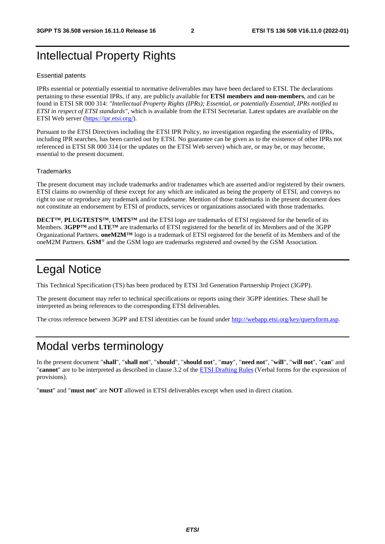## Intellectual Property Rights

### Essential patents

IPRs essential or potentially essential to normative deliverables may have been declared to ETSI. The declarations pertaining to these essential IPRs, if any, are publicly available for **ETSI members and non-members**, and can be found in ETSI SR 000 314: *"Intellectual Property Rights (IPRs); Essential, or potentially Essential, IPRs notified to ETSI in respect of ETSI standards"*, which is available from the ETSI Secretariat. Latest updates are available on the ETSI Web server ([https://ipr.etsi.org/\)](https://ipr.etsi.org/).

Pursuant to the ETSI Directives including the ETSI IPR Policy, no investigation regarding the essentiality of IPRs, including IPR searches, has been carried out by ETSI. No guarantee can be given as to the existence of other IPRs not referenced in ETSI SR 000 314 (or the updates on the ETSI Web server) which are, or may be, or may become, essential to the present document.

### **Trademarks**

The present document may include trademarks and/or tradenames which are asserted and/or registered by their owners. ETSI claims no ownership of these except for any which are indicated as being the property of ETSI, and conveys no right to use or reproduce any trademark and/or tradename. Mention of those trademarks in the present document does not constitute an endorsement by ETSI of products, services or organizations associated with those trademarks.

**DECT™**, **PLUGTESTS™**, **UMTS™** and the ETSI logo are trademarks of ETSI registered for the benefit of its Members. **3GPP™** and **LTE™** are trademarks of ETSI registered for the benefit of its Members and of the 3GPP Organizational Partners. **oneM2M™** logo is a trademark of ETSI registered for the benefit of its Members and of the oneM2M Partners. **GSM**® and the GSM logo are trademarks registered and owned by the GSM Association.

### Legal Notice

This Technical Specification (TS) has been produced by ETSI 3rd Generation Partnership Project (3GPP).

The present document may refer to technical specifications or reports using their 3GPP identities. These shall be interpreted as being references to the corresponding ETSI deliverables.

The cross reference between 3GPP and ETSI identities can be found under<http://webapp.etsi.org/key/queryform.asp>.

### Modal verbs terminology

In the present document "**shall**", "**shall not**", "**should**", "**should not**", "**may**", "**need not**", "**will**", "**will not**", "**can**" and "**cannot**" are to be interpreted as described in clause 3.2 of the [ETSI Drafting Rules](https://portal.etsi.org/Services/editHelp!/Howtostart/ETSIDraftingRules.aspx) (Verbal forms for the expression of provisions).

"**must**" and "**must not**" are **NOT** allowed in ETSI deliverables except when used in direct citation.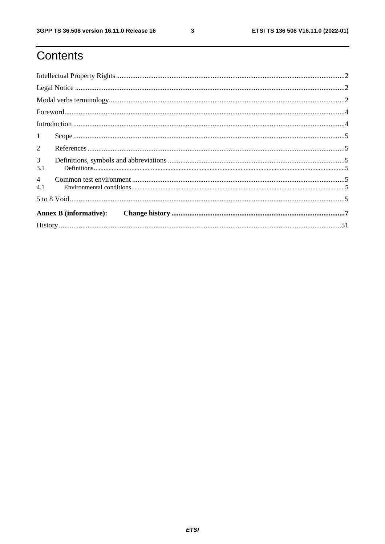$\mathbf{3}$ 

## Contents

| $\mathbf{1}$          |                               |  |
|-----------------------|-------------------------------|--|
| $\overline{2}$        |                               |  |
| 3<br>3.1              |                               |  |
| $\overline{4}$<br>4.1 |                               |  |
|                       |                               |  |
|                       | <b>Annex B</b> (informative): |  |
|                       |                               |  |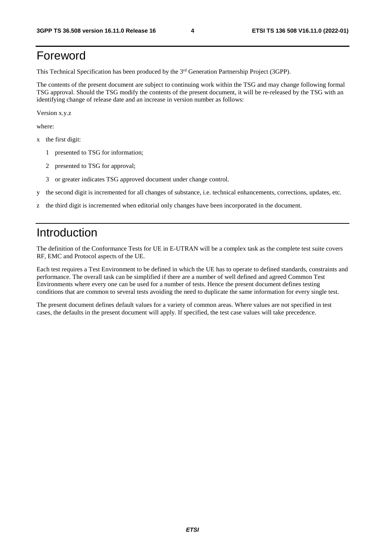## Foreword

This Technical Specification has been produced by the 3rd Generation Partnership Project (3GPP).

The contents of the present document are subject to continuing work within the TSG and may change following formal TSG approval. Should the TSG modify the contents of the present document, it will be re-released by the TSG with an identifying change of release date and an increase in version number as follows:

Version x.y.z

where:

- x the first digit:
	- 1 presented to TSG for information;
	- 2 presented to TSG for approval;
	- 3 or greater indicates TSG approved document under change control.
- y the second digit is incremented for all changes of substance, i.e. technical enhancements, corrections, updates, etc.
- z the third digit is incremented when editorial only changes have been incorporated in the document.

### Introduction

The definition of the Conformance Tests for UE in E-UTRAN will be a complex task as the complete test suite covers RF, EMC and Protocol aspects of the UE.

Each test requires a Test Environment to be defined in which the UE has to operate to defined standards, constraints and performance. The overall task can be simplified if there are a number of well defined and agreed Common Test Environments where every one can be used for a number of tests. Hence the present document defines testing conditions that are common to several tests avoiding the need to duplicate the same information for every single test.

The present document defines default values for a variety of common areas. Where values are not specified in test cases, the defaults in the present document will apply. If specified, the test case values will take precedence.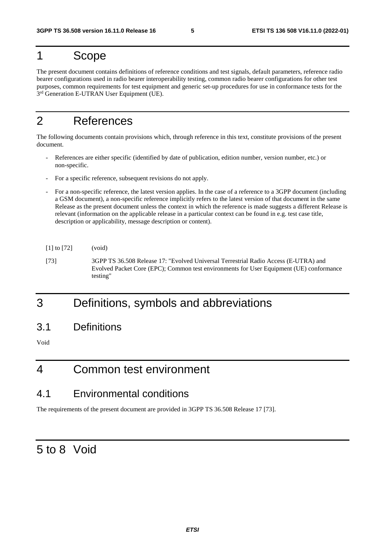### 1 Scope

The present document contains definitions of reference conditions and test signals, default parameters, reference radio bearer configurations used in radio bearer interoperability testing, common radio bearer configurations for other test purposes, common requirements for test equipment and generic set-up procedures for use in conformance tests for the  $3<sup>rd</sup>$  Generation E-UTRAN User Equipment (UE).

## 2 References

The following documents contain provisions which, through reference in this text, constitute provisions of the present document.

- References are either specific (identified by date of publication, edition number, version number, etc.) or non-specific.
- For a specific reference, subsequent revisions do not apply.
- For a non-specific reference, the latest version applies. In the case of a reference to a 3GPP document (including a GSM document), a non-specific reference implicitly refers to the latest version of that document in the same Release as the present document unless the context in which the reference is made suggests a different Release is relevant (information on the applicable release in a particular context can be found in e.g. test case title, description or applicability, message description or content).

### [1] to [72] (void)

[73] 3GPP TS 36.508 Release 17: "Evolved Universal Terrestrial Radio Access (E-UTRA) and Evolved Packet Core (EPC); Common test environments for User Equipment (UE) conformance testing"

## 3 Definitions, symbols and abbreviations

### 3.1 Definitions

Void

### 4 Common test environment

### 4.1 Environmental conditions

The requirements of the present document are provided in 3GPP TS 36.508 Release 17 [73].

### 5 to 8 Void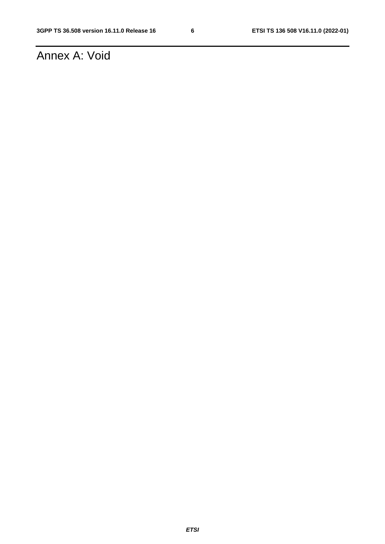## Annex A: Void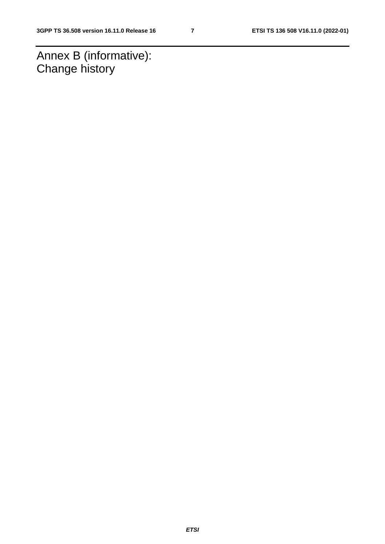Annex B (informative): Change history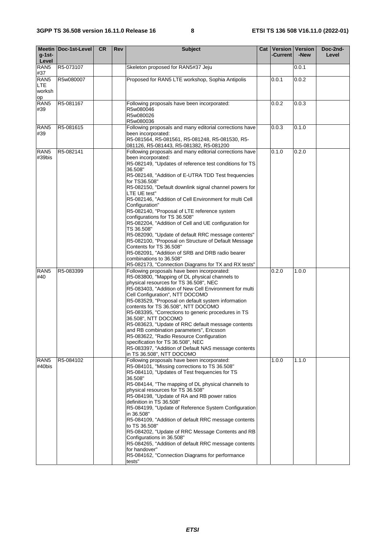| $q-1$ st-<br>Level                       | Meetin   Doc-1st-Level | <b>CR</b> | <b>Rev</b> | <b>Subject</b>                                                                                                                                                                                                                                                                                                                                                                                                                                                                                                                                                                                                                                                                                                                                                                                                              | Cat | -Current | Version   Version<br>-New | Doc-2nd-<br>Level |
|------------------------------------------|------------------------|-----------|------------|-----------------------------------------------------------------------------------------------------------------------------------------------------------------------------------------------------------------------------------------------------------------------------------------------------------------------------------------------------------------------------------------------------------------------------------------------------------------------------------------------------------------------------------------------------------------------------------------------------------------------------------------------------------------------------------------------------------------------------------------------------------------------------------------------------------------------------|-----|----------|---------------------------|-------------------|
| RAN <sub>5</sub><br>#37                  | R5-073107              |           |            | Skeleton proposed for RAN5#37 Jeju                                                                                                                                                                                                                                                                                                                                                                                                                                                                                                                                                                                                                                                                                                                                                                                          |     |          | 0.0.1                     |                   |
| RAN <sub>5</sub><br>LTE.<br>worksh<br>op | R5w080007              |           |            | Proposed for RAN5 LTE workshop, Sophia Antipolis                                                                                                                                                                                                                                                                                                                                                                                                                                                                                                                                                                                                                                                                                                                                                                            |     | 0.0.1    | 0.0.2                     |                   |
| RAN <sub>5</sub><br>#39                  | R5-081167              |           |            | Following proposals have been incorporated:<br>R5w080046<br>R5w080026<br>R5w080036                                                                                                                                                                                                                                                                                                                                                                                                                                                                                                                                                                                                                                                                                                                                          |     | 0.0.2    | 0.0.3                     |                   |
| RAN <sub>5</sub><br>#39                  | R5-081615              |           |            | Following proposals and many editorial corrections have<br>been incorporated:<br>R5-081564, R5-081561, R5-081248, R5-081530, R5-<br>081126, R5-081443, R5-081382, R5-081200                                                                                                                                                                                                                                                                                                                                                                                                                                                                                                                                                                                                                                                 |     | 0.0.3    | 0.1.0                     |                   |
| RAN <sub>5</sub><br>#39bis               | R5-082141              |           |            | Following proposals and many editorial corrections have<br>been incorporated:<br>R5-082149, "Updates of reference test conditions for TS<br>36.508"<br>R5-082148, "Addition of E-UTRA TDD Test frequencies<br>for TS36.508"<br>R5-082150, "Default downlink signal channel powers for<br>LTE UE test"<br>R5-082146, "Addition of Cell Environment for multi Cell<br>Configuration"<br>R5-082140, "Proposal of LTE reference system<br>configurations for TS 36.508"<br>R5-082204, "Addition of Cell and UE configuration for<br>TS 36.508"<br>R5-082090, "Update of default RRC message contents"<br>R5-082100, "Proposal on Structure of Default Message<br>Contents for TS 36.508"<br>R5-082091, "Addition of SRB and DRB radio bearer<br>combinations to 36.508"<br>R5-082173, "Connection Diagrams for TX and RX tests" |     | 0.1.0    | 0.2.0                     |                   |
| RAN <sub>5</sub><br>#40                  | R5-083399              |           |            | Following proposals have been incorporated:<br>R5-083800, "Mapping of DL physical channels to<br>physical resources for TS 36.508", NEC<br>R5-083403, "Addition of New Cell Environment for multi<br>Cell Configuration", NTT DOCOMO<br>R5-083529, "Proposal on default system information<br>contents for TS 36.508", NTT DOCOMO<br>R5-083395, "Corrections to generic procedures in TS<br>36.508", NTT DOCOMO<br>R5-083623, "Update of RRC default message contents<br>and RB combination parameters", Ericsson<br>R5-083622, "Radio Resource Configuration<br>specification for TS 36.508", NEC<br>R5-083397, "Addition of Default NAS message contents<br>in TS 36.508", NTT DOCOMO                                                                                                                                     |     | 0.2.0    | 1.0.0                     |                   |
| RAN <sub>5</sub><br>#40bis               | R5-084102              |           |            | Following proposals have been incorporated:<br>R5-084101, "Missing corrections to TS 36.508"<br>R5-084110, "Updates of Test frequencies for TS<br>36.508"<br>R5-084144, "The mapping of DL physical channels to<br>physical resources for TS 36.508"<br>R5-084198, "Update of RA and RB power ratios<br>definition in TS 36.508"<br>R5-084199, "Update of Reference System Configuration<br>in 36.508"<br>R5-084109, "Addition of default RRC message contents<br>to TS 36.508"<br>R5-084202, "Update of RRC Message Contents and RB<br>Configurations in 36.508"<br>R5-084265, "Addition of default RRC message contents<br>for handover"<br>R5-084162, "Connection Diagrams for performance<br>tests"                                                                                                                     |     | 1.0.0    | 1.1.0                     |                   |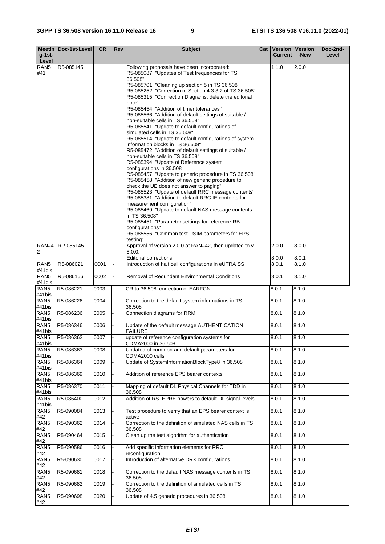| $q-1$ st-                                      | Meetin   Doc-1st-Level | <b>CR</b>    | <b>Rev</b> | <b>Subject</b>                                                                                                                                                                                                                                                                                                                                                                                                                                                                                                                                                                                                                                                                                                                                                                                                                                                                                                                                                                                                                                                                                                                                       | Cat I | -Current       | Version   Version<br>-New | Doc-2nd-<br>Level |
|------------------------------------------------|------------------------|--------------|------------|------------------------------------------------------------------------------------------------------------------------------------------------------------------------------------------------------------------------------------------------------------------------------------------------------------------------------------------------------------------------------------------------------------------------------------------------------------------------------------------------------------------------------------------------------------------------------------------------------------------------------------------------------------------------------------------------------------------------------------------------------------------------------------------------------------------------------------------------------------------------------------------------------------------------------------------------------------------------------------------------------------------------------------------------------------------------------------------------------------------------------------------------------|-------|----------------|---------------------------|-------------------|
|                                                |                        |              |            |                                                                                                                                                                                                                                                                                                                                                                                                                                                                                                                                                                                                                                                                                                                                                                                                                                                                                                                                                                                                                                                                                                                                                      |       |                |                           |                   |
| Level<br>RAN <sub>5</sub><br>#41               | R5-085145              |              |            | Following proposals have been incorporated:<br>R5-085087, "Updates of Test frequencies for TS<br>36.508"<br>R5-085701, "Cleaning up section 5 in TS 36.508"<br>R5-085252, "Correction to Section 4.3.3.2 of TS 36.508"<br>R5-085315, "Connection Diagrams: delete the editorial<br>note"<br>R5-085454, "Addition of timer tolerances"<br>R5-085566, "Addition of default settings of suitable /<br>non-suitable cells in TS 36.508"<br>R5-085541, "Update to default configurations of<br>simulated cells in TS 36.508"<br>R5-085514, "Update to default configurations of system<br>information blocks in TS 36.508"<br>R5-085472, "Addition of default settings of suitable /<br>non-suitable cells in TS 36.508"<br>R5-085394, "Update of Reference system<br>configurations in 36.508"<br>R5-085457, "Update to generic procedure in TS 36.508"<br>R5-085458, "Addition of new generic procedure to<br>check the UE does not answer to paging"<br>R5-085523, "Update of default RRC message contents"<br>R5-085381, "Addition to default RRC IE contents for<br>measurement configuration"<br>R5-085469, "Update to default NAS message contents |       | 1.1.0          | 2.0.0                     |                   |
|                                                |                        |              |            | in TS 36.508"<br>R5-085451, "Parameter settings for reference RB<br>configurations"<br>R5-085556, "Common test USIM parameters for EPS                                                                                                                                                                                                                                                                                                                                                                                                                                                                                                                                                                                                                                                                                                                                                                                                                                                                                                                                                                                                               |       |                |                           |                   |
| RAN#4<br>2                                     | RP-085145              |              |            | testing"<br>Approval of version 2.0.0 at RAN#42, then updated to v<br>8.0.0.                                                                                                                                                                                                                                                                                                                                                                                                                                                                                                                                                                                                                                                                                                                                                                                                                                                                                                                                                                                                                                                                         |       | 2.0.0          | 8.0.0                     |                   |
|                                                |                        |              |            | Editorial corrections.                                                                                                                                                                                                                                                                                                                                                                                                                                                                                                                                                                                                                                                                                                                                                                                                                                                                                                                                                                                                                                                                                                                               |       | 8.0.0          | 8.0.1                     |                   |
| RAN <sub>5</sub><br>#41bis                     | R5-086021              | 0001         |            | Introduction of half cell configurations in eUTRA SS                                                                                                                                                                                                                                                                                                                                                                                                                                                                                                                                                                                                                                                                                                                                                                                                                                                                                                                                                                                                                                                                                                 |       | 8.0.1          | 8.1.0                     |                   |
| RAN <sub>5</sub><br>#41bis                     | R5-086166              | 0002         |            | Removal of Redundant Environmental Conditions                                                                                                                                                                                                                                                                                                                                                                                                                                                                                                                                                                                                                                                                                                                                                                                                                                                                                                                                                                                                                                                                                                        |       | 8.0.1          | 8.1.0                     |                   |
| RAN <sub>5</sub><br>#41bis                     | R5-086221              | 0003         |            | CR to 36.508: correction of EARFCN                                                                                                                                                                                                                                                                                                                                                                                                                                                                                                                                                                                                                                                                                                                                                                                                                                                                                                                                                                                                                                                                                                                   |       | 8.0.1          | 8.1.0                     |                   |
| RAN <sub>5</sub><br>#41bis                     | R5-086226              | 0004         |            | Correction to the default system informations in TS<br>36.508                                                                                                                                                                                                                                                                                                                                                                                                                                                                                                                                                                                                                                                                                                                                                                                                                                                                                                                                                                                                                                                                                        |       | 8.0.1          | 8.1.0                     |                   |
| RAN <sub>5</sub><br>#41bis                     | R5-086236              | 0005         |            | Connection diagrams for RRM                                                                                                                                                                                                                                                                                                                                                                                                                                                                                                                                                                                                                                                                                                                                                                                                                                                                                                                                                                                                                                                                                                                          |       | 8.0.1          | 8.1.0                     |                   |
| RAN <sub>5</sub><br>#41bis                     | R5-086346              | 0006         |            | Update of the default message AUTHENTICATION<br><b>FAILURE</b>                                                                                                                                                                                                                                                                                                                                                                                                                                                                                                                                                                                                                                                                                                                                                                                                                                                                                                                                                                                                                                                                                       |       | 8.0.1          | 8.1.0                     |                   |
| RAN <sub>5</sub><br>#41bis                     | R5-086362              | 0007         |            | update of reference configuration systems for<br>CDMA2000 in 36.508                                                                                                                                                                                                                                                                                                                                                                                                                                                                                                                                                                                                                                                                                                                                                                                                                                                                                                                                                                                                                                                                                  |       | 8.0.1          | 8.1.0                     |                   |
| RAN <sub>5</sub><br>#41bis<br>RAN <sub>5</sub> | R5-086363<br>R5-086364 | 0008<br>0009 |            | Updated of common and default parameters for<br>CDMA2000 cells<br>Update of SystemInformationBlockType8 in 36.508                                                                                                                                                                                                                                                                                                                                                                                                                                                                                                                                                                                                                                                                                                                                                                                                                                                                                                                                                                                                                                    |       | 8.0.1          | 8.1.0<br>8.1.0            |                   |
| #41bis<br>RAN <sub>5</sub>                     | R5-086369              | 0010         |            | Addition of reference EPS bearer contexts                                                                                                                                                                                                                                                                                                                                                                                                                                                                                                                                                                                                                                                                                                                                                                                                                                                                                                                                                                                                                                                                                                            |       | 8.0.1<br>8.0.1 | 8.1.0                     |                   |
| #41bis<br>RAN <sub>5</sub>                     | R5-086370              | 0011         |            | Mapping of default DL Physical Channels for TDD in                                                                                                                                                                                                                                                                                                                                                                                                                                                                                                                                                                                                                                                                                                                                                                                                                                                                                                                                                                                                                                                                                                   |       | 8.0.1          | 8.1.0                     |                   |
| #41bis<br>RAN <sub>5</sub>                     | R5-086400              | 0012         |            | 36.508<br>Addition of RS_EPRE powers to default DL signal levels                                                                                                                                                                                                                                                                                                                                                                                                                                                                                                                                                                                                                                                                                                                                                                                                                                                                                                                                                                                                                                                                                     |       | 8.0.1          | 8.1.0                     |                   |
| #41bis<br>RAN <sub>5</sub>                     | R5-090084              | 0013         |            | Test procedure to verify that an EPS bearer context is                                                                                                                                                                                                                                                                                                                                                                                                                                                                                                                                                                                                                                                                                                                                                                                                                                                                                                                                                                                                                                                                                               |       | 8.0.1          | 8.1.0                     |                   |
| #42<br>RAN <sub>5</sub>                        | R5-090362              | 0014         |            | active<br>Correction to the definition of simulated NAS cells in TS                                                                                                                                                                                                                                                                                                                                                                                                                                                                                                                                                                                                                                                                                                                                                                                                                                                                                                                                                                                                                                                                                  |       |                | 8.1.0                     |                   |
| #42<br>RAN <sub>5</sub>                        | R5-090464              | 0015         |            | 36.508<br>Clean up the test algorithm for authentication                                                                                                                                                                                                                                                                                                                                                                                                                                                                                                                                                                                                                                                                                                                                                                                                                                                                                                                                                                                                                                                                                             |       | 8.0.1<br>8.0.1 | 8.1.0                     |                   |
| #42                                            |                        | 0016         |            | Add specific information elements for RRC                                                                                                                                                                                                                                                                                                                                                                                                                                                                                                                                                                                                                                                                                                                                                                                                                                                                                                                                                                                                                                                                                                            |       |                | 8.1.0                     |                   |
| RAN <sub>5</sub><br>#42<br>RAN <sub>5</sub>    | R5-090586              |              |            | reconfiguration<br>Introduction of alternative DRX configurations                                                                                                                                                                                                                                                                                                                                                                                                                                                                                                                                                                                                                                                                                                                                                                                                                                                                                                                                                                                                                                                                                    |       | 8.0.1          | 8.1.0                     |                   |
| #42                                            | R5-090630              | 0017         |            |                                                                                                                                                                                                                                                                                                                                                                                                                                                                                                                                                                                                                                                                                                                                                                                                                                                                                                                                                                                                                                                                                                                                                      |       | 8.0.1          |                           |                   |
| RAN <sub>5</sub><br>#42                        | R5-090681              | 0018         |            | Correction to the default NAS message contents in TS<br>36.508                                                                                                                                                                                                                                                                                                                                                                                                                                                                                                                                                                                                                                                                                                                                                                                                                                                                                                                                                                                                                                                                                       |       | 8.0.1          | 8.1.0                     |                   |
| RAN <sub>5</sub><br>#42                        | R5-090682              | 0019         |            | Correction to the definition of simulated cells in TS<br>36.508                                                                                                                                                                                                                                                                                                                                                                                                                                                                                                                                                                                                                                                                                                                                                                                                                                                                                                                                                                                                                                                                                      |       | 8.0.1          | 8.1.0                     |                   |
| RAN <sub>5</sub><br>#42                        | R5-090698              | 0020         |            | Update of 4.5 generic procedures in 36.508                                                                                                                                                                                                                                                                                                                                                                                                                                                                                                                                                                                                                                                                                                                                                                                                                                                                                                                                                                                                                                                                                                           |       | 8.0.1          | 8.1.0                     |                   |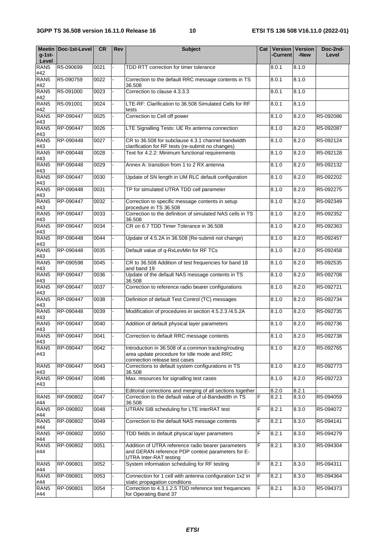|                         | Meetin   Doc-1st-Level | <b>CR</b> | Rev | <b>Subject</b>                                                                                                                      | Cat |          | Version   Version | Doc-2nd-  |
|-------------------------|------------------------|-----------|-----|-------------------------------------------------------------------------------------------------------------------------------------|-----|----------|-------------------|-----------|
| $q-1$ st-<br>Level      |                        |           |     |                                                                                                                                     |     | -Current | -New              | Level     |
| RAN <sub>5</sub>        | R5-090699              | 0021      |     | TDD RTT correction for timer tolerance                                                                                              |     | 8.0.1    | 8.1.0             |           |
| #42<br>RAN <sub>5</sub> |                        |           |     |                                                                                                                                     |     |          | 8.1.0             |           |
| #42                     | R5-090759              | 0022      |     | Correction to the default RRC message contents in TS<br>36.508                                                                      |     | 8.0.1    |                   |           |
| RAN <sub>5</sub><br>#42 | R5-091000              | 0023      |     | Correction to clause 4.3.3.3                                                                                                        |     | 8.0.1    | 8.1.0             |           |
| RAN <sub>5</sub><br>#42 | R5-091001              | 0024      |     | LTE-RF: Clarification to 36.508 Simulated Cells for RF<br>tests                                                                     |     | 8.0.1    | 8.1.0             |           |
| RAN <sub>5</sub><br>#43 | RP-090447              | 0025      |     | Correction to Cell off power                                                                                                        |     | 8.1.0    | 8.2.0             | R5-092086 |
| RAN <sub>5</sub>        | RP-090447              | 0026      |     | LTE Signalling Tests: UE Rx antenna connection                                                                                      |     | 8.1.0    | 8.2.0             | R5-092087 |
| #43<br>RAN5             | RP-090448              | 0027      |     | CR to 36.508 for subclause 4.3.1 channel bandwidth<br>clarification for RF tests (re-submit no changes)                             |     | 8.1.0    | 8.2.0             | R5-092124 |
| #43<br>RAN5<br>#43      | RP-090448              | 0028      |     | Text for 4.2.2: Minimum functional requirements                                                                                     |     | 8.1.0    | 8.2.0             | R5-092128 |
| RAN <sub>5</sub><br>#43 | RP-090448              | 0029      |     | Annex A: transition from 1 to 2 RX antenna                                                                                          |     | 8.1.0    | 8.2.0             | R5-092132 |
| RAN <sub>5</sub><br>#43 | RP-090447              | 0030      |     | Update of SN length in UM RLC default configuration                                                                                 |     | 8.1.0    | 8.2.0             | R5-092202 |
| RAN <sub>5</sub><br>#43 | RP-090448              | 0031      |     | TP for simulated UTRA TDD cell parameter                                                                                            |     | 8.1.0    | 8.2.0             | R5-092275 |
| RAN <sub>5</sub><br>#43 | RP-090447              | 0032      |     | Correction to specific message contents in setup<br>procedure in TS 36.508                                                          |     | 8.1.0    | 8.2.0             | R5-092349 |
| RAN <sub>5</sub><br>#43 | RP-090447              | 0033      |     | Correction to the definition of simulated NAS cells in TS<br>36.508                                                                 |     | 8.1.0    | 8.2.0             | R5-092352 |
| RAN <sub>5</sub>        | RP-090447              | 0034      |     | CR on 6.7 TDD Timer Tolerance in 36.508                                                                                             |     | 8.1.0    | 8.2.0             | R5-092363 |
| #43<br>RAN5<br>#43      | RP-090448              | 0044      |     | Update of 4.5.2A in 36.508 (Re-submit not change)                                                                                   |     | 8.1.0    | 8.2.0             | R5-092457 |
| RAN <sub>5</sub><br>#43 | RP-090448              | 0035      |     | Default value of q-RxLevMin for RF TCs                                                                                              |     | 8.1.0    | 8.2.0             | R5-092458 |
| RAN <sub>5</sub><br>#43 | RP-090598              | 0045      |     | CR to 36.508 Addition of test frequencies for band 18<br>and band 19                                                                |     | 8.1.0    | 8.2.0             | R5-092535 |
| RAN <sub>5</sub><br>#43 | RP-090447              | 0036      |     | Update of the default NAS message contents in TS<br>36.508                                                                          |     | 8.1.0    | 8.2.0             | R5-092708 |
| RAN <sub>5</sub><br>#43 | RP-090447              | 0037      |     | Correction to reference radio bearer configurations                                                                                 |     | 8.1.0    | 8.2.0             | R5-092721 |
| RAN <sub>5</sub><br>#43 | RP-090447              | 0038      |     | Definition of default Test Control (TC) messages                                                                                    |     | 8.1.0    | 8.2.0             | R5-092734 |
| RAN <sub>5</sub><br>#43 | RP-090448              | 0039      |     | Modification of procedures in section 4.5.2.3 /4.5.2A                                                                               |     | 8.1.0    | 8.2.0             | R5-092735 |
| RAN <sub>5</sub><br>#43 | RP-090447              | 0040      |     | Addition of default physical layer parameters                                                                                       |     | 8.1.0    | 8.2.0             | R5-092736 |
| RAN <sub>5</sub><br>#43 | RP-090447              | 0041      |     | Correction to default RRC message contents                                                                                          |     | 8.1.0    | 8.2.0             | R5-092738 |
| RAN <sub>5</sub><br>#43 | RP-090447              | 0042      |     | Introduction in 36.508 of a common tracking/routing<br>area update procedure for Idle mode and RRC<br>connection release test cases |     | 8.1.0    | 8.2.0             | R5-092765 |
| RAN <sub>5</sub><br>#43 | RP-090447              | 0043      |     | Corrections to default system configurations in TS<br>36.508                                                                        |     | 8.1.0    | 8.2.0             | R5-092773 |
| RAN <sub>5</sub><br>#43 | RP-090447              | 0046      |     | Max. resources for signalling test cases                                                                                            |     | 8.1.0    | 8.2.0             | R5-092723 |
|                         |                        |           |     | Editorial corrections and merging of all sections together                                                                          |     | 8.2.0    | 8.2.1             |           |
| RAN <sub>5</sub><br>#44 | RP-090802              | 0047      |     | Correction to the default value of ul-Bandwidth in TS<br>36.508                                                                     | F   | 8.2.1    | 8.3.0             | R5-094059 |
| RAN <sub>5</sub><br>#44 | RP-090802              | 0048      |     | UTRAN SIB scheduling for LTE interRAT test                                                                                          | F   | 8.2.1    | 8.3.0             | R5-094072 |
| RAN <sub>5</sub><br>#44 | RP-090802              | 0049      |     | Correction to the default NAS message contents                                                                                      | F   | 8.2.1    | 8.3.0             | R5-094141 |
| RAN <sub>5</sub><br>#44 | RP-090802              | 0050      |     | TDD fields in default physical layer parameters                                                                                     | F   | 8.2.1    | 8.3.0             | R5-094279 |
| RAN <sub>5</sub><br>#44 | RP-090802              | 0051      |     | Addition of UTRA reference radio bearer parameters<br>and GERAN reference PDP context parameters for E-<br>UTRA Inter-RAT testing   | F   | 8.2.1    | 8.3.0             | R5-094304 |
| RAN <sub>5</sub><br>#44 | RP-090801              | 0052      |     | System information scheduling for RF testing                                                                                        | F   | 8.2.1    | 8.3.0             | R5-094311 |
| RAN <sub>5</sub><br>#44 | RP-090801              | 0053      |     | Connection for 1 cell with antenna configuration 1x2 in<br>static propagation conditions                                            | F   | 8.2.1    | 8.3.0             | R5-094364 |
| RAN <sub>5</sub><br>#44 | RP-090801              | 0054      |     | Correction to 4.3.1.2.5 TDD reference test frequencies<br>for Operating Band 37                                                     | F   | 8.2.1    | 8.3.0             | R5-094373 |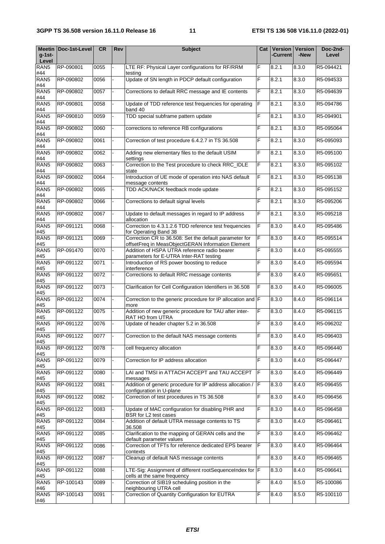| $q-1$ st-<br>Level      | Meetin   Doc-1st-Level | <b>CR</b> | Rev | <b>Subject</b>                                                                                              |    | Cat   Version   Version<br>-Current | -New  | Doc-2nd-<br>Level |
|-------------------------|------------------------|-----------|-----|-------------------------------------------------------------------------------------------------------------|----|-------------------------------------|-------|-------------------|
| RAN <sub>5</sub><br>#44 | RP-090801              | 0055      |     | LTE RF: Physical Layer configurations for RF/RRM<br>testing                                                 | F  | 8.2.1                               | 8.3.0 | R5-094421         |
| RAN <sub>5</sub><br>#44 | RP-090802              | 0056      |     | Update of SN length in PDCP default configuration                                                           | F  | 8.2.1                               | 8.3.0 | R5-094533         |
| RAN <sub>5</sub><br>#44 | RP-090802              | 0057      |     | Corrections to default RRC message and IE contents                                                          | F  | 8.2.1                               | 8.3.0 | R5-094639         |
| RAN <sub>5</sub><br>#44 | RP-090801              | 0058      |     | Update of TDD reference test frequencies for operating<br>band 40                                           | F  | 8.2.1                               | 8.3.0 | R5-094786         |
| RAN <sub>5</sub><br>#44 | RP-090810              | 0059      |     | TDD special subframe pattern update                                                                         | F  | 8.2.1                               | 8.3.0 | R5-094901         |
| RAN <sub>5</sub>        | RP-090802              | 0060      |     | corrections to reference RB configurations                                                                  | F  | 8.2.1                               | 8.3.0 | R5-095064         |
| #44<br>RAN5<br>#44      | RP-090802              | 0061      |     | Correction of test procedure 6.4.2.7 in TS 36.508                                                           | F  | 8.2.1                               | 8.3.0 | R5-095093         |
| RAN <sub>5</sub><br>#44 | RP-090802              | 0062      |     | Adding new elementary files to the default USIM<br>settings                                                 | F  | 8.2.1                               | 8.3.0 | R5-095100         |
| RAN <sub>5</sub><br>#44 | RP-090802              | 0063      |     | Correction to the Test procedure to check RRC_IDLE<br>state                                                 | F  | 8.2.1                               | 8.3.0 | R5-095102         |
| RAN <sub>5</sub><br>#44 | RP-090802              | 0064      |     | Introduction of UE mode of operation into NAS default<br>message contents                                   | F  | 8.2.1                               | 8.3.0 | R5-095138         |
| RAN <sub>5</sub><br>#44 | RP-090802              | 0065      |     | TDD ACK/NACK feedback mode update                                                                           | F  | 8.2.1                               | 8.3.0 | R5-095152         |
| RAN <sub>5</sub><br>#44 | RP-090802              | 0066      |     | Corrections to default signal levels                                                                        | F  | 8.2.1                               | 8.3.0 | R5-095206         |
| RAN <sub>5</sub><br>#44 | RP-090802              | 0067      |     | Update to default messages in regard to IP address<br>allocation                                            | F  | 8.2.1                               | 8.3.0 | R5-095218         |
| RAN <sub>5</sub><br>#45 | RP-091121              | 0068      |     | Correction to 4.3.1.2.6 TDD reference test frequencies<br>for Operating Band 38                             | F  | 8.3.0                               | 8.4.0 | R5-095486         |
| RAN <sub>5</sub><br>#45 | RP-091121              | 0069      |     | Correction CR to 36.508: Set the default parameter for<br>offsetFreq in MeasObjectGERAN Information Element | F  | 8.3.0                               | 8.4.0 | R5-095514         |
| RAN <sub>5</sub><br>#45 | RP-091470              | 0070      |     | Addition of HSPA UTRA reference radio bearer<br>parameters for E-UTRA Inter-RAT testing                     | F  | 8.3.0                               | 8.4.0 | R5-095555         |
| RAN <sub>5</sub><br>#45 | RP-091122              | 0071      |     | Introduction of RS power boosting to reduce<br>interference                                                 | F  | 8.3.0                               | 8.4.0 | R5-095594         |
| RAN <sub>5</sub><br>#45 | RP-091122              | 0072      |     | Corrections to default RRC message contents                                                                 | F  | 8.3.0                               | 8.4.0 | R5-095651         |
| RAN <sub>5</sub><br>#45 | RP-091122              | 0073      |     | Clarification for Cell Configuration Identifiers in 36.508                                                  | F  | 8.3.0                               | 8.4.0 | R5-096005         |
| RAN <sub>5</sub><br>#45 | RP-091122              | 0074      |     | Correction to the generic procedure for IP allocation and F<br>more                                         |    | 8.3.0                               | 8.4.0 | R5-096114         |
| RAN <sub>5</sub><br>#45 | RP-091122              | 0075      |     | Addition of new generic procedure for TAU after inter-<br>RAT HO from UTRA                                  | F  | 8.3.0                               | 8.4.0 | R5-096115         |
| RAN <sub>5</sub><br>#45 | RP-091122              | 0076      |     | Update of header chapter 5.2 in 36.508                                                                      | F  | 8.3.0                               | 8.4.0 | R5-096202         |
| RAN <sub>5</sub><br>#45 | RP-091122              | 0077      |     | Correction to the default NAS message contents                                                              | IF | 8.3.0                               | 8.4.0 | R5-096403         |
| RAN <sub>5</sub><br>#45 | RP-091122              | 0078      |     | cell frequency allocation                                                                                   | F  | 8.3.0                               | 8.4.0 | R5-096440         |
| RAN <sub>5</sub>        | RP-091122              | 0079      |     | Correction for IP address allocation                                                                        | F  | 8.3.0                               | 8.4.0 | R5-096447         |
| #45<br>RAN5             | RP-091122              | 0080      |     | LAI and TMSI in ATTACH ACCEPT and TAU ACCEPT<br>messages                                                    | IF | 8.3.0                               | 8.4.0 | R5-096449         |
| #45<br>RAN5<br>#45      | RP-091122              | 0081      |     | Addition of generic procedure for IP address allocation /<br>configuration in U-plane                       | F  | 8.3.0                               | 8.4.0 | R5-096455         |
| RAN <sub>5</sub><br>#45 | RP-091122              | 0082      |     | Correction of test procedures in TS 36.508                                                                  | F  | 8.3.0                               | 8.4.0 | R5-096456         |
| RAN <sub>5</sub><br>#45 | RP-091122              | 0083      |     | Update of MAC configuration for disabling PHR and<br>BSR for L2 test cases                                  | F  | 8.3.0                               | 8.4.0 | R5-096458         |
| RAN <sub>5</sub><br>#45 | RP-091122              | 0084      |     | Addition of default UTRA message contents to TS<br>36.508                                                   | F  | 8.3.0                               | 8.4.0 | R5-096461         |
| RAN <sub>5</sub><br>#45 | RP-091122              | 0085      |     | Clarification to the mapping of GERAN cells and the<br>default parameter values                             | F  | 8.3.0                               | 8.4.0 | R5-096462         |
| RAN <sub>5</sub><br>#45 | RP-091122              | 0086      |     | Correction of TFTs for reference dedicated EPS bearer<br>contexts                                           | F  | 8.3.0                               | 8.4.0 | R5-096464         |
| RAN <sub>5</sub><br>#45 | RP-091122              | 0087      |     | Cleanup of default NAS message contents                                                                     | F  | 8.3.0                               | 8.4.0 | R5-096465         |
| RAN <sub>5</sub><br>#45 | RP-091122              | 0088      |     | LTE-Sig: Assignment of different rootSequenceIndex for F<br>cells at the same frequency                     |    | 8.3.0                               | 8.4.0 | R5-096641         |
| RAN <sub>5</sub><br>#46 | RP-100143              | 0089      |     | Correction of SIB19 scheduling position in the<br>neighbouring UTRA cell                                    | F  | 8.4.0                               | 8.5.0 | R5-100086         |
| RAN <sub>5</sub><br>#46 | RP-100143              | 0091      |     | Correction of Quantity Configuration for EUTRA                                                              | F  | 8.4.0                               | 8.5.0 | R5-100110         |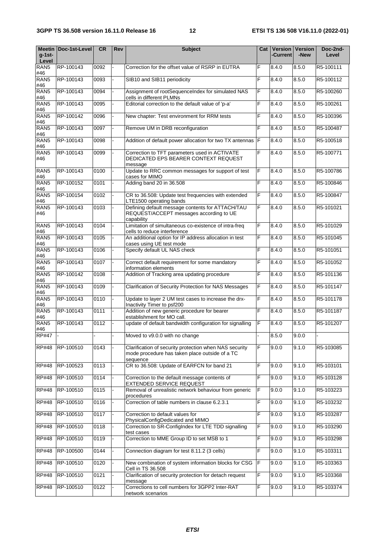| $g-1$ st-<br>Level      | <b>Meetin Doc-1st-Level</b> | <b>CR</b> | Rev | <b>Subject</b>                                                                                                       | Cat | <b>Current</b> | <b>Version   Version</b><br>-New | Doc-2nd-<br>Level |
|-------------------------|-----------------------------|-----------|-----|----------------------------------------------------------------------------------------------------------------------|-----|----------------|----------------------------------|-------------------|
| RAN <sub>5</sub><br>#46 | RP-100143                   | 0092      |     | Correction for the offset value of RSRP in EUTRA                                                                     | F   | 8.4.0          | 8.5.0                            | R5-100111         |
| RAN <sub>5</sub><br>#46 | RP-100143                   | 0093      |     | SIB10 and SIB11 periodicity                                                                                          | F   | 8.4.0          | 8.5.0                            | R5-100112         |
| RAN <sub>5</sub><br>#46 | RP-100143                   | 0094      |     | Assignment of rootSequenceIndex for simulated NAS<br>cells in different PLMNs                                        | F   | 8.4.0          | 8.5.0                            | R5-100260         |
| RAN <sub>5</sub><br>#46 | RP-100143                   | 0095      |     | Editorial correction to the default value of 'p-a'                                                                   | F   | 8.4.0          | 8.5.0                            | R5-100261         |
| RAN <sub>5</sub><br>#46 | RP-100142                   | 0096      |     | New chapter: Test environment for RRM tests                                                                          | E   | 8.4.0          | 8.5.0                            | R5-100396         |
| RAN <sub>5</sub><br>#46 | RP-100143                   | 0097      |     | Remove UM in DRB reconfiguration                                                                                     | F   | 8.4.0          | 8.5.0                            | R5-100487         |
| RAN <sub>5</sub><br>#46 | RP-100143                   | 0098      |     | Addition of default power allocation for two TX antennas  F                                                          |     | 8.4.0          | 8.5.0                            | R5-100518         |
| RAN <sub>5</sub><br>#46 | RP-100143                   | 0099      |     | Correction to TFT parameters used in ACTIVATE<br>DEDICATED EPS BEARER CONTEXT REQUEST<br>message                     | E   | 8.4.0          | 8.5.0                            | R5-100771         |
| RAN <sub>5</sub><br>#46 | RP-100143                   | 0100      |     | Update to RRC common messages for support of test<br>cases for MIMO                                                  | F   | 8.4.0          | 8.5.0                            | R5-100786         |
| RAN <sub>5</sub><br>#46 | RP-100152                   | 0101      |     | Adding band 20 in 36.508                                                                                             | F   | 8.4.0          | 8.5.0                            | R5-100846         |
| RAN <sub>5</sub><br>#46 | RP-100154                   | 0102      |     | CR to 36.508: Update test frequencies with extended<br>LTE1500 operating bands                                       | F   | 8.4.0          | 8.5.0                            | R5-100847         |
| RAN <sub>5</sub><br>#46 | RP-100143                   | 0103      |     | Defining default message contents for ATTACH/TAU<br>REQUEST/ACCEPT messages according to UE<br>capability            | F   | 8.4.0          | 8.5.0                            | R5-101021         |
| RAN <sub>5</sub><br>#46 | RP-100143                   | 0104      |     | Limitation of simultaneous co-existence of intra-freq<br>cells to reduce interference                                | F   | 8.4.0          | 8.5.0                            | R5-101029         |
| RAN <sub>5</sub><br>#46 | RP-100143                   | 0105      |     | An additional option for IP address allocation in test<br>cases using UE test mode                                   | F   | 8.4.0          | 8.5.0                            | R5-101045         |
| RAN <sub>5</sub><br>#46 | RP-100143                   | 0106      |     | Specify default UL NAS check                                                                                         | E   | 8.4.0          | 8.5.0                            | R5-101051         |
| RAN <sub>5</sub><br>#46 | RP-100143                   | 0107      |     | Correct default requirement for some mandatory<br>information elements                                               | F   | 8.4.0          | 8.5.0                            | R5-101052         |
| RAN <sub>5</sub><br>#46 | RP-100142                   | 0108      |     | Addition of Tracking area updating procedure                                                                         | F   | 8.4.0          | 8.5.0                            | R5-101136         |
| RAN <sub>5</sub><br>#46 | RP-100143                   | 0109      |     | Clarification of Security Protection for NAS Messages                                                                | F   | 8.4.0          | 8.5.0                            | R5-101147         |
| RAN <sub>5</sub><br>#46 | RP-100143                   | 0110      |     | Update to layer 2 UM test cases to increase the drx-<br>Inactivity Timer to psf200                                   | F   | 8.4.0          | 8.5.0                            | R5-101178         |
| RAN <sub>5</sub><br>#46 | RP-100143                   | 0111      |     | Addition of new generic procedure for bearer<br>establishment for MO call.                                           | F   | 8.4.0          | 8.5.0                            | R5-101187         |
| RAN <sub>5</sub><br>#46 | RP-100143                   | 0112      |     | update of default bandwidth configuration for signalling                                                             | F   | 8.4.0          | 8.5.0                            | R5-101207         |
| RP#47                   |                             |           |     | Moved to v9.0.0 with no change                                                                                       |     | 8.5.0          | 9.0.0                            |                   |
| <b>RP#48</b>            | RP-100510                   | 0143      |     | Clarification of security protection when NAS security<br>mode procedure has taken place outside of a TC<br>sequence | F   | 9.0.0          | 9.1.0                            | R5-103085         |
| <b>RP#48</b>            | RP-100523                   | 0113      |     | CR to 36.508: Update of EARFCN for band 21                                                                           | F   | 9.0.0          | 9.1.0                            | R5-103101         |
| <b>RP#48</b>            | RP-100510                   | 0114      |     | Correction to the default message contents of<br>EXTENDED SERVICE REQUEST                                            | E   | 9.0.0          | 9.1.0                            | R5-103128         |
| <b>RP#48</b>            | RP-100510                   | 0115      |     | Removal of unrealistic network behaviour from generic<br>procedures                                                  | F   | 9.0.0          | 9.1.0                            | R5-103223         |
| <b>RP#48</b>            | RP-100510                   | 0116      |     | Correction of table numbers in clause 6.2.3.1                                                                        | F   | 9.0.0          | 9.1.0                            | R5-103232         |
| <b>RP#48</b>            | RP-100510                   | 0117      |     | Correction to default values for<br>PhysicalConfigDedicated and MIMO                                                 | F   | 9.0.0          | 9.1.0                            | R5-103287         |
| <b>RP#48</b>            | RP-100510                   | 0118      |     | Correction to SR-ConfigIndex for LTE TDD signalling<br>test cases                                                    | F   | 9.0.0          | 9.1.0                            | R5-103290         |
| <b>RP#48</b>            | RP-100510                   | 0119      |     | Correction to MME Group ID to set MSB to 1                                                                           | F   | 9.0.0          | 9.1.0                            | R5-103298         |
| <b>RP#48</b>            | RP-100500                   | 0144      |     | Connection diagram for test 8.11.2 (3 cells)                                                                         | F   | 9.0.0          | 9.1.0                            | R5-103311         |
| <b>RP#48</b>            | RP-100510                   | 0120      |     | New combination of system information blocks for CSG<br>Cell in TS 36.508                                            | F   | 9.0.0          | 9.1.0                            | R5-103363         |
| <b>RP#48</b>            | RP-100510                   | 0121      |     | Clarification of security protection for detach request<br>message                                                   | F   | 9.0.0          | 9.1.0                            | R5-103368         |
| <b>RP#48</b>            | RP-100510                   | 0122      |     | Corrections to cell numbers for 3GPP2 Inter-RAT<br>network scenarios                                                 | F   | 9.0.0          | 9.1.0                            | R5-103374         |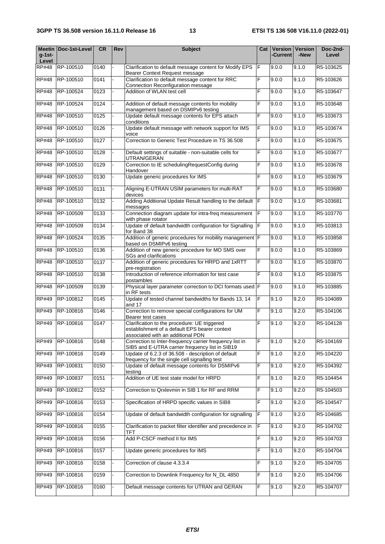| $q-1$ st-<br>Level | Meetin Doc-1st-Level | <b>CR</b> | Rev | <b>Subject</b>                                                                                                                     | Cat I | <b>Version</b><br>-Current l | <b>Version</b><br>-New | Doc-2nd-<br>Level |
|--------------------|----------------------|-----------|-----|------------------------------------------------------------------------------------------------------------------------------------|-------|------------------------------|------------------------|-------------------|
| <b>RP#48</b>       | RP-100510            | 0140      |     | Clarification to default message content for Modify EPS<br>Bearer Context Request message                                          | IF    | 9.0.0                        | 9.1.0                  | R5-103625         |
| RP#48              | RP-100510            | 0141      |     | Clarification to default message content for RRC<br>Connection Reconfiguration message                                             | F     | 9.0.0                        | 9.1.0                  | R5-103626         |
| <b>RP#48</b>       | RP-100524            | 0123      |     | Addition of WLAN test cell                                                                                                         | F     | 9.0.0                        | 9.1.0                  | R5-103647         |
| <b>RP#48</b>       | RP-100524            | 0124      |     | Addition of default message contents for mobility<br>management based on DSMIPv6 testing                                           | F     | 9.0.0                        | 9.1.0                  | R5-103648         |
| <b>RP#48</b>       | RP-100510            | 0125      |     | Update default message contents for EPS attach<br>conditions                                                                       | F     | 9.0.0                        | 9.1.0                  | R5-103673         |
| <b>RP#48</b>       | RP-100510            | 0126      |     | Update default message with network support for IMS<br>voice                                                                       | F     | 9.0.0                        | 9.1.0                  | R5-103674         |
| <b>RP#48</b>       | RP-100510            | 0127      |     | Correction to Generic Test Procedure in TS 36.508                                                                                  | F     | 9.0.0                        | 9.1.0                  | R5-103675         |
| <b>RP#48</b>       | RP-100510            | 0128      |     | Default settings of suitable - non-suitable cells for<br>UTRAN/GERAN                                                               | F     | 9.0.0                        | 9.1.0                  | R5-103677         |
| <b>RP#48</b>       | RP-100510            | 0129      |     | Correction to IE schedulingRequestConfig during<br>Handover                                                                        | F     | 9.0.0                        | 9.1.0                  | R5-103678         |
| <b>RP#48</b>       | RP-100510            | 0130      |     | Update generic procedures for IMS                                                                                                  | F     | 9.0.0                        | 9.1.0                  | R5-103679         |
| <b>RP#48</b>       | RP-100510            | 0131      |     | Aligning E-UTRAN USIM parameters for multi-RAT<br>devices                                                                          | F     | 9.0.0                        | 9.1.0                  | R5-103680         |
| <b>RP#48</b>       | RP-100510            | 0132      |     | Adding Additional Update Result handling to the default<br>messages                                                                | F     | 9.0.0                        | 9.1.0                  | R5-103681         |
| <b>RP#48</b>       | RP-100509            | 0133      |     | Connection diagram update for intra-freq measurement<br>with phase rotator                                                         | F     | 9.0.0                        | 9.1.0                  | R5-103770         |
| <b>RP#48</b>       | RP-100509            | 0134      |     | Update of default bandwidth configuration for Signalling<br>for Band 38                                                            | IF    | 9.0.0                        | 9.1.0                  | R5-103813         |
| <b>RP#48</b>       | RP-100524            | 0135      |     | Addition of generic procedures for mobility management F<br>based on DSMIPv6 testing                                               |       | 9.0.0                        | 9.1.0                  | R5-103858         |
| <b>RP#48</b>       | RP-100510            | 0136      |     | Addition of new generic procedure for MO SMS over<br>SGs and clarifications                                                        | F     | 9.0.0                        | 9.1.0                  | R5-103869         |
| <b>RP#48</b>       | RP-100510            | 0137      |     | Addition of generic procedures for HRPD and 1xRTT<br>pre-registration                                                              | F     | 9.0.0                        | 9.1.0                  | R5-103870         |
| <b>RP#48</b>       | RP-100510            | 0138      |     | Introduction of reference information for test case<br>postambles                                                                  | F     | 9.0.0                        | 9.1.0                  | R5-103875         |
| <b>RP#48</b>       | RP-100509            | 0139      |     | Physical layer parameter correction to DCI formats used F<br>in RF tests                                                           |       | 9.0.0                        | 9.1.0                  | R5-103885         |
| <b>RP#49</b>       | RP-100812            | 0145      |     | Update of tested channel bandwidths for Bands 13, 14<br>and 17                                                                     | F     | 9.1.0                        | 9.2.0                  | R5-104089         |
| $\overline{RP#49}$ | RP-100816            | 0146      |     | Correction to remove special configurations for UM<br>Bearer test cases                                                            | F     | 9.1.0                        | 9.2.0                  | R5-104106         |
| <b>RP#49</b>       | RP-100816            | 0147      |     | Clarification to the procedure: UE triggered<br>establishment of a default EPS bearer context<br>associated with an additional PDN | F     | 9.1.0                        | 9.2.0                  | R5-104128         |
| <b>RP#49</b>       | RP-100816            | 0148      |     | Correction to Inter-frequency carrier frequency list in<br>SIB5 and E-UTRA carrier frequency list in SIB19                         | F     | 9.1.0                        | 9.2.0                  | R5-104169         |
| <b>RP#49</b>       | RP-100816            | 0149      |     | Update of 6.2.3 of 36.508 - description of default<br>frequency for the single cell signalling test                                | F     | 9.1.0                        | 9.2.0                  | R5-104220         |
| <b>RP#49</b>       | RP-100831            | 0150      |     | Update of default message contents for DSMIPv6<br>testina                                                                          | F     | 9.1.0                        | 9.2.0                  | R5-104392         |
| <b>RP#49</b>       | RP-100837            | 0151      |     | Addition of UE test state model for HRPD                                                                                           | F     | 9.1.0                        | 9.2.0                  | R5-104454         |
| <b>RP#49</b>       | RP-100812            | 0152      |     | Correction to Qrxlevmin in SIB 1 for RF and RRM                                                                                    | F     | 9.1.0                        | 9.2.0                  | R5-104503         |
| <b>RP#49</b>       | RP-100816            | 0153      |     | Specification of HRPD specific values in SIB8                                                                                      | F     | 9.1.0                        | 9.2.0                  | R5-104547         |
| <b>RP#49</b>       | RP-100816            | 0154      |     | Update of default bandwidth configuration for signalling                                                                           | F     | 9.1.0                        | 9.2.0                  | R5-104685         |
| <b>RP#49</b>       | RP-100816            | 0155      |     | Clarification to packet filter identifier and precedence in<br>TFT                                                                 | Ē     | 9.1.0                        | 9.2.0                  | R5-104702         |
| <b>RP#49</b>       | RP-100816            | 0156      |     | Add P-CSCF method II for IMS                                                                                                       | F     | 9.1.0                        | 9.2.0                  | R5-104703         |
| <b>RP#49</b>       | RP-100816            | 0157      |     | Update generic procedures for IMS                                                                                                  | F     | 9.1.0                        | 9.2.0                  | R5-104704         |
| <b>RP#49</b>       | RP-100816            | 0158      |     | Correction of clause 4.3.3.4                                                                                                       | F     | 9.1.0                        | 9.2.0                  | R5-104705         |
| <b>RP#49</b>       | RP-100816            | 0159      |     | Correction to Downlink Frequency for N_DL 4850                                                                                     | F     | 9.1.0                        | 9.2.0                  | R5-104706         |
| <b>RP#49</b>       | RP-100816            | 0160      |     | Default message contents for UTRAN and GERAN                                                                                       | F     | 9.1.0                        | 9.2.0                  | R5-104707         |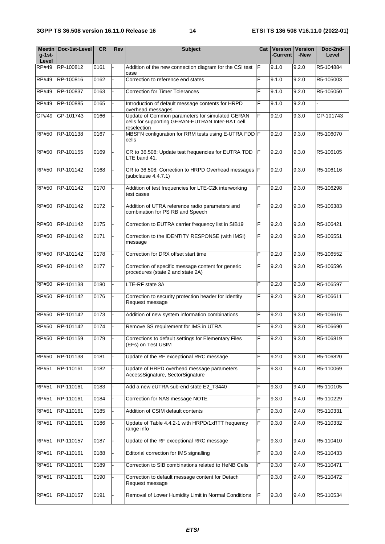| $g-1$ st-    | Meetin Doc-1st-Level | <b>CR</b> | Rev | <b>Subject</b>                                                                                                     | Cat | Version<br>-Current | <b>Version</b><br>-New | Doc-2nd-<br>Level |
|--------------|----------------------|-----------|-----|--------------------------------------------------------------------------------------------------------------------|-----|---------------------|------------------------|-------------------|
| Level        |                      |           |     |                                                                                                                    |     |                     |                        |                   |
| RP#49        | RP-100812            | 0161      |     | Addition of the new connection diagram for the CSI test<br>case                                                    | IF  | 9.1.0               | 9.2.0                  | R5-104884         |
| <b>RP#49</b> | RP-100816            | 0162      |     | Correction to reference end states                                                                                 | F   | 9.1.0               | 9.2.0                  | R5-105003         |
| <b>RP#49</b> | RP-100837            | 0163      |     | <b>Correction for Timer Tolerances</b>                                                                             | F   | 9.1.0               | 9.2.0                  | R5-105050         |
| <b>RP#49</b> | RP-100885            | 0165      |     | Introduction of default message contents for HRPD<br>overhead messages                                             | F   | 9.1.0               | 9.2.0                  |                   |
| GP#49        | GP-101743            | 0166      |     | Update of Common parameters for simulated GERAN<br>cells for supporting GERAN-EUTRAN Inter-RAT cell<br>reselection | F   | 9.2.0               | 9.3.0                  | GP-101743         |
| RP#50        | RP-101138            | 0167      |     | MBSFN configuration for RRM tests using E-UTRA FDD F<br>cells                                                      |     | 9.2.0               | 9.3.0                  | R5-106070         |
| <b>RP#50</b> | RP-101155            | 0169      |     | CR to 36.508: Update test frequencies for EUTRA TDD<br>LTE band 41.                                                | F   | 9.2.0               | 9.3.0                  | R5-106105         |
| <b>RP#50</b> | RP-101142            | 0168      |     | CR to 36.508: Correction to HRPD Overhead messages F<br>(subclause 4.4.7.1)                                        |     | 9.2.0               | 9.3.0                  | R5-106116         |
| RP#50        | RP-101142            | 0170      |     | Addition of test frequencies for LTE-C2k interworking<br>test cases                                                | F   | 9.2.0               | 9.3.0                  | R5-106298         |
| RP#50        | RP-101142            | 0172      |     | Addition of UTRA reference radio parameters and<br>combination for PS RB and Speech                                | F   | 9.2.0               | 9.3.0                  | R5-106383         |
| <b>RP#50</b> | RP-101142            | 0175      |     | Correction to EUTRA carrier frequency list in SIB19                                                                | F   | 9.2.0               | 9.3.0                  | R5-106421         |
| RP#50        | RP-101142            | 0171      |     | Correction to the IDENTITY RESPONSE (with IMSI)<br>message                                                         | F   | 9.2.0               | 9.3.0                  | R5-106551         |
| <b>RP#50</b> | RP-101142            | 0178      |     | Correction for DRX offset start time                                                                               | F   | 9.2.0               | 9.3.0                  | R5-106552         |
| <b>RP#50</b> | RP-101142            | 0177      |     | Correction of specific message content for generic<br>procedures (state 2 and state 2A)                            | F   | 9.2.0               | 9.3.0                  | R5-106596         |
| <b>RP#50</b> | RP-101138            | 0180      |     | LTE-RF state 3A                                                                                                    | F   | 9.2.0               | 9.3.0                  | R5-106597         |
| <b>RP#50</b> | RP-101142            | 0176      |     | Correction to security protection header for Identity<br>Request message                                           | F   | 9.2.0               | 9.3.0                  | R5-106611         |
| <b>RP#50</b> | RP-101142            | 0173      |     | Addition of new system information combinations                                                                    | F   | 9.2.0               | 9.3.0                  | R5-106616         |
| <b>RP#50</b> | RP-101142            | 0174      |     | Remove SS requirement for IMS in UTRA                                                                              | F   | 9.2.0               | 9.3.0                  | R5-106690         |
| RP#50        | RP-101159            | 0179      |     | Corrections to default settings for Elementary Files<br>(EFs) on Test USIM                                         | F   | 9.2.0               | 9.3.0                  | R5-106819         |
| <b>RP#50</b> | RP-101138            | 0181      |     | Update of the RF exceptional RRC message                                                                           | F   | 9.2.0               | 9.3.0                  | R5-106820         |
| <b>RP#51</b> | RP-110161            | 0182      |     | Update of HRPD overhead message parameters<br>AccessSignature, SectorSignature                                     | F   | 9.3.0               | 9.4.0                  | R5-110069         |
| <b>RP#51</b> | RP-110161            | 0183      |     | Add a new eUTRA sub-end state E2_T3440                                                                             | F   | 9.3.0               | 9.4.0                  | R5-110105         |
| <b>RP#51</b> | RP-110161            | 0184      |     | Correction for NAS message NOTE                                                                                    | F   | 9.3.0               | 9.4.0                  | R5-110229         |
| <b>RP#51</b> | RP-110161            | 0185      |     | Addition of CSIM default contents                                                                                  | F   | 9.3.0               | 9.4.0                  | R5-110331         |
| <b>RP#51</b> | RP-110161            | 0186      |     | Update of Table 4.4.2-1 with HRPD/1xRTT frequency<br>range info                                                    | F   | 9.3.0               | 9.4.0                  | R5-110332         |
| <b>RP#51</b> | RP-110157            | 0187      |     | Update of the RF exceptional RRC message                                                                           | F   | 9.3.0               | 9.4.0                  | R5-110410         |
| <b>RP#51</b> | RP-110161            | 0188      |     | Editorial correction for IMS signalling                                                                            | F   | 9.3.0               | 9.4.0                  | R5-110433         |
| <b>RP#51</b> | RP-110161            | 0189      |     | Correction to SIB combinations related to HeNB Cells                                                               | F   | 9.3.0               | 9.4.0                  | R5-110471         |
| <b>RP#51</b> | RP-110161            | 0190      |     | Correction to default message content for Detach<br>Request message                                                | F   | 9.3.0               | 9.4.0                  | R5-110472         |
| <b>RP#51</b> | RP-110157            | 0191      |     | Removal of Lower Humidity Limit in Normal Conditions                                                               | F   | 9.3.0               | 9.4.0                  | R5-110534         |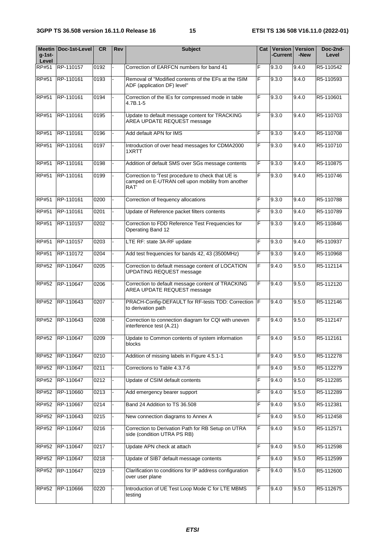| $q-1$ st-      | Meetin   Doc-1st-Level | <b>CR</b> | <b>Rev</b> | <b>Subject</b>                                                                                                 | Cat | Version<br>-Current | <b>Version</b><br>-New | Doc-2nd-<br>Level |
|----------------|------------------------|-----------|------------|----------------------------------------------------------------------------------------------------------------|-----|---------------------|------------------------|-------------------|
| Level<br>RP#51 | RP-110157              | 0192      |            | Correction of EARFCN numbers for band 41                                                                       | F   | 9.3.0               | 9.4.0                  | R5-110542         |
| <b>RP#51</b>   | RP-110161              | 0193      |            | Removal of "Modified contents of the EFs at the ISIM                                                           | F   | 9.3.0               | 9.4.0                  | R5-110593         |
|                |                        |           |            | ADF (application DF) level"                                                                                    |     |                     |                        |                   |
| <b>RP#51</b>   | RP-110161              | 0194      |            | Correction of the IEs for compressed mode in table<br>4.7B.1-5                                                 | F   | 9.3.0               | 9.4.0                  | R5-110601         |
| <b>RP#51</b>   | RP-110161              | 0195      |            | Update to default message content for TRACKING<br>AREA UPDATE REQUEST message                                  | F   | 9.3.0               | 9.4.0                  | R5-110703         |
| <b>RP#51</b>   | RP-110161              | 0196      |            | Add default APN for IMS                                                                                        | F   | 9.3.0               | 9.4.0                  | R5-110708         |
| <b>RP#51</b>   | RP-110161              | 0197      |            | Introduction of over head messages for CDMA2000<br>1XRTT                                                       | F   | 9.3.0               | 9.4.0                  | R5-110710         |
| <b>RP#51</b>   | RP-110161              | 0198      |            | Addition of default SMS over SGs message contents                                                              | F   | 9.3.0               | 9.4.0                  | R5-110875         |
| <b>RP#51</b>   | RP-110161              | 0199      |            | Correction to 'Test procedure to check that UE is<br>camped on E-UTRAN cell upon mobility from another<br>RAT' | F   | 9.3.0               | 9.4.0                  | R5-110746         |
| <b>RP#51</b>   | RP-110161              | 0200      |            | Correction of frequency allocations                                                                            | F   | 9.3.0               | 9.4.0                  | R5-110788         |
| <b>RP#51</b>   | RP-110161              | 0201      |            | Update of Reference packet filters contents                                                                    | E   | 9.3.0               | 9.4.0                  | R5-110789         |
| RP#51          | RP-110157              | 0202      |            | Correction to FDD Reference Test Frequencies for<br><b>Operating Band 12</b>                                   | E   | 9.3.0               | 9.4.0                  | R5-110846         |
| RP#51          | RP-110157              | 0203      |            | LTE RF: state 3A-RF update                                                                                     | F   | 9.3.0               | 9.4.0                  | R5-110937         |
| <b>RP#51</b>   | RP-110172              | 0204      |            | Add test frequencies for bands 42, 43 (3500MHz)                                                                | F   | 9.3.0               | 9.4.0                  | R5-110968         |
| RP#52          | RP-110647              | 0205      |            | Correction to default message content of LOCATION<br><b>UPDATING REQUEST message</b>                           | F   | 9.4.0               | 9.5.0                  | R5-112114         |
| <b>RP#52</b>   | RP-110647              | 0206      |            | Correction to default message content of TRACKING<br>AREA UPDATE REQUEST message                               | F   | 9.4.0               | 9.5.0                  | R5-112120         |
| <b>RP#52</b>   | RP-110643              | 0207      |            | PRACH-Config-DEFAULT for RF-tests TDD: Correction F<br>to derivation path                                      |     | 9.4.0               | 9.5.0                  | R5-112146         |
| <b>RP#52</b>   | RP-110643              | 0208      |            | Correction to connection diagram for CQI with uneven<br>interference test (A.21)                               | F   | 9.4.0               | 9.5.0                  | R5-112147         |
| RP#52          | RP-110647              | 0209      |            | Update to Common contents of system information<br>blocks                                                      | F   | 9.4.0               | 9.5.0                  | R5-112161         |
| <b>RP#52</b>   | RP-110647              | 0210      |            | Addition of missing labels in Figure 4.5.1-1                                                                   | E   | 9.4.0               | 9.5.0                  | R5-112278         |
| <b>RP#52</b>   | RP-110647              | 0211      |            | Corrections to Table 4.3.7-6                                                                                   | F   | 9.4.0               | 9.5.0                  | R5-112279         |
| RP#52          | RP-110647              | 0212      |            | Update of CSIM default contents                                                                                | F   | 9.4.0               | 9.5.0                  | R5-112285         |
| <b>RP#52</b>   | RP-110660              | 0213      |            | Add emergency bearer support                                                                                   | F   | 9.4.0               | 9.5.0                  | R5-112289         |
| RP#52          | RP-110667              | 0214      |            | Band 24 Addition to TS 36.508                                                                                  | F   | 9.4.0               | 9.5.0                  | R5-112381         |
| RP#52          | RP-110643              | 0215      |            | New connection diagrams to Annex A                                                                             | F   | 9.4.0               | 9.5.0                  | R5-112458         |
| RP#52          | RP-110647              | 0216      |            | Correction to Derivation Path for RB Setup on UTRA<br>side (condition UTRA PS RB)                              | F   | 9.4.0               | 9.5.0                  | R5-112571         |
| RP#52          | RP-110647              | 0217      |            | Update APN check at attach                                                                                     | F   | 9.4.0               | 9.5.0                  | R5-112598         |
| RP#52          | RP-110647              | 0218      |            | Update of SIB7 default message contents                                                                        | F   | 9.4.0               | 9.5.0                  | R5-112599         |
| RP#52          | RP-110647              | 0219      |            | Clarification to conditions for IP address configuration<br>over user plane                                    | F   | 9.4.0               | 9.5.0                  | R5-112600         |
| <b>RP#52</b>   | RP-110666              | 0220      |            | Introduction of UE Test Loop Mode C for LTE MBMS<br>testing                                                    | F   | 9.4.0               | 9.5.0                  | R5-112675         |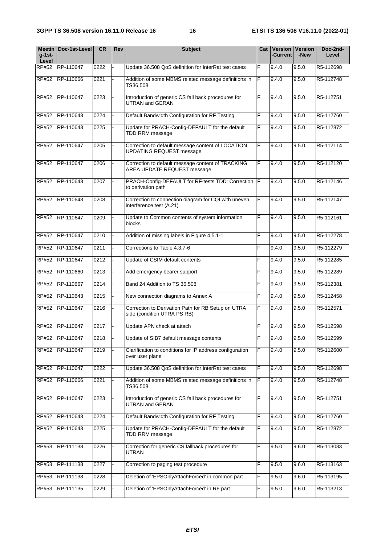| $q-1$ st-<br>Level | Meetin Doc-1st-Level | <b>CR</b> | Rev | <b>Subject</b>                                                                       | Cat I | Version<br>-Current | <b>Version</b><br>-New | Doc-2nd-<br>Level |
|--------------------|----------------------|-----------|-----|--------------------------------------------------------------------------------------|-------|---------------------|------------------------|-------------------|
|                    | RP#52 RP-110647      | 0222      |     | Update 36.508 QoS definition for InterRat test cases                                 | F     | 9.4.0               | 9.5.0                  | R5-112698         |
| RP#52              | RP-110666            | 0221      |     | Addition of some MBMS related message definitions in<br>TS36.508                     | F     | 9.4.0               | 9.5.0                  | R5-112748         |
|                    | RP#52 RP-110647      | 0223      |     | Introduction of generic CS fall back procedures for<br><b>UTRAN and GERAN</b>        | F     | 9.4.0               | 9.5.0                  | R5-112751         |
| RP#52              | RP-110643            | 0224      |     | Default Bandwidth Configuration for RF Testing                                       | F     | 9.4.0               | 9.5.0                  | R5-112760         |
| RP#52              | RP-110643            | 0225      |     | Update for PRACH-Config-DEFAULT for the default<br>TDD RRM message                   | F     | 9.4.0               | 9.5.0                  | R5-112872         |
| RP#52              | RP-110647            | 0205      |     | Correction to default message content of LOCATION<br><b>UPDATING REQUEST message</b> | F     | 9.4.0               | 9.5.0                  | R5-112114         |
| <b>RP#52</b>       | RP-110647            | 0206      |     | Correction to default message content of TRACKING<br>AREA UPDATE REQUEST message     | F     | 9.4.0               | 9.5.0                  | R5-112120         |
|                    | RP#52 RP-110643      | 0207      |     | PRACH-Config-DEFAULT for RF-tests TDD: Correction F<br>to derivation path            |       | 9.4.0               | 9.5.0                  | R5-112146         |
| RP#52              | RP-110643            | 0208      |     | Correction to connection diagram for CQI with uneven<br>interference test (A.21)     | F     | 9.4.0               | 9.5.0                  | R5-112147         |
| <b>RP#52</b>       | RP-110647            | 0209      |     | Update to Common contents of system information<br>blocks                            | F.    | 9.4.0               | 9.5.0                  | R5-112161         |
| RP#52              | RP-110647            | 0210      |     | Addition of missing labels in Figure 4.5.1-1                                         | F     | 9.4.0               | 9.5.0                  | R5-112278         |
| <b>RP#52</b>       | RP-110647            | 0211      |     | Corrections to Table 4.3.7-6                                                         | F     | 9.4.0               | 9.5.0                  | R5-112279         |
| <b>RP#52</b>       | RP-110647            | 0212      |     | Update of CSIM default contents                                                      | F     | 9.4.0               | 9.5.0                  | R5-112285         |
| <b>RP#52</b>       | RP-110660            | 0213      |     | Add emergency bearer support                                                         | F     | 9.4.0               | 9.5.0                  | R5-112289         |
| RP#52              | RP-110667            | 0214      |     | Band 24 Addition to TS 36.508                                                        | F     | 9.4.0               | 9.5.0                  | R5-112381         |
| RP#52              | RP-110643            | 0215      |     | New connection diagrams to Annex A                                                   | F     | 9.4.0               | 9.5.0                  | R5-112458         |
| RP#52              | RP-110647            | 0216      |     | Correction to Derivation Path for RB Setup on UTRA<br>side (condition UTRA PS RB)    | F     | 9.4.0               | 9.5.0                  | R5-112571         |
| <b>RP#52</b>       | RP-110647            | 0217      |     | Update APN check at attach                                                           | F     | 9.4.0               | 9.5.0                  | R5-112598         |
| RP#52              | RP-110647            | 0218      |     | Update of SIB7 default message contents                                              | F     | 9.4.0               | 9.5.0                  | R5-112599         |
| RP#52              | RP-110647            | 0219      |     | Clarification to conditions for IP address configuration<br>over user plane          | F     | 9.4.0               | 9.5.0                  | R5-112600         |
| RP#52              | RP-110647            | 0222      |     | Update 36.508 QoS definition for InterRat test cases                                 | F     | 9.4.0               | 9.5.0                  | R5-112698         |
| RP#52              | RP-110666            | 0221      |     | Addition of some MBMS related message definitions in<br>TS36.508                     | F     | 9.4.0               | 9.5.0                  | R5-112748         |
| RP#52              | RP-110647            | 0223      |     | Introduction of generic CS fall back procedures for<br>UTRAN and GERAN               | F     | 9.4.0               | 9.5.0                  | R5-112751         |
| RP#52              | RP-110643            | 0224      |     | Default Bandwidth Configuration for RF Testing                                       | F     | 9.4.0               | 9.5.0                  | R5-112760         |
| RP#52              | RP-110643            | 0225      |     | Update for PRACH-Config-DEFAULT for the default<br>TDD RRM message                   | F     | 9.4.0               | 9.5.0                  | R5-112872         |
| RP#53              | RP-111138            | 0226      |     | Correction for generic CS fallback procedures for<br>UTRAN                           | F     | 9.5.0               | 9.6.0                  | R5-113033         |
| RP#53              | RP-111138            | 0227      |     | Correction to paging test procedure                                                  | F     | 9.5.0               | 9.6.0                  | R5-113163         |
| RP#53              | RP-111138            | 0228      |     | Deletion of 'EPSOnlyAttachForced' in common part                                     | F     | 9.5.0               | 9.6.0                  | R5-113195         |
| RP#53              | RP-111135            | 0229      |     | Deletion of 'EPSOnlyAttachForced' in RF part                                         | F     | 9.5.0               | 9.6.0                  | R5-113213         |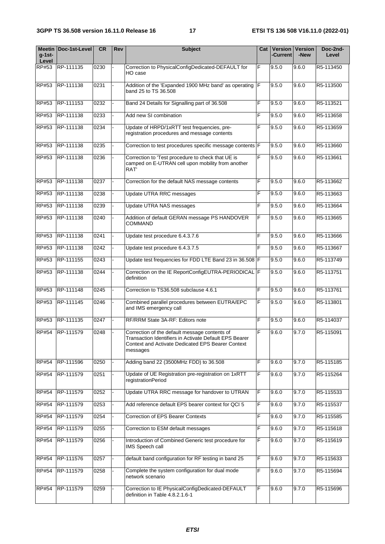| $q-1$ st-<br>Level | Meetin Doc-1st-Level | <b>CR</b> | Rev | <b>Subject</b>                                                                                                                                                           | Cat | <b>Version</b><br>∙Current l | <b>Version</b><br>-New | Doc-2nd-<br>Level |
|--------------------|----------------------|-----------|-----|--------------------------------------------------------------------------------------------------------------------------------------------------------------------------|-----|------------------------------|------------------------|-------------------|
| RP#53              | RP-111135            | 0230      |     | Correction to PhysicalConfigDedicated-DEFAULT for<br>HO case                                                                                                             | F   | 9.5.0                        | 9.6.0                  | R5-113450         |
| RP#53              | RP-111138            | 0231      |     | Addition of the 'Expanded 1900 MHz band' as operating<br>band 25 to TS 36,508                                                                                            | F   | 9.5.0                        | 9.6.0                  | R5-113500         |
| RP#53              | RP-111153            | 0232      |     | Band 24 Details for Signalling part of 36.508                                                                                                                            | F   | 9.5.0                        | 9.6.0                  | R5-113521         |
| RP#53              | RP-111138            | 0233      |     | Add new SI combination                                                                                                                                                   | E   | 9.5.0                        | 9.6.0                  | R5-113658         |
| RP#53              | RP-111138            | 0234      |     | Update of HRPD/1xRTT test frequencies, pre-<br>registration procedures and message contents                                                                              | E   | 9.5.0                        | 9.6.0                  | R5-113659         |
| RP#53              | RP-111138            | 0235      |     | Correction to test procedures specific message contents F                                                                                                                |     | 9.5.0                        | 9.6.0                  | R5-113660         |
| RP#53              | RP-111138            | 0236      |     | Correction to 'Test procedure to check that UE is<br>camped on E-UTRAN cell upon mobility from another<br>RAT'                                                           | F   | 9.5.0                        | 9.6.0                  | R5-113661         |
| RP#53              | RP-111138            | 0237      |     | Correction for the default NAS message contents                                                                                                                          | F   | 9.5.0                        | 9.6.0                  | R5-113662         |
| RP#53              | RP-111138            | 0238      |     | Update UTRA RRC messages                                                                                                                                                 | F   | 9.5.0                        | 9.6.0                  | R5-113663         |
| RP#53              | RP-111138            | 0239      |     | Update UTRA NAS messages                                                                                                                                                 | F   | 9.5.0                        | 9.6.0                  | R5-113664         |
| RP#53              | RP-111138            | 0240      |     | Addition of default GERAN message PS HANDOVER<br>COMMAND                                                                                                                 | F   | 9.5.0                        | 9.6.0                  | R5-113665         |
| RP#53              | RP-111138            | 0241      |     | Update test procedure 6.4.3.7.6                                                                                                                                          | F   | 9.5.0                        | 9.6.0                  | R5-113666         |
| RP#53              | RP-111138            | 0242      |     | Update test procedure 6.4.3.7.5                                                                                                                                          | F   | 9.5.0                        | 9.6.0                  | R5-113667         |
| RP#53              | RP-111155            | 0243      |     | Update test frequencies for FDD LTE Band 23 in 36.508 F                                                                                                                  |     | 9.5.0                        | 9.6.0                  | R5-113749         |
| RP#53              | RP-111138            | 0244      |     | Correction on the IE ReportConfigEUTRA-PERIODICAL F<br>definition                                                                                                        |     | 9.5.0                        | 9.6.0                  | R5-113751         |
| RP#53              | RP-111148            | 0245      |     | Correction to TS36.508 subclause 4.6.1                                                                                                                                   | F   | 9.5.0                        | 9.6.0                  | R5-113761         |
| RP#53              | RP-111145            | 0246      |     | Combined parallel procedures between EUTRA/EPC<br>and IMS emergency call                                                                                                 | E   | 9.5.0                        | 9.6.0                  | R5-113801         |
| RP#53              | RP-111135            | 0247      |     | RF/RRM State 3A-RF: Editors note                                                                                                                                         | F   | 9.5.0                        | 9.6.0                  | R5-114037         |
|                    | RP#54 RP-111579      | 0248      |     | Correction of the default message contents of<br>Transaction Identifiers in Activate Default EPS Bearer<br>Context and Activate Dedicated EPS Bearer Context<br>messages | F   | 9.6.0                        | 9.7.0                  | R5-115091         |
| RP#54              | RP-111596            | 0250      |     | Adding band 22 (3500MHz FDD) to 36.508                                                                                                                                   | F   | 9.6.0                        | 9.7.0                  | R5-115185         |
| RP#54              | RP-111579            | 0251      |     | Update of UE Registration pre-registration on 1xRTT<br>registrationPeriod                                                                                                | F   | 9.6.0                        | $\overline{9.7.0}$     | R5-115264         |
| RP#54              | RP-111579            | 0252      |     | Update UTRA RRC message for handover to UTRAN                                                                                                                            | F   | 9.6.0                        | 9.7.0                  | R5-115533         |
| <b>RP#54</b>       | RP-111579            | 0253      |     | Add reference default EPS bearer context for QCI 5                                                                                                                       | F   | 9.6.0                        | 9.7.0                  | R5-115537         |
| RP#54              | RP-111579            | 0254      |     | Correction of EPS Bearer Contexts                                                                                                                                        | F   | 9.6.0                        | 9.7.0                  | R5-115585         |
| RP#54              | RP-111579            | 0255      |     | Correction to ESM default messages                                                                                                                                       | F   | 9.6.0                        | 9.7.0                  | R5-115618         |
| RP#54              | RP-111579            | 0256      |     | Introduction of Combined Generic test procedure for<br>IMS Speech call                                                                                                   | F   | 9.6.0                        | $\overline{9.7.0}$     | R5-115619         |
| RP#54              | RP-111576            | 0257      |     | default band configuration for RF testing in band 25                                                                                                                     | F   | 9.6.0                        | 9.7.0                  | R5-115633         |
| RP#54              | RP-111579            | 0258      |     | Complete the system configuration for dual mode<br>network scenario                                                                                                      | E   | 9.6.0                        | 9.7.0                  | R5-115694         |
| RP#54              | RP-111579            | 0259      |     | Correction to IE PhysicalConfigDedicated-DEFAULT<br>definition in Table 4.8.2.1.6-1                                                                                      | F   | 9.6.0                        | 9.7.0                  | R5-115696         |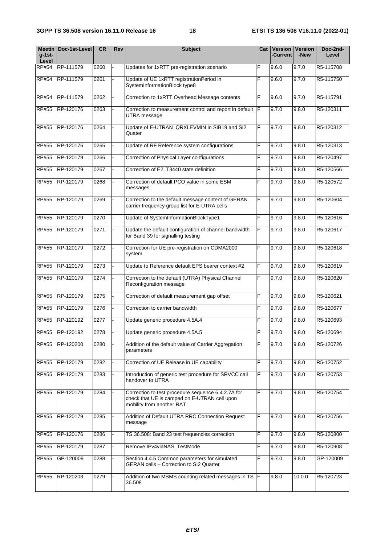| $g-1$ st-<br>Level  | Meetin   Doc-1st-Level | <b>CR</b> | Rev | <b>Subject</b>                                                                                                                  | Cat | Version<br>-Current | <b>Version</b><br>-New | Doc-2nd-<br>Level |
|---------------------|------------------------|-----------|-----|---------------------------------------------------------------------------------------------------------------------------------|-----|---------------------|------------------------|-------------------|
| <b>RP#54</b>        | RP-111579              | 0260      |     | Updates for 1xRTT pre-registration scenario                                                                                     | F   | 9.6.0               | 9.7.0                  | R5-115708         |
| <b>RP#54</b>        | RP-111579              | 0261      |     | Update of UE 1xRTT registrationPeriod in<br>SystemInformationBlock type8                                                        | F   | 9.6.0               | 9.7.0                  | R5-115750         |
| <b>RP#54</b>        | RP-111579              | 0262      |     | Correction to 1xRTT Overhead Message contents                                                                                   | F   | 9.6.0               | 9.7.0                  | R5-115791         |
| <b>RP#55</b>        | RP-120176              | 0263      |     | Correction to measurement control and report in default<br>UTRA message                                                         | F   | 9.7.0               | 9.8.0                  | R5-120311         |
| <b>RP#55</b>        | RP-120176              | 0264      |     | Update of E-UTRAN_QRXLEVMIN in SIB19 and SI2<br>Quater                                                                          | F   | 9.7.0               | 9.8.0                  | R5-120312         |
| RP#55               | RP-120176              | 0265      |     | Update of RF Reference system configurations                                                                                    | F   | 9.7.0               | 9.8.0                  | R5-120313         |
| <b>RP#55</b>        | RP-120179              | 0266      |     | Correction of Physical Layer configurations                                                                                     | E   | 9.7.0               | 9.8.0                  | R5-120497         |
| <b>RP#55</b>        | RP-120179              | 0267      |     | Correction of E2_T3440 state definition                                                                                         | E   | 9.7.0               | 9.8.0                  | R5-120566         |
| <b>RP#55</b>        | RP-120179              | 0268      |     | Correction of default PCO value in some ESM<br>messages                                                                         | F   | 9.7.0               | 9.8.0                  | R5-120572         |
| <b>RP#55</b>        | RP-120179              | 0269      |     | Correction to the default message content of GERAN<br>carrier frequency group list for E-UTRA cells                             | F   | 9.7.0               | 9.8.0                  | R5-120604         |
| <b>RP#55</b>        | RP-120179              | 0270      |     | Update of SystemInformationBlockType1                                                                                           | F.  | 9.7.0               | 9.8.0                  | R5-120616         |
| <b>RP#55</b>        | RP-120179              | 0271      |     | Update the default configuration of channel bandwidth<br>for Band 39 for signalling testing                                     | F   | 9.7.0               | 9.8.0                  | R5-120617         |
| <b>RP#55</b>        | RP-120179              | 0272      |     | Correction for UE pre-registration on CDMA2000<br>system                                                                        | F   | 9.7.0               | 9.8.0                  | R5-120618         |
| <b>RP#55</b>        | RP-120179              | 0273      |     | Update to Reference default EPS bearer context #2                                                                               | F   | 9.7.0               | 9.8.0                  | R5-120619         |
| <b>RP#55</b>        | RP-120179              | 0274      |     | Correction to the default (UTRA) Physical Channel<br>Reconfiguration message                                                    | F   | 9.7.0               | 9.8.0                  | R5-120620         |
| <b>RP#55</b>        | RP-120179              | 0275      |     | Correction of default measurement gap offset                                                                                    | F   | 9.7.0               | 9.8.0                  | R5-120621         |
| <b>RP#55</b>        | RP-120179              | 0276      |     | Correction to carrier bandwidth                                                                                                 | F   | 9.7.0               | 9.8.0                  | R5-120677         |
| $\overline{RP}$ #55 | RP-120192              | 0277      |     | Update generic procedure 4.5A.4                                                                                                 | F   | 9.7.0               | 9.8.0                  | R5-120693         |
| <b>RP#55</b>        | RP-120192              | 0278      |     | Update generic procedure 4.5A.5                                                                                                 | F   | 9.7.0               | 9.8.0                  | R5-120694         |
| <b>RP#55</b>        | RP-120200              | 0280      |     | Addition of the default value of Carrier Aggregation<br>parameters                                                              | F   | 9.7.0               | 9.8.0                  | R5-120726         |
| RP#55               | RP-120179              | 0282      |     | Correction of UE Release in UE capability                                                                                       | F   | 9.7.0               | 9.8.0                  | R5-120752         |
| <b>RP#55</b>        | RP-120179              | 0283      |     | Introduction of generic test procedure for SRVCC call<br>handover to UTRA                                                       | F   | 9.7.0               | 9.8.0                  | R5-120753         |
| <b>RP#55</b>        | RP-120179              | 0284      |     | Correction to test procedure sequence 6.4.2.7A for<br>check that UE is camped on E-UTRAN cell upon<br>mobility from another RAT | F   | 9.7.0               | 9.8.0                  | R5-120754         |
| <b>RP#55</b>        | RP-120179              | 0285      |     | Addition of Default UTRA RRC Connection Request<br>message                                                                      | F   | 9.7.0               | 9.8.0                  | R5-120756         |
| <b>RP#55</b>        | RP-120176              | 0286      |     | TS 36.508: Band 23 test frequencies correction                                                                                  | F   | 9.7.0               | 9.8.0                  | R5-120800         |
| <b>RP#55</b>        | RP-120179              | 0287      |     | Remove IPv4viaNAS_TestMode                                                                                                      | F   | 9.7.0               | 9.8.0                  | R5-120908         |
| <b>RP#55</b>        | GP-120009              | 0288      |     | Section 4.4.5 Common parameters for simulated<br>GERAN cells - Correction to SI2 Quarter                                        | F   | 9.7.0               | 9.8.0                  | GP-120009         |
| <b>RP#55</b>        | RP-120203              | 0279      |     | Addition of two MBMS counting related messages in TS F<br>36.508                                                                |     | 9.8.0               | 10.0.0                 | R5-120723         |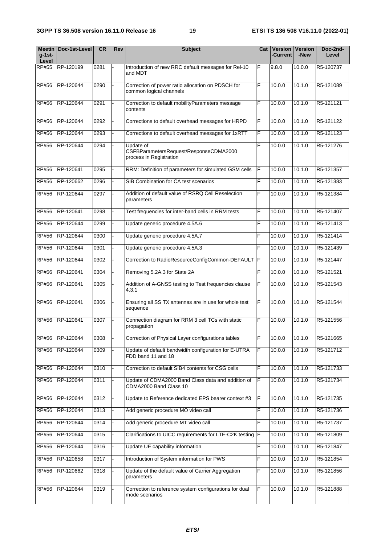| <b>Meetin</b><br>$q-1$ st-<br>Level | Doc-1st-Level | <b>CR</b> | Rev | <b>Subject</b>                                                                 | Cat | Version<br>-Current | <b>Version</b><br>-New | Doc-2nd-<br>Level |
|-------------------------------------|---------------|-----------|-----|--------------------------------------------------------------------------------|-----|---------------------|------------------------|-------------------|
| RP#55                               | RP-120199     | 0281      |     | Introduction of new RRC default messages for Rel-10<br>and MDT                 | F   | 9.8.0               | 10.0.0                 | R5-120737         |
| RP#56                               | RP-120644     | 0290      |     | Correction of power ratio allocation on PDSCH for<br>common logical channels   | F   | 10.0.0              | 10.1.0                 | R5-121089         |
| <b>RP#56</b>                        | RP-120644     | 0291      |     | Correction to default mobilityParameters message<br>contents                   | F   | 10.0.0              | 10.1.0                 | R5-121121         |
| <b>RP#56</b>                        | RP-120644     | 0292      |     | Corrections to default overhead messages for HRPD                              | F   | 10.0.0              | 10.1.0                 | R5-121122         |
| <b>RP#56</b>                        | RP-120644     | 0293      |     | Corrections to default overhead messages for 1xRTT                             | F   | 10.0.0              | 10.1.0                 | R5-121123         |
| <b>RP#56</b>                        | RP-120644     | 0294      |     | Update of<br>CSFBParametersRequest/ResponseCDMA2000<br>process in Registration | F   | 10.0.0              | 10.1.0                 | R5-121276         |
| <b>RP#56</b>                        | RP-120641     | 0295      |     | RRM: Definition of parameters for simulated GSM cells                          | F   | 10.0.0              | 10.1.0                 | R5-121357         |
| <b>RP#56</b>                        | RP-120662     | 0296      |     | SIB Combination for CA test scenarios                                          | F   | 10.0.0              | 10.1.0                 | R5-121383         |
| <b>RP#56</b>                        | RP-120644     | 0297      |     | Addition of default value of RSRQ Cell Reselection<br>parameters               | F   | 10.0.0              | 10.1.0                 | R5-121384         |
| <b>RP#56</b>                        | RP-120641     | 0298      |     | Test frequencies for inter-band cells in RRM tests                             | F   | 10.0.0              | 10.1.0                 | R5-121407         |
| <b>RP#56</b>                        | RP-120644     | 0299      |     | Update generic procedure 4.5A.6                                                | F   | 10.0.0              | 10.1.0                 | R5-121413         |
| <b>RP#56</b>                        | RP-120644     | 0300      |     | Update generic procedure 4.5A.7                                                | F   | 10.0.0              | 10.1.0                 | R5-121414         |
| <b>RP#56</b>                        | RP-120644     | 0301      |     | Update generic procedure 4.5A.3                                                | F   | 10.0.0              | 10.1.0                 | R5-121439         |
| <b>RP#56</b>                        | RP-120644     | 0302      |     | Correction to RadioResourceConfigCommon-DEFAULT F                              |     | 10.0.0              | 10.1.0                 | R5-121447         |
| <b>RP#56</b>                        | RP-120641     | 0304      |     | Removing 5.2A.3 for State 2A                                                   | F   | 10.0.0              | 10.1.0                 | R5-121521         |
| <b>RP#56</b>                        | RP-120641     | 0305      |     | Addition of A-GNSS testing to Test frequencies clause<br>4.3.1                 | F   | 10.0.0              | 10.1.0                 | R5-121543         |
| <b>RP#56</b>                        | RP-120641     | 0306      |     | Ensuring all SS TX antennas are in use for whole test<br>sequence              | F   | 10.0.0              | 10.1.0                 | R5-121544         |
| <b>RP#56</b>                        | RP-120641     | 0307      |     | Connection diagram for RRM 3 cell TCs with static<br>propagation               | F   | 10.0.0              | 10.1.0                 | R5-121556         |
| <b>RP#56</b>                        | RP-120644     | 0308      |     | Correction of Physical Layer configurations tables                             | F   | 10.0.0              | 10.1.0                 | R5-121665         |
| <b>RP#56</b>                        | RP-120644     | 0309      |     | Update of default bandwidth configuration for E-UTRA<br>FDD band 11 and 18     | F   | 10.0.0              | 10.1.0                 | R5-121712         |
| <b>RP#56</b>                        | RP-120644     | 0310      |     | Correction to default SIB4 contents for CSG cells                              | F   | 10.0.0              | 10.1.0                 | R5-121733         |
| <b>RP#56</b>                        | RP-120644     | 0311      |     | Update of CDMA2000 Band Class data and addition of<br>CDMA2000 Band Class 10   | F   | 10.0.0              | 10.1.0                 | R5-121734         |
| <b>RP#56</b>                        | RP-120644     | 0312      |     | Update to Reference dedicated EPS bearer context #3                            | F   | 10.0.0              | 10.1.0                 | R5-121735         |
| <b>RP#56</b>                        | RP-120644     | 0313      |     | Add generic procedure MO video call                                            | F   | 10.0.0              | 10.1.0                 | R5-121736         |
| <b>RP#56</b>                        | RP-120644     | 0314      |     | Add generic procedure MT video call                                            | F   | 10.0.0              | 10.1.0                 | R5-121737         |
| <b>RP#56</b>                        | RP-120644     | 0315      |     | Clarifications to UICC requirements for LTE-C2K testing                        | IF  | 10.0.0              | 10.1.0                 | R5-121809         |
| <b>RP#56</b>                        | RP-120644     | 0316      |     | Update UE capability information                                               | F   | 10.0.0              | 10.1.0                 | R5-121847         |
| <b>RP#56</b>                        | RP-120658     | 0317      |     | Introduction of System information for PWS                                     | F   | 10.0.0              | 10.1.0                 | R5-121854         |
| RP#56                               | RP-120662     | 0318      |     | Update of the default value of Carrier Aggregation<br>parameters               | F   | 10.0.0              | 10.1.0                 | R5-121856         |
| <b>RP#56</b>                        | RP-120644     | 0319      |     | Correction to reference system configurations for dual<br>mode scenarios       | F   | 10.0.0              | 10.1.0                 | R5-121888         |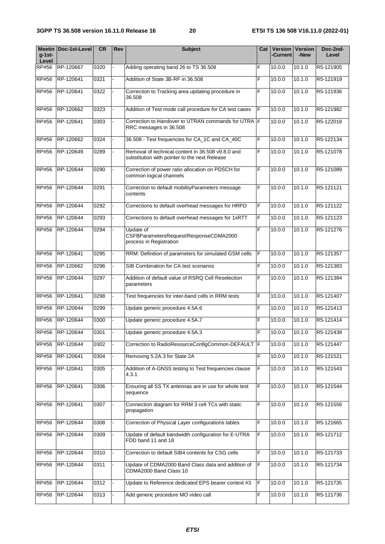| $q-1$ st-<br>Level | Meetin   Doc-1st-Level | <b>CR</b> | Rev | <b>Subject</b>                                                                                     | Cat | Version<br><b>Current</b> | <b>Version</b><br>-New | Doc-2nd-<br>Level |
|--------------------|------------------------|-----------|-----|----------------------------------------------------------------------------------------------------|-----|---------------------------|------------------------|-------------------|
| RP#56              | RP-120667              | 0320      |     | Adding operating band 26 to TS 36.508                                                              | F   | 10.0.0                    | 10.1.0                 | R5-121905         |
| <b>RP#56</b>       | RP-120641              | 0321      |     | Addition of State 3B-RF in 36.508                                                                  | F   | 10.0.0                    | 10.1.0                 | R5-121919         |
| <b>RP#56</b>       | RP-120641              | 0322      |     | Correction to Tracking area updating procedure in<br>36.508                                        | F   | 10.0.0                    | 10.1.0                 | R5-121936         |
| <b>RP#56</b>       | RP-120662              | 0323      |     | Addition of Test mode call procedure for CA test cases                                             | F   | 10.0.0                    | 10.1.0                 | R5-121982         |
| <b>RP#56</b>       | RP-120641              | 0303      |     | Correction to Handover to UTRAN commands for UTRA F<br>RRC messages in 36.508                      |     | 10.0.0                    | 10.1.0                 | R5-122018         |
| <b>RP#56</b>       | RP-120662              | 0324      |     | 36.508 - Test frequencies for CA_1C and CA_40C                                                     | F   | 10.0.0                    | 10.1.0                 | R5-122134         |
| <b>RP#56</b>       | RP-120649              | 0289      |     | Removal of technical content in 36.508 v9.8.0 and<br>substitution with pointer to the next Release | F.  | 10.00                     | 10.1.0                 | R5-121078         |
| <b>RP#56</b>       | RP-120644              | 0290      |     | Correction of power ratio allocation on PDSCH for<br>common logical channels                       | F   | 10.0.0                    | 10.1.0                 | R5-121089         |
| RP#56              | RP-120644              | 0291      |     | Correction to default mobilityParameters message<br>contents                                       | F   | 10.0.0                    | 10.1.0                 | R5-121121         |
| <b>RP#56</b>       | RP-120644              | 0292      |     | Corrections to default overhead messages for HRPD                                                  | F   | 10.0.0                    | 10.1.0                 | R5-121122         |
| <b>RP#56</b>       | RP-120644              | 0293      |     | Corrections to default overhead messages for 1xRTT                                                 | F   | 10.00                     | 10.1.0                 | R5-121123         |
| <b>RP#56</b>       | RP-120644              | 0294      |     | Update of<br>CSFBParametersRequest/ResponseCDMA2000<br>process in Registration                     | F   | 10.00                     | 10.1.0                 | R5-121276         |
| <b>RP#56</b>       | RP-120641              | 0295      |     | RRM: Definition of parameters for simulated GSM cells                                              | F   | 10.0.0                    | 10.1.0                 | R5-121357         |
| <b>RP#56</b>       | RP-120662              | 0296      |     | SIB Combination for CA test scenarios                                                              | F   | 10.0.0                    | 10.1.0                 | R5-121383         |
| <b>RP#56</b>       | RP-120644              | 0297      |     | Addition of default value of RSRQ Cell Reselection<br>parameters                                   | F   | 10.0.0                    | 10.1.0                 | R5-121384         |
| <b>RP#56</b>       | RP-120641              | 0298      |     | Test frequencies for inter-band cells in RRM tests                                                 | F   | 10.0.0                    | 10.1.0                 | R5-121407         |
| <b>RP#56</b>       | RP-120644              | 0299      |     | Update generic procedure 4.5A.6                                                                    | F   | 10.0.0                    | 10.1.0                 | R5-121413         |
| <b>RP#56</b>       | RP-120644              | 0300      |     | Update generic procedure 4.5A.7                                                                    | E   | 10.0.0                    | 10.1.0                 | R5-121414         |
| <b>RP#56</b>       | RP-120644              | 0301      |     | Update generic procedure 4.5A.3                                                                    | F   | 10.0.0                    | 10.1.0                 | R5-121439         |
| <b>RP#56</b>       | RP-120644              | 0302      |     | Correction to RadioResourceConfigCommon-DEFAULT F                                                  |     | 10.0.0                    | 10.1.0                 | R5-121447         |
| <b>RP#56</b>       | RP-120641              | 0304      |     | Removing 5.2A.3 for State 2A                                                                       | F   | 10.0.0                    | 10.1.0                 | R5-121521         |
| <b>RP#56</b>       | RP-120641              | 0305      |     | Addition of A-GNSS testing to Test frequencies clause<br>4.3.1                                     | F   | 10.0.0                    | 10.1.0                 | R5-121543         |
| <b>RP#56</b>       | RP-120641              | 0306      |     | Ensuring all SS TX antennas are in use for whole test<br>sequence                                  | F   | 10.0.0                    | 10.1.0                 | R5-121544         |
| <b>RP#56</b>       | RP-120641              | 0307      |     | Connection diagram for RRM 3 cell TCs with static<br>propagation                                   | F   | 10.0.0                    | 10.1.0                 | R5-121556         |
| <b>RP#56</b>       | RP-120644              | 0308      |     | Correction of Physical Layer configurations tables                                                 | F   | 10.0.0                    | 10.1.0                 | R5-121665         |
| <b>RP#56</b>       | RP-120644              | 0309      |     | Update of default bandwidth configuration for E-UTRA<br>FDD band 11 and 18                         | F   | 10.0.0                    | 10.1.0                 | R5-121712         |
| <b>RP#56</b>       | RP-120644              | 0310      |     | Correction to default SIB4 contents for CSG cells                                                  | F   | 10.0.0                    | 10.1.0                 | R5-121733         |
| <b>RP#56</b>       | RP-120644              | 0311      |     | Update of CDMA2000 Band Class data and addition of<br>CDMA2000 Band Class 10                       | F   | 10.0.0                    | 10.1.0                 | R5-121734         |
| <b>RP#56</b>       | RP-120644              | 0312      |     | Update to Reference dedicated EPS bearer context #3                                                | IF  | 10.0.0                    | 10.1.0                 | R5-121735         |
| <b>RP#56</b>       | RP-120644              | 0313      |     | Add generic procedure MO video call                                                                | F   | 10.0.0                    | 10.1.0                 | R5-121736         |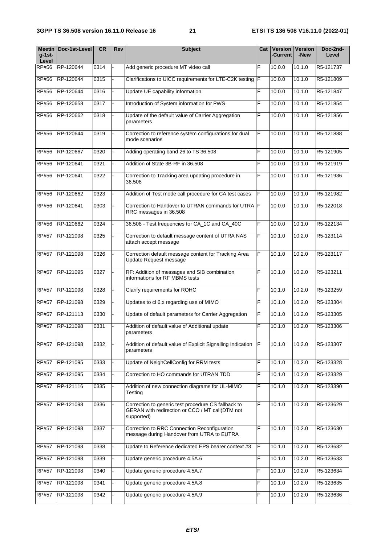| $q-1$ st-<br>Level | Meetin   Doc-1st-Level | <b>CR</b> | Rev | <b>Subject</b>                                                                                                       | Cat | <b>Version</b><br>-Current | <b>Version</b><br>-New | Doc-2nd-<br>Level |
|--------------------|------------------------|-----------|-----|----------------------------------------------------------------------------------------------------------------------|-----|----------------------------|------------------------|-------------------|
| RP#56              | RP-120644              | 0314      |     | Add generic procedure MT video call                                                                                  | F   | 10.0.0                     | 10.1.0                 | R5-121737         |
| <b>RP#56</b>       | RP-120644              | 0315      |     | Clarifications to UICC requirements for LTE-C2K testing F                                                            |     | 10.0.0                     | 10.1.0                 | R5-121809         |
| <b>RP#56</b>       | RP-120644              | 0316      |     | Update UE capability information                                                                                     | F   | 10.00                      | 10.1.0                 | R5-121847         |
| <b>RP#56</b>       | RP-120658              | 0317      |     | Introduction of System information for PWS                                                                           | F   | 10.0.0                     | 10.1.0                 | R5-121854         |
| <b>RP#56</b>       | RP-120662              | 0318      |     | Update of the default value of Carrier Aggregation<br>parameters                                                     | F   | 10.0.0                     | 10.1.0                 | R5-121856         |
| <b>RP#56</b>       | RP-120644              | 0319      |     | Correction to reference system configurations for dual<br>mode scenarios                                             | F   | 10.0.0                     | 10.1.0                 | R5-121888         |
| <b>RP#56</b>       | RP-120667              | 0320      |     | Adding operating band 26 to TS 36.508                                                                                | F   | 10.0.0                     | 10.1.0                 | R5-121905         |
| <b>RP#56</b>       | RP-120641              | 0321      |     | Addition of State 3B-RF in 36.508                                                                                    | F   | 10.0.0                     | 10.1.0                 | R5-121919         |
| <b>RP#56</b>       | RP-120641              | 0322      |     | Correction to Tracking area updating procedure in<br>36.508                                                          | F   | 10.0.0                     | 10.1.0                 | R5-121936         |
| <b>RP#56</b>       | RP-120662              | 0323      |     | Addition of Test mode call procedure for CA test cases                                                               | F   | 10.0.0                     | 10.1.0                 | R5-121982         |
| <b>RP#56</b>       | RP-120641              | 0303      |     | Correction to Handover to UTRAN commands for UTRA F<br>RRC messages in 36.508                                        |     | 10.0.0                     | 10.1.0                 | R5-122018         |
| <b>RP#56</b>       | RP-120662              | 0324      |     | 36.508 - Test frequencies for CA_1C and CA_40C                                                                       | F   | 10.0.0                     | 10.1.0                 | R5-122134         |
| <b>RP#57</b>       | RP-121098              | 0325      |     | Correction to default message content of UTRA NAS<br>attach accept message                                           | F   | 10.1.0                     | 10.2.0                 | R5-123114         |
| <b>RP#57</b>       | RP-121098              | 0326      |     | Correction default message content for Tracking Area<br>Update Request message                                       | F   | 10.1.0                     | 10.2.0                 | R5-123117         |
| <b>RP#57</b>       | RP-121095              | 0327      |     | RF: Addition of messages and SIB combination<br>informations for RF MBMS tests                                       | F   | 10.1.0                     | 10.2.0                 | R5-123211         |
| <b>RP#57</b>       | RP-121098              | 0328      |     | Clarify requirements for ROHC                                                                                        | F   | 10.1.0                     | 10.2.0                 | R5-123259         |
| <b>RP#57</b>       | RP-121098              | 0329      |     | Updates to cl 6.x regarding use of MIMO                                                                              | F   | 10.1.0                     | 10.2.0                 | R5-123304         |
| <b>RP#57</b>       | RP-121113              | 0330      |     | Update of default parameters for Carrier Aggregation                                                                 | F   | 10.1.0                     | 10.2.0                 | R5-123305         |
| <b>RP#57</b>       | RP-121098              | 0331      |     | Addition of default value of Additional update<br>parameters                                                         | F   | 10.1.0                     | 10.2.0                 | R5-123306         |
| <b>RP#57</b>       | RP-121098              | 0332      |     | Addition of default value of Explicit Signalling Indication<br>parameters                                            | F   | 10.1.0                     | 10.2.0                 | R5-123307         |
| <b>RP#57</b>       | RP-121095              | 0333      |     | Update of NeighCellConfig for RRM tests                                                                              | F   | 10.1.0                     | 10.2.0                 | R5-123328         |
| <b>RP#57</b>       | RP-121095              | 0334      |     | Correction to HO commands for UTRAN TDD                                                                              | F   | 10.1.0                     | 10.2.0                 | R5-123329         |
| <b>RP#57</b>       | RP-121116              | 0335      |     | Addition of new connection diagrams for UL-MIMO<br>Testing                                                           | F   | 10.1.0                     | 10.2.0                 | R5-123390         |
| <b>RP#57</b>       | RP-121098              | 0336      |     | Correction to generic test procedure CS fallback to<br>GERAN with redirection or CCO / MT call(DTM not<br>supported) | F   | 10.1.0                     | 10.2.0                 | R5-123629         |
| <b>RP#57</b>       | RP-121098              | 0337      |     | Correction to RRC Connection Reconfiguration<br>message during Handover from UTRA to EUTRA                           | F   | 10.1.0                     | 10.2.0                 | R5-123630         |
| <b>RP#57</b>       | RP-121098              | 0338      |     | Update to Reference dedicated EPS bearer context #3                                                                  | F   | 10.1.0                     | 10.2.0                 | R5-123632         |
| <b>RP#57</b>       | RP-121098              | 0339      |     | Update generic procedure 4.5A.6                                                                                      | F   | 10.1.0                     | 10.2.0                 | R5-123633         |
| <b>RP#57</b>       | RP-121098              | 0340      |     | Update generic procedure 4.5A.7                                                                                      | F   | 10.1.0                     | 10.2.0                 | R5-123634         |
| <b>RP#57</b>       | RP-121098              | 0341      |     | Update generic procedure 4.5A.8                                                                                      | F   | 10.1.0                     | 10.2.0                 | R5-123635         |
| <b>RP#57</b>       | RP-121098              | 0342      |     | Update generic procedure 4.5A.9                                                                                      | F   | 10.1.0                     | 10.2.0                 | R5-123636         |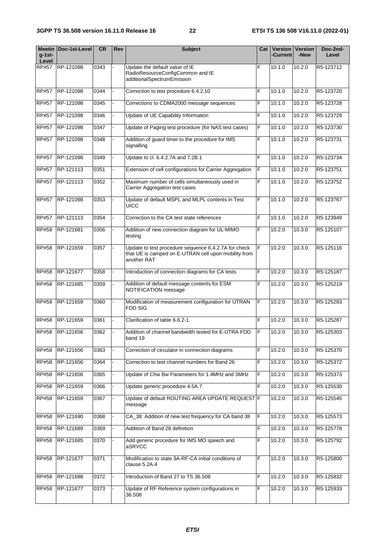| $q-1$ st-<br>Level | Meetin Doc-1st-Level | CR   | Rev | <b>Subject</b>                                                                                                              | Cat | -Current | Version   Version<br>-New | Doc-2nd-<br>Level |
|--------------------|----------------------|------|-----|-----------------------------------------------------------------------------------------------------------------------------|-----|----------|---------------------------|-------------------|
| <b>RP#57</b>       | RP-121098            | 0343 |     | Update the default value of IE<br>RadioResourceConfigCommon and IE<br>additionalSpectrumEmission                            | F   | 10.1.0   | 10.2.0                    | R5-123712         |
| <b>RP#57</b>       | RP-121098            | 0344 |     | Correction to test procedure 6.4.2.10                                                                                       | F   | 10.1.0   | 10.2.0                    | R5-123720         |
| <b>RP#57</b>       | RP-121098            | 0345 |     | Corrections to CDMA2000 message sequences                                                                                   | F   | 10.1.0   | 10.2.0                    | R5-123728         |
| <b>RP#57</b>       | RP-121098            | 0346 |     | Update of UE Capability Information                                                                                         | F   | 10.1.0   | 10.2.0                    | R5-123729         |
| <b>RP#57</b>       | RP-121098            | 0347 |     | Update of Paging test procedure (for NAS test cases)                                                                        | F   | 10.1.0   | 10.2.0                    | R5-123730         |
| <b>RP#57</b>       | RP-121098            | 0348 |     | Addition of guard timer to the procedure for IMS<br>signalling                                                              | F   | 10.1.0   | 10.2.0                    | R5-123731         |
| <b>RP#57</b>       | RP-121098            | 0349 |     | Update to cl. 6.4.2.7A and 7.2B.1                                                                                           | F   | 10.1.0   | 10.2.0                    | R5-123734         |
| <b>RP#57</b>       | RP-121113            | 0351 |     | Extension of cell configurations for Carrier Aggregation                                                                    | F   | 10.1.0   | 10.2.0                    | R5-123751         |
| <b>RP#57</b>       | RP-121113            | 0352 |     | Maximum number of cells simultaneously used in<br>Carrier Aggregation test cases                                            | F   | 10.1.0   | 10.2.0                    | R5-123752         |
| <b>RP#57</b>       | RP-121098            | 0353 |     | Update of default MSPL and MLPL contents in Test<br><b>UICC</b>                                                             | F   | 10.1.0   | 10.2.0                    | R5-123767         |
| <b>RP#57</b>       | RP-121113            | 0354 |     | Correction to the CA test state references                                                                                  | F   | 10.1.0   | 10.2.0                    | R5-123949         |
| <b>RP#58</b>       | RP-121681            | 0356 |     | Addition of new connection diagram for UL-MIMO<br>testing                                                                   | F   | 10.2.0   | 10.3.0                    | R5-125107         |
| <b>RP#58</b>       | RP-121659            | 0357 |     | Update to test procedure sequence 6.4.2.7A for check<br>that UE is camped on E-UTRAN cell upon mobility from<br>another RAT | F   | 10.2.0   | 10.3.0                    | R5-125116         |
| <b>RP#58</b>       | RP-121677            | 0358 |     | Introduction of connection diagrams for CA tests                                                                            | F   | 10.2.0   | 10.3.0                    | R5-125187         |
| <b>RP#58</b>       | RP-121685            | 0359 |     | Addition of default message contents for ESM<br>NOTIFICATION message                                                        | F   | 10.2.0   | 10.3.0                    | R5-125219         |
| <b>RP#58</b>       | RP-121659            | 0360 |     | Modification of measurement configuration for UTRAN<br><b>FDD SIG</b>                                                       | F   | 10.2.0   | 10.3.0                    | R5-125283         |
| <b>RP#58</b>       | RP-121659            | 0361 |     | Clarification of table 6.6.2-1                                                                                              | E   | 10.2.0   | 10.3.0                    | R5-125287         |
| <b>RP#58</b>       | RP-121656            | 0362 |     | Addition of channel bandwidth tested for E-UTRA FDD<br>band 19                                                              | IF  | 10.2.0   | 10.3.0                    | R5-125303         |
| <b>RP#58</b>       | RP-121656            | 0363 |     | Correction of circulator in connection diagrams                                                                             | F   | 10.2.0   | 10.3.0                    | R5-125370         |
| <b>RP#58</b>       | RP-121656            | 0364 |     | Correction to test channel numbers for Band 26                                                                              | F   | 10.2.0   | 10.3.0                    | R5-125372         |
| <b>RP#58</b>       | RP-121656            | 0365 |     | Update of Chw Bw Parameters for 1.4MHz and 3MHz                                                                             | F   | 10.2.0   | 10.3.0                    | R5-125373         |
| <b>RP#58</b>       | RP-121659            | 0366 |     | Update generic procedure 4.5A.7                                                                                             | F   | 10.2.0   | 10.3.0                    | R5-125530         |
| <b>RP#58</b>       | RP-121659            | 0367 |     | Update of default ROUTING AREA UPDATE REQUEST F<br>message                                                                  |     | 10.2.0   | 10.3.0                    | R5-125545         |
| <b>RP#58</b>       | RP-121690            | 0368 |     | CA_38: Addition of new test frequency for CA band 38                                                                        | F   | 10.2.0   | 10.3.0                    | R5-125573         |
| <b>RP#58</b>       | RP-121689            | 0369 |     | Addition of Band 28 definition                                                                                              | F   | 10.2.0   | 10.3.0                    | R5-125778         |
| <b>RP#58</b>       | RP-121685            | 0370 |     | Add generic procedure for IMS MO speech and<br>aSRVCC                                                                       | F   | 10.2.0   | 10.3.0                    | R5-125792         |
| <b>RP#58</b>       | RP-121677            | 0371 |     | Modification to state 3A-RF-CA initial conditions of<br>clause 5.2A.4                                                       | F   | 10.2.0   | 10.3.0                    | R5-125800         |
| <b>RP#58</b>       | RP-121688            | 0372 |     | Introduction of Band 27 to TS 36.508                                                                                        | F   | 10.2.0   | 10.3.0                    | R5-125832         |
| <b>RP#58</b>       | RP-121677            | 0373 |     | Update of RF Reference system configurations in<br>36.508                                                                   | F   | 10.2.0   | 10.3.0                    | R5-125933         |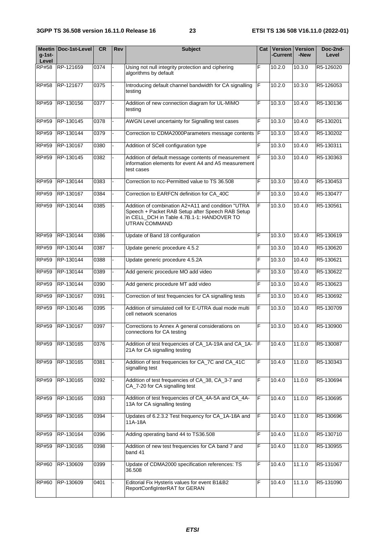| $q-1$ st-<br>Level | Meetin   Doc-1st-Level | <b>CR</b> | <b>Rev</b> | <b>Subject</b>                                                                                                                                                               | Cat | Version<br>-Current | <b>Version</b><br>-New | Doc-2nd-<br>Level |
|--------------------|------------------------|-----------|------------|------------------------------------------------------------------------------------------------------------------------------------------------------------------------------|-----|---------------------|------------------------|-------------------|
| $R\overline{P#58}$ | RP-121659              | 0374      |            | Using not null integrity protection and ciphering<br>algorithms by default                                                                                                   | F   | 10.2.0              | 10.3.0                 | R5-126020         |
| <b>RP#58</b>       | RP-121677              | 0375      |            | Introducing default channel bandwidth for CA signalling<br>testing                                                                                                           | F   | 10.2.0              | 10.3.0                 | R5-126053         |
| RP#59              | RP-130156              | 0377      |            | Addition of new connection diagram for UL-MIMO<br>testing                                                                                                                    | F   | 10.3.0              | 10.4.0                 | R5-130136         |
| RP#59              | RP-130145              | 0378      |            | AWGN Level uncertainty for Signalling test cases                                                                                                                             | F   | 10.3.0              | 10.4.0                 | R5-130201         |
| RP#59              | RP-130144              | 0379      |            | Correction to CDMA2000Parameters message contents F                                                                                                                          |     | 10.3.0              | 10.4.0                 | R5-130202         |
| RP#59              | RP-130167              | 0380      |            | Addition of SCell configuration type                                                                                                                                         | F   | 10.3.0              | 10.4.0                 | R5-130311         |
| RP#59              | RP-130145              | 0382      |            | Addition of default message contents of measurement<br>information elements for event A4 and A5 measurement<br>test cases                                                    | F   | 10.3.0              | 10.4.0                 | R5-130363         |
| RP#59              | RP-130144              | 0383      |            | Correction to ncc-Permitted value to TS 36.508                                                                                                                               | F   | 10.3.0              | 10.4.0                 | R5-130453         |
| RP#59              | RP-130167              | 0384      |            | Correction to EARFCN definition for CA_40C                                                                                                                                   | F   | 10.3.0              | 10.4.0                 | R5-130477         |
| RP#59              | RP-130144              | 0385      |            | Addition of combination A2+A11 and condition "UTRA<br>Speech + Packet RAB Setup after Speech RAB Setup<br>in CELL DCH in Table 4.7B.1-1: HANDOVER TO<br><b>UTRAN COMMAND</b> | F   | 10.3.0              | 10.4.0                 | R5-130561         |
| RP#59              | RP-130144              | 0386      |            | Update of Band 18 configuration                                                                                                                                              | F   | 10.3.0              | 10.4.0                 | R5-130619         |
| RP#59              | RP-130144              | 0387      |            | Update generic procedure 4.5.2                                                                                                                                               | F   | 10.3.0              | 10.4.0                 | R5-130620         |
| RP#59              | RP-130144              | 0388      |            | Update generic procedure 4.5.2A                                                                                                                                              | F   | 10.3.0              | 10.4.0                 | R5-130621         |
| RP#59              | RP-130144              | 0389      |            | Add generic procedure MO add video                                                                                                                                           | F   | 10.3.0              | 10.4.0                 | R5-130622         |
| RP#59              | RP-130144              | 0390      |            | Add generic procedure MT add video                                                                                                                                           | F   | 10.3.0              | 10.4.0                 | R5-130623         |
| RP#59              | RP-130167              | 0391      |            | Correction of test frequencies for CA signalling tests                                                                                                                       | F   | 10.3.0              | 10.4.0                 | R5-130692         |
| RP#59              | RP-130146              | 0395      |            | Addition of simulated cell for E-UTRA dual mode multi<br>cell network scenarios                                                                                              | F   | 10.3.0              | 10.4.0                 | R5-130709         |
| RP#59              | RP-130167              | 0397      |            | Corrections to Annex A general considerations on<br>connections for CA testing                                                                                               | F   | 10.3.0              | 10.4.0                 | R5-130900         |
| RP#59              | RP-130165              | 0376      |            | Addition of test frequencies of CA_1A-19A and CA_1A- F<br>21A for CA signalling testing                                                                                      |     | 10.4.0              | 11.0.0                 | R5-130087         |
| RP#59              | RP-130165              | 0381      |            | Addition of test frequencies for CA_7C and CA_41C<br>signalling test                                                                                                         | F   | 10.4.0              | 11.0.0                 | R5-130343         |
| RP#59              | RP-130165              | 0392      |            | Addition of test frequencies of CA_38, CA_3-7 and<br>CA_7-20 for CA signalling test                                                                                          | F   | 10.4.0              | 11.0.0                 | R5-130694         |
| RP#59              | RP-130165              | 0393      |            | Addition of test frequencies of CA_4A-5A and CA_4A-<br>13A for CA signalling testing                                                                                         | F   | 10.4.0              | 11.0.0                 | R5-130695         |
| RP#59              | RP-130165              | 0394      |            | Updates of 6.2.3.2 Test frequency for CA_1A-18A and<br>11A-18A                                                                                                               | F   | 10.4.0              | 11.0.0                 | R5-130696         |
| RP#59              | RP-130164              | 0396      |            | Adding operating band 44 to TS36.508                                                                                                                                         | F   | 10.4.0              | 11.0.0                 | R5-130710         |
| RP#59              | RP-130165              | 0398      |            | Addition of new test frequencies for CA band 7 and<br>band 41                                                                                                                | F   | 10.4.0              | 11.0.0                 | R5-130955         |
| RP#60              | RP-130609              | 0399      |            | Update of CDMA2000 specification references: TS<br>36.508                                                                                                                    | F   | 10.4.0              | 11.1.0                 | R5-131067         |
| RP#60              | RP-130609              | 0401      |            | Editorial Fix Hysteris values for event B1&B2<br>ReportConfigInterRAT for GERAN                                                                                              | F   | 10.4.0              | 11.1.0                 | R5-131090         |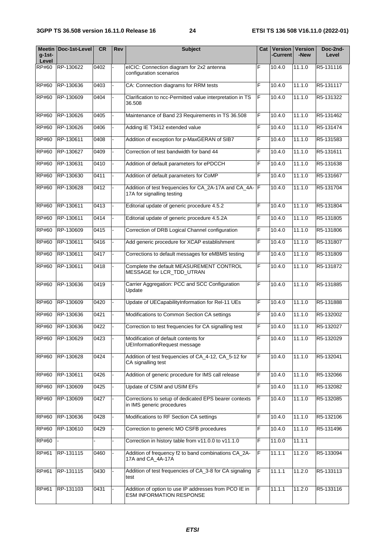| $q-1$ st-<br>Level | Meetin   Doc-1st-Level | <b>CR</b> | Rev | <b>Subject</b>                                                                           | Cat | <b>Version</b><br>-Current | <b>Version</b><br>-New | Doc-2nd-<br>Level |
|--------------------|------------------------|-----------|-----|------------------------------------------------------------------------------------------|-----|----------------------------|------------------------|-------------------|
| RP#60              | RP-130622              | 0402      |     | elCIC: Connection diagram for 2x2 antenna<br>configuration scenarios                     | F   | 10.4.0                     | 11.1.0                 | R5-131116         |
| <b>RP#60</b>       | RP-130636              | 0403      |     | CA: Connection diagrams for RRM tests                                                    | F   | 10.4.0                     | 11.1.0                 | R5-131117         |
| <b>RP#60</b>       | RP-130609              | 0404      |     | Clarification to ncc-Permitted value interpretation in TS<br>36.508                      | F   | 10.4.0                     | 11.1.0                 | R5-131322         |
| <b>RP#60</b>       | RP-130626              | 0405      |     | Maintenance of Band 23 Requirements in TS 36.508                                         | F   | 10.4.0                     | 11.1.0                 | R5-131462         |
| <b>RP#60</b>       | RP-130626              | 0406      |     | Adding IE T3412 extended value                                                           | F   | 10.4.0                     | 11.1.0                 | R5-131474         |
| <b>RP#60</b>       | RP-130611              | 0408      |     | Addition of exception for p-MaxGERAN of SIB7                                             | F   | 10.4.0                     | 11.1.0                 | R5-131583         |
| <b>RP#60</b>       | RP-130627              | 0409      |     | Correction of test bandwidth for band 44                                                 | F.  | 10.4.0                     | 11.1.0                 | R5-131611         |
| <b>RP#60</b>       | RP-130631              | 0410      |     | Addition of default parameters for ePDCCH                                                | F   | 10.4.0                     | 11.1.0                 | R5-131638         |
| <b>RP#60</b>       | RP-130630              | 0411      |     | Addition of default parameters for CoMP                                                  | F   | 10.4.0                     | 11.1.0                 | R5-131667         |
| <b>RP#60</b>       | RP-130628              | 0412      |     | Addition of test frequencies for CA_2A-17A and CA_4A- F<br>17A for signalling testing    |     | 10.4.0                     | 11.1.0                 | R5-131704         |
| <b>RP#60</b>       | RP-130611              | 0413      |     | Editorial update of generic procedure 4.5.2                                              | F   | 10.4.0                     | 11.1.0                 | R5-131804         |
| <b>RP#60</b>       | RP-130611              | 0414      |     | Editorial update of generic procedure 4.5.2A                                             | F   | 10.4.0                     | 11.1.0                 | R5-131805         |
| <b>RP#60</b>       | RP-130609              | 0415      |     | Correction of DRB Logical Channel configuration                                          | F   | 10.4.0                     | 11.1.0                 | R5-131806         |
| <b>RP#60</b>       | RP-130611              | 0416      |     | Add generic procedure for XCAP establishment                                             | F   | 10.4.0                     | 11.1.0                 | R5-131807         |
| <b>RP#60</b>       | RP-130611              | 0417      |     | Corrections to default messages for eMBMS testing                                        | F   | 10.4.0                     | 11.1.0                 | R5-131809         |
| <b>RP#60</b>       | RP-130611              | 0418      |     | Complete the default MEASUREMENT CONTROL<br>MESSAGE for LCR_TDD_UTRAN                    | F   | 10.4.0                     | 11.1.0                 | R5-131872         |
| <b>RP#60</b>       | RP-130636              | 0419      |     | Carrier Aggregation: PCC and SCC Configuration<br>Update                                 | F   | 10.4.0                     | 11.1.0                 | R5-131885         |
| <b>RP#60</b>       | RP-130609              | 0420      |     | Update of UECapabilityInformation for Rel-11 UEs                                         | F   | 10.4.0                     | 11.1.0                 | R5-131888         |
| <b>RP#60</b>       | RP-130636              | 0421      |     | Modifications to Common Section CA settings                                              | F   | 10.4.0                     | 11.1.0                 | R5-132002         |
| <b>RP#60</b>       | RP-130636              | 0422      |     | Correction to test frequencies for CA signalling test                                    | F   | 10.4.0                     | 11.1.0                 | R5-132027         |
| <b>RP#60</b>       | RP-130629              | 0423      |     | Modification of default contents for<br>UEInformationRequest message                     | F   | 10.4.0                     | 11.1.0                 | R5-132029         |
| <b>RP#60</b>       | RP-130628              | 0424      |     | Addition of test frequencies of CA_4-12, CA_5-12 for<br>CA signalling test               | F   | 10.4.0                     | 11.1.0                 | R5-132041         |
| <b>RP#60</b>       | RP-130611              | 0426      |     | Addition of generic procedure for IMS call release                                       | F   | 10.4.0                     | 11.1.0                 | R5-132066         |
| <b>RP#60</b>       | RP-130609              | 0425      |     | Update of CSIM and USIM EFs                                                              | F   | 10.4.0                     | 11.1.0                 | R5-132082         |
| <b>RP#60</b>       | RP-130609              | 0427      |     | Corrections to setup of dedicated EPS bearer contexts<br>in IMS generic procedures       | F   | 10.4.0                     | 11.1.0                 | R5-132085         |
| RP#60              | RP-130636              | 0428      |     | Modifications to RF Section CA settings                                                  | F   | 10.4.0                     | 11.1.0                 | R5-132106         |
| <b>RP#60</b>       | RP-130610              | 0429      |     | Correction to generic MO CSFB procedures                                                 | F   | 10.4.0                     | 11.1.0                 | R5-131496         |
| <b>RP#60</b>       |                        |           |     | Correction in history table from v11.0.0 to v11.1.0                                      | F   | 11.0.0                     | 11.1.1                 |                   |
| <b>RP#61</b>       | RP-131115              | 0460      |     | Addition of frequency f2 to band combinations CA_2A-<br>17A and CA_4A-17A                | F   | 11.1.1                     | 11.2.0                 | R5-133094         |
| RP#61              | RP-131115              | 0430      |     | Addition of test frequencies of CA_3-8 for CA signaling<br>test                          | F   | 11.1.1                     | 11.2.0                 | R5-133113         |
| <b>RP#61</b>       | RP-131103              | 0431      |     | Addition of option to use IP addresses from PCO IE in<br><b>ESM INFORMATION RESPONSE</b> | F   | 11.1.1                     | 11.2.0                 | R5-133116         |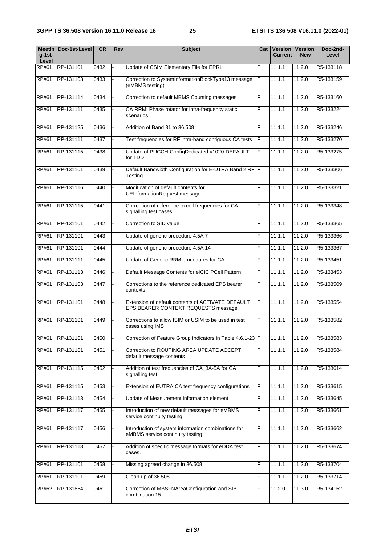| $q-1$ st-<br>Level | Meetin Doc-1st-Level | <b>CR</b> | Rev | <b>Subject</b>                                                                           | Cat | Version<br><b>Current</b> | <b>Version</b><br>-New | Doc-2nd-<br>Level |
|--------------------|----------------------|-----------|-----|------------------------------------------------------------------------------------------|-----|---------------------------|------------------------|-------------------|
| RP#61              | RP-131101            | 0432      |     | Update of CSIM Elementary File for EPRL                                                  | F   | 11.1.1                    | 11.2.0                 | R5-133118         |
| RP#61              | RP-131103            | 0433      |     | Correction to SystemInformationBlockType13 message<br>(eMBMS testing)                    | F   | 11.1.1                    | 11.2.0                 | R5-133159         |
| RP#61              | RP-131114            | 0434      |     | Correction to default MBMS Counting messages                                             | F   | 11.1.1                    | 11.2.0                 | R5-133160         |
| <b>RP#61</b>       | RP-131111            | 0435      |     | CA RRM: Phase rotator for intra-frequency static<br>scenarios                            | F   | 11.1.1                    | 11.2.0                 | R5-133224         |
| RP#61              | RP-131125            | 0436      |     | Addition of Band 31 to 36.508                                                            | F   | 11.1.1                    | 11.2.0                 | R5-133246         |
| RP#61              | RP-131111            | 0437      |     | Test frequencies for RF intra-band contiguous CA tests                                   | F   | 11.1.1                    | 11.2.0                 | R5-133270         |
| <b>RP#61</b>       | RP-131115            | 0438      |     | Update of PUCCH-ConfigDedicated-v1020-DEFAULT<br>for TDD                                 | F   | 11.1.1                    | 11.2.0                 | R5-133275         |
| RP#61              | RP-131101            | 0439      |     | Default Bandwidth Configuration for E-UTRA Band 2 RF F<br>Testing                        |     | 11.1.1                    | 11.2.0                 | R5-133306         |
| RP#61              | RP-131116            | 0440      |     | Modification of default contents for<br>UEInformationRequest message                     | F   | 11.1.1                    | 11.2.0                 | R5-133321         |
| RP#61              | RP-131115            | 0441      |     | Correction of reference to cell frequencies for CA<br>signalling test cases              | F   | 11.1.1                    | 11.2.0                 | R5-133348         |
| RP#61              | RP-131101            | 0442      |     | Correction to SID value                                                                  | E   | 11.1.1                    | 11.2.0                 | R5-133365         |
| RP#61              | RP-131101            | 0443      |     | Update of generic procedure 4.5A.7                                                       | F   | 11.1.1                    | 11.2.0                 | R5-133366         |
| <b>RP#61</b>       | RP-131101            | 0444      |     | Update of generic procedure 4.5A.14                                                      | F   | 11.1.1                    | 11.2.0                 | R5-133367         |
| <b>RP#61</b>       | RP-131111            | 0445      |     | Update of Generic RRM procedures for CA                                                  | F   | 11.1.1                    | 11.2.0                 | R5-133451         |
| <b>RP#61</b>       | RP-131113            | 0446      |     | Default Message Contents for eICIC PCell Pattern                                         | F   | 11.1.1                    | 11.2.0                 | R5-133453         |
| <b>RP#61</b>       | RP-131103            | 0447      |     | Corrections to the reference dedicated EPS bearer<br>contexts                            | F   | 11.1.1                    | 11.2.0                 | R5-133509         |
| RP#61              | RP-131101            | 0448      |     | Extension of default contents of ACTIVATE DEFAULT<br>EPS BEARER CONTEXT REQUESTS message | F   | 11.1.1                    | 11.2.0                 | R5-133554         |
| RP#61              | RP-131101            | 0449      |     | Corrections to allow ISIM or USIM to be used in test<br>cases using IMS                  | E   | 11.1.1                    | 11.2.0                 | R5-133582         |
| RP#61              | RP-131101            | 0450      |     | Correction of Feature Group Indicators in Table 4.6.1-23 F                               |     | 11.1.1                    | 11.2.0                 | R5-133583         |
| RP#61              | RP-131101            | 0451      |     | Correction to ROUTING AREA UPDATE ACCEPT<br>default message contents                     | F   | 11.1.1                    | 11.2.0                 | R5-133584         |
| RP#61              | RP-131115            | 0452      |     | Addition of test frequencies of CA_3A-5A for CA<br>signalling test                       | F   | 11.1.1                    | 11.2.0                 | R5-133614         |
| RP#61              | RP-131115            | 0453      |     | Extension of EUTRA CA test frequency configurations                                      | F   | 11.1.1                    | 11.2.0                 | R5-133615         |
| RP#61              | RP-131113            | 0454      |     | Update of Measurement information element                                                | F   | 11.1.1                    | 11.2.0                 | R5-133645         |
| <b>RP#61</b>       | RP-131117            | 0455      |     | Introduction of new default messages for eMBMS<br>service continuity testing             | F   | 11.1.1                    | 11.2.0                 | R5-133661         |
| RP#61              | RP-131117            | 0456      |     | Introduction of system information combinations for<br>eMBMS service continuity testing  | F   | 11.1.1                    | 11.2.0                 | R5-133662         |
| RP#61              | RP-131118            | 0457      |     | Addition of specific message formats for eDDA test<br>cases.                             | F   | 11.1.1                    | 11.2.0                 | R5-133674         |
| RP#61              | RP-131101            | 0458      |     | Missing agreed change in 36.508                                                          | F   | 11.1.1                    | 11.2.0                 | R5-133704         |
| <b>RP#61</b>       | RP-131101            | 0459      |     | Clean up of 36.508                                                                       | F   | 11.1.1                    | 11.2.0                 | R5-133714         |
| RP#62              | RP-131864            | 0461      |     | Correction of MBSFNAreaConfiguration and SIB<br>combination 15                           | F   | 11.2.0                    | 11.3.0                 | R5-134152         |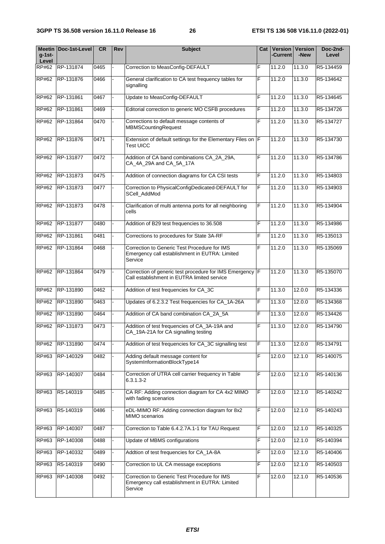|                    | Meetin Doc-1st-Level | <b>CR</b> | Rev | <b>Subject</b>                                                                                            | Cat | <b>Current</b> | Version   Version<br>-New | Doc-2nd-  |
|--------------------|----------------------|-----------|-----|-----------------------------------------------------------------------------------------------------------|-----|----------------|---------------------------|-----------|
| $q-1$ st-<br>Level |                      |           |     |                                                                                                           |     |                |                           | Level     |
| RP#62              | RP-131874            | 0465      |     | Correction to MeasConfig-DEFAULT                                                                          | F   | 11.2.0         | 11.3.0                    | R5-134459 |
| RP#62              | RP-131876            | 0466      |     | General clarification to CA test frequency tables for<br>signalling                                       | F   | 11.2.0         | 11.3.0                    | R5-134642 |
| RP#62              | RP-131861            | 0467      |     | Update to MeasConfig-DEFAULT                                                                              | F   | 11.2.0         | 11.3.0                    | R5-134645 |
| <b>RP#62</b>       | RP-131861            | 0469      |     | Editorial correction to generic MO CSFB procedures                                                        | F   | 11.2.0         | 11.3.0                    | R5-134726 |
| <b>RP#62</b>       | RP-131864            | 0470      |     | Corrections to default message contents of<br><b>MBMSCountingRequest</b>                                  | F   | 11.2.0         | 11.3.0                    | R5-134727 |
| RP#62              | RP-131876            | 0471      |     | Extension of default settings for the Elementary Files on F<br>Test UICC                                  |     | 11.2.0         | 11.3.0                    | R5-134730 |
| RP#62              | RP-131877            | 0472      |     | Addition of CA band combinations CA_2A_29A,<br>CA_4A_29A and CA_5A_17A                                    | F   | 11.2.0         | 11.3.0                    | R5-134786 |
| RP#62              | RP-131873            | 0475      |     | Addition of connection diagrams for CA CSI tests                                                          | F   | 11.2.0         | 11.3.0                    | R5-134803 |
| RP#62              | RP-131873            | 0477      |     | Correction to PhysicalConfigDedicated-DEFAULT for<br>SCell AddMod                                         | F   | 11.2.0         | 11.3.0                    | R5-134903 |
| RP#62              | RP-131873            | 0478      |     | Clarification of multi antenna ports for all neighboring<br>cells                                         | F   | 11.2.0         | 11.3.0                    | R5-134904 |
| RP#62              | RP-131877            | 0480      |     | Addition of B29 test frequencies to 36.508                                                                | F   | 11.2.0         | 11.3.0                    | R5-134986 |
| <b>RP#62</b>       | RP-131861            | 0481      |     | Corrections to procedures for State 3A-RF                                                                 | F   | 11.2.0         | 11.3.0                    | R5-135013 |
| RP#62              | RP-131864            | 0468      |     | Correction to Generic Test Procedure for IMS<br>Emergency call establishment in EUTRA: Limited<br>Service | F   | 11.2.0         | 11.3.0                    | R5-135069 |
| RP#62              | RP-131864            | 0479      |     | Correction of generic test procedure for IMS Emergency F<br>Call establishment in EUTRA limited service   |     | 11.2.0         | 11.3.0                    | R5-135070 |
| RP#62              | RP-131890            | 0462      |     | Addition of test frequencies for CA_3C                                                                    | F   | 11.3.0         | 12.0.0                    | R5-134336 |
| <b>RP#62</b>       | RP-131890            | 0463      |     | Updates of 6.2.3.2 Test frequencies for CA_1A-26A                                                         | F   | 11.3.0         | 12.0.0                    | R5-134368 |
| RP#62              | RP-131890            | 0464      |     | Addition of CA band combination CA_2A_5A                                                                  | F   | 11.3.0         | 12.0.0                    | R5-134426 |
| RP#62              | RP-131873            | 0473      |     | Addition of test frequencies of CA_3A-19A and<br>CA_19A-21A for CA signalling testing                     | F   | 11.3.0         | 12.0.0                    | R5-134790 |
| RP#62              | RP-131890            | 0474      |     | Addition of test frequencies for CA_3C signalling test                                                    | F   | 11.3.0         | 12.0.0                    | R5-134791 |
| RP#63              | RP-140329            | 0482      |     | Adding default message content for<br>SystemInformationBlockType14                                        | E   | 12.0.0         | 12.1.0                    | R5-140075 |
| RP#63              | RP-140307            | 0484      |     | Correction of UTRA cell carrier frequency in Table<br>$6.3.1.3 - 2$                                       | F   | 12.0.0         | 12.1.0                    | R5-140136 |
| RP#63              | R5-140319            | 0485      |     | CA RF: Adding connection diagram for CA 4x2 MIMO<br>with fading scenarios                                 | F   | 12.0.0         | 12.1.0                    | R5-140242 |
| RP#63              | R5-140319            | 0486      |     | eDL-MIMO RF: Adding connection diagram for 8x2<br>MIMO scenarios                                          | F   | 12.0.0         | 12.1.0                    | R5-140243 |
| RP#63              | RP-140307            | 0487      |     | Correction to Table 6.4.2.7A.1-1 for TAU Request                                                          | F   | 12.0.0         | 12.1.0                    | R5-140325 |
| RP#63              | RP-140308            | 0488      |     | Update of MBMS configurations                                                                             | F   | 12.0.0         | 12.1.0                    | R5-140394 |
| RP#63              | RP-140332            | 0489      |     | Addtion of test frequencies for CA_1A-8A                                                                  | F   | 12.0.0         | 12.1.0                    | R5-140406 |
| RP#63              | R5-140319            | 0490      |     | Correction to UL CA message exceptions                                                                    | E   | 12.0.0         | 12.1.0                    | R5-140503 |
| RP#63              | RP-140308            | 0492      |     | Correction to Generic Test Procedure for IMS<br>Emergency call establishment in EUTRA: Limited<br>Service | F   | 12.0.0         | 12.1.0                    | R5-140536 |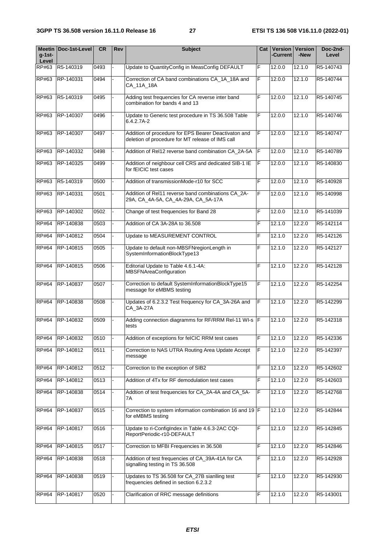| $q-1$ st-<br>Level | Meetin Doc-1st-Level | <b>CR</b> | Rev | <b>Subject</b>                                                                                           | Cat | Version  <br><b>Current</b> | <b>Version</b><br>-New | Doc-2nd-<br>Level |
|--------------------|----------------------|-----------|-----|----------------------------------------------------------------------------------------------------------|-----|-----------------------------|------------------------|-------------------|
| RP#63              | R5-140319            | 0493      |     | Update to QuantityConfig in MeasConfig DEFAULT                                                           | F   | 12.0.0                      | 12.1.0                 | R5-140743         |
| RP#63              | RP-140331            | 0494      |     | Correction of CA band combinations CA_1A_18A and<br>CA_11A_18A                                           | F   | 12.0.0                      | 12.1.0                 | R5-140744         |
| RP#63              | R5-140319            | 0495      |     | Adding test frequencies for CA reverse inter band<br>combination for bands 4 and 13                      | F   | 12.0.0                      | 12.1.0                 | R5-140745         |
| RP#63              | RP-140307            | 0496      |     | Update to Generic test procedure in TS 36.508 Table<br>6.4.2.7A-2                                        | F   | 12.0.0                      | 12.1.0                 | R5-140746         |
| RP#63              | RP-140307            | 0497      |     | Addition of procedure for EPS Bearer Deactivaton and<br>deletion of procedure for MT release of IMS call | F   | 12.0.0                      | 12.1.0                 | R5-140747         |
| RP#63              | RP-140332            | 0498      |     | Addition of Rel12 reverse band combination CA_2A-5A                                                      | F   | 12.0.0                      | 12.1.0                 | R5-140789         |
| RP#63              | RP-140325            | 0499      |     | Addition of neighbour cell CRS and dedicated SIB-1 IE<br>for fEICIC test cases                           | F   | 12.0.0                      | 12.1.0                 | R5-140830         |
| RP#63              | R5-140319            | 0500      |     | Addition of transmissionMode-r10 for SCC                                                                 | F   | 12.0.0                      | 12.1.0                 | R5-140928         |
| RP#63              | RP-140331            | 0501      |     | Addition of Rel11 reverse band combinations CA_2A-<br>29A, CA_4A-5A, CA_4A-29A, CA_5A-17A                | F   | 12.0.0                      | 12.1.0                 | R5-140998         |
| RP#63              | RP-140302            | 0502      |     | Change of test frequencies for Band 28                                                                   | F   | 12.0.0                      | 12.1.0                 | R5-141039         |
| RP#64              | RP-140838            | 0503      |     | Addition of CA 3A-28A to 36.508                                                                          | F   | 12.1.0                      | 12.2.0                 | R5-142114         |
| <b>RP#64</b>       | RP-140812            | 0504      |     | Update to MEASUREMENT CONTROL                                                                            | F   | 12.1.0                      | 12.2.0                 | R5-142126         |
| RP#64              | RP-140815            | 0505      |     | Update to default non-MBSFNregionLength in<br>SystemInformationBlockType13                               | F   | 12.1.0                      | 12.2.0                 | R5-142127         |
| <b>RP#64</b>       | RP-140815            | 0506      |     | Editorial Update to Table 4.6.1-4A:<br><b>MBSFNAreaConfiguration</b>                                     | F   | 12.1.0                      | 12.2.0                 | R5-142128         |
| RP#64              | RP-140837            | 0507      |     | Correction to default SystemInformationBlockType15<br>message for eMBMS testing                          | F   | 12.1.0                      | 12.2.0                 | R5-142254         |
| RP#64              | RP-140838            | 0508      |     | Updates of 6.2.3.2 Test frequency for CA_3A-26A and<br>CA_3A-27A                                         | F   | 12.1.0                      | 12.2.0                 | R5-142299         |
| <b>RP#64</b>       | RP-140832            | 0509      |     | Adding connection diagramms for RF/RRM Rel-11 WI-s F<br>tests                                            |     | 12.1.0                      | 12.2.0                 | R5-142318         |
| RP#64              | RP-140832            | 0510      |     | Addition of exceptions for felCIC RRM test cases                                                         | F   | 12.1.0                      | 12.2.0                 | R5-142336         |
| RP#64              | RP-140812            | 0511      |     | Correction to NAS UTRA Routing Area Update Accept<br>message                                             | F   | 12.1.0                      | 12.2.0                 | R5-142397         |
| <b>RP#64</b>       | RP-140812            | 0512      |     | Correction to the exception of SIB2                                                                      | F   | 12.1.0                      | 12.2.0                 | R5-142602         |
| RP#64              | RP-140812            | 0513      |     | Addition of 4Tx for RF demodulation test cases                                                           | F   | 12.1.0                      | 12.2.0                 | R5-142603         |
| RP#64              | RP-140838            | 0514      |     | Addtion of test frequencies for CA_2A-4A and CA_5A-<br>7A                                                | F   | 12.1.0                      | 12.2.0                 | R5-142768         |
| RP#64              | RP-140837            | 0515      |     | Correction to system information combination 16 and 19 F<br>for eMBMS testing                            |     | 12.1.0                      | 12.2.0                 | R5-142844         |
| RP#64              | RP-140817            | 0516      |     | Update to ri-ConfigIndex in Table 4.6.3-2AC CQI-<br>ReportPeriodic-r10-DEFAULT                           | F   | 12.1.0                      | 12.2.0                 | R5-142845         |
| <b>RP#64</b>       | RP-140815            | 0517      |     | Correction to MFBI Frequencies in 36.508                                                                 | F   | 12.1.0                      | 12.2.0                 | R5-142846         |
| RP#64              | RP-140838            | 0518      |     | Addition of test frequencies of CA_39A-41A for CA<br>signalling testing in TS 36.508                     | F   | 12.1.0                      | 12.2.0                 | R5-142928         |
| RP#64              | RP-140838            | 0519      |     | Updates to TS 36.508 for CA_27B sianlling test<br>frequencies defined in section 6.2.3.2                 | F   | 12.1.0                      | 12.2.0                 | R5-142930         |
| RP#64              | RP-140817            | 0520      |     | Clarification of RRC message definitions                                                                 | F   | 12.1.0                      | 12.2.0                 | R5-143001         |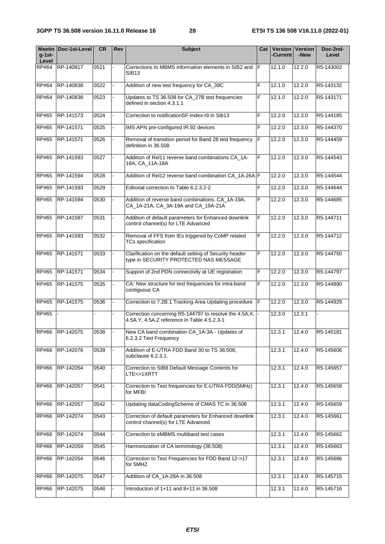| $q-1$ st-<br>Level | Meetin   Doc-1st-Level | <b>CR</b> | Rev | <b>Subject</b>                                                                                        |     | Cat   Version   Version<br>-Current l | -New   | Doc-2nd-<br>Level |
|--------------------|------------------------|-----------|-----|-------------------------------------------------------------------------------------------------------|-----|---------------------------------------|--------|-------------------|
| RP#64              | RP-140817              | 0521      |     | Corrections to MBMS information elements in SIB2 and F<br>SIB <sub>13</sub>                           |     | 12.1.0                                | 12.2.0 | R5-143002         |
| <b>RP#64</b>       | RP-140838              | 0522      |     | Addition of new test frequency for CA_39C                                                             | F   | 12.1.0                                | 12.2.0 | R5-143132         |
| <b>RP#64</b>       | RP-140838              | 0523      |     | Updates to TS 36.508 for CA_27B test frequencies<br>defined in section 4.3.1.1                        | F.  | 12.1.0                                | 12.2.0 | R5-143171         |
| <b>RP#65</b>       | RP-141573              | 0524      |     | Correction to notificationSF-Index-r9 in Sib13                                                        | F   | 12.2.0                                | 12.3.0 | R5-144185         |
| <b>RP#65</b>       | RP-141571              | 0525      |     | IMS APN pre-configured IR.92 devices                                                                  | F   | 12.2.0                                | 12.3.0 | R5-144370         |
| <b>RP#65</b>       | RP-141571              | 0526      |     | Removal of transition period for Band 28 test frequency<br>definition in 36.508                       | F   | 12.2.0                                | 12.3.0 | R5-144459         |
| <b>RP#65</b>       | RP-141593              | 0527      |     | Addition of Rel11 reverse band combinations CA_1A-<br>18A, CA_11A-18A                                 | F.  | 12.2.0                                | 12.3.0 | R5-144543         |
| <b>RP#65</b>       | RP-141594              | 0528      |     | Addition of Rel12 reverse band combination CA_1A-26A F                                                |     | 12.2.0                                | 12.3.0 | R5-144544         |
| <b>RP#65</b>       | RP-141593              | 0529      |     | Editorial correction to Table 6.2.3.2-2                                                               | F.  | 12.2.0                                | 12.3.0 | R5-144644         |
| <b>RP#65</b>       | RP-141594              | 0530      |     | Addition of reverse band combinations, CA_1A-19A,<br>CA_1A-21A, CA_3A-19A and CA_19A-21A              | F   | 12.2.0                                | 12.3.0 | R5-144685         |
| <b>RP#65</b>       | RP-141587              | 0531      |     | Addition of default parameters for Enhanced downlink<br>control channel(s) for LTE Advanced           | F   | 12.2.0                                | 12.3.0 | R5-144711         |
| <b>RP#65</b>       | RP-141593              | 0532      |     | Removal of FFS from IEs triggered by CoMP related<br>TCs specification                                | F   | 12.2.0                                | 12.3.0 | R5-144712         |
| <b>RP#65</b>       | RP-141571              | 0533      |     | Clarification on the default setting of Security header<br>type in SECURITY PROTECTED NAS MESSAGE     | F.  | 12.2.0                                | 12.3.0 | R5-144750         |
| <b>RP#65</b>       | RP-141571              | 0534      |     | Support of 2nd PDN connectivity at UE registration                                                    | F   | 12.2.0                                | 12.3.0 | R5-144797         |
| <b>RP#65</b>       | RP-141575              | 0535      |     | CA: New structure for test frequencies for intra-band<br>contiguous CA                                | F   | 12.2.0                                | 12.3.0 | R5-144890         |
| <b>RP#65</b>       | RP-141575              | 0536      |     | Correction to 7.2B.1 Tracking Area Updating procedure                                                 | lF. | 12.2.0                                | 12.3.0 | R5-144929         |
| <b>RP#65</b>       |                        |           |     | Correction concerning R5-144797 to resolve the 4.5A.X,<br>4.5A.Y, 4.5A.Z reference in Table 4.5.2.3-1 |     | 12.3.0                                | 12.3.1 |                   |
|                    | RP#66 RP-142075        | 0538      |     | New CA band combination CA_1A-3A - Updates of<br>6.2.3.2 Test Frequency                               |     | 12.3.1                                | 12.4.0 | R5-145181         |
| <b>RP#66</b>       | RP-142076              | 0539      |     | Addition of E-UTRA FDD Band 30 to TS 36.508,<br>subclause 6.2.3.1.                                    |     | 12.3.1                                | 12.4.0 | R5-145606         |
| <b>RP#66</b>       | RP-142054              | 0540      |     | Correction to SIB8 Default Message Contents for<br>LTE<>1XRTT                                         |     | 12.3.1                                | 12.4.0 | R5-145657         |
| <b>RP#66</b>       | RP-142057              | 0541      |     | Correction to Test frequencies for E-UTRA FDD(5MHz)<br>for MFBI                                       |     | 12.3.1                                | 12.4.0 | R5-145658         |
| <b>RP#66</b>       | RP-142057              | 0542      |     | Updating dataCodingScheme of CMAS TC in 36.508                                                        |     | 12.3.1                                | 12.4.0 | R5-145659         |
| <b>RP#66</b>       | RP-142074              | 0543      |     | Correction of default parameters for Enhanced downlink<br>control channel(s) for LTE Advanced         |     | 12.3.1                                | 12.4.0 | R5-145661         |
| <b>RP#66</b>       | RP-142074              | 0544      |     | Correction to eMBMS multiband test cases                                                              |     | 12.3.1                                | 12.4.0 | R5-145662         |
| <b>RP#66</b>       | RP-142059              | 0545      |     | Harmonization of CA terminology (36.508)                                                              |     | 12.3.1                                | 12.4.0 | R5-145663         |
| <b>RP#66</b>       | RP-142054              | 0546      |     | Correction to Test Frequencies for FDD Band 12->17<br>for 5MHZ                                        |     | 12.3.1                                | 12.4.0 | R5-145686         |
| <b>RP#66</b>       | RP-142075              | 0547      |     | Addition of CA_1A-28A in 36.508                                                                       |     | 12.3.1                                | 12.4.0 | R5-145715         |
| <b>RP#66</b>       | RP-142075              | 0548      |     | Introduction of $1+11$ and $8+11$ in 36.508                                                           |     | 12.3.1                                | 12.4.0 | R5-145716         |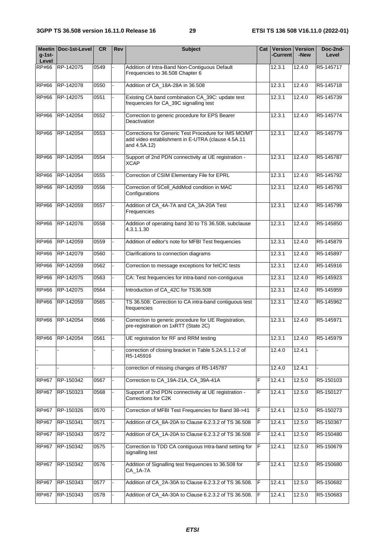|                    | <b>Meetin Doc-1st-Level</b> | <b>CR</b> | Rev | <b>Subject</b>                                                                                                            | Cat | <b>Version</b> | <b>Version</b> | Doc-2nd-  |
|--------------------|-----------------------------|-----------|-----|---------------------------------------------------------------------------------------------------------------------------|-----|----------------|----------------|-----------|
| $g-1$ st-<br>Level |                             |           |     |                                                                                                                           |     | -Current       | -New           | Level     |
|                    | RP#66 RP-142075             | 0549      |     | Addition of Intra-Band Non-Contiguous Default<br>Frequencies to 36.508 Chapter 6                                          |     | 12.3.1         | 12.4.0         | R5-145717 |
| RP#66              | RP-142078                   | 0550      |     | Addition of CA_18A-28A in 36.508                                                                                          |     | 12.3.1         | 12.4.0         | R5-145718 |
| RP#66              | RP-142075                   | 0551      |     | Existing CA band combination CA_39C: update test<br>frequencies for CA_39C signalling test                                |     | 12.3.1         | 12.4.0         | R5-145739 |
| RP#66              | RP-142054                   | 0552      |     | Correction to generic procedure for EPS Bearer<br>Deactivation                                                            |     | 12.3.1         | 12.4.0         | R5-145774 |
| RP#66              | RP-142054                   | 0553      |     | Corrections for Generic Test Procedure for IMS MO/MT<br>add video establishment in E-UTRA (clause 4.5A.11<br>and 4.5A.12) |     | 12.3.1         | 12.4.0         | R5-145779 |
| RP#66              | RP-142054                   | 0554      |     | Support of 2nd PDN connectivity at UE registration -<br><b>XCAP</b>                                                       |     | 12.3.1         | 12.4.0         | R5-145787 |
| <b>RP#66</b>       | RP-142054                   | 0555      |     | Correction of CSIM Elementary File for EPRL                                                                               |     | 12.3.1         | 12.4.0         | R5-145792 |
| RP#66              | RP-142059                   | 0556      |     | Correction of SCell_AddMod condition in MAC<br>Configurations                                                             |     | 12.3.1         | 12.4.0         | R5-145793 |
| RP#66              | RP-142059                   | 0557      |     | Addition of CA_4A-7A and CA_3A-20A Test<br>Frequencies                                                                    |     | 12.3.1         | 12.4.0         | R5-145799 |
| <b>RP#66</b>       | RP-142076                   | 0558      |     | Addition of operating band 30 to TS 36.508, subclause<br>4.3.1.1.30                                                       |     | 12.3.1         | 12.4.0         | R5-145850 |
| <b>RP#66</b>       | RP-142059                   | 0559      |     | Addition of editor's note for MFBI Test frequencies                                                                       |     | 12.3.1         | 12.4.0         | R5-145879 |
| <b>RP#66</b>       | RP-142079                   | 0560      |     | Clarifications to connection diagrams                                                                                     |     | 12.3.1         | 12.4.0         | R5-145897 |
| RP#66              | RP-142059                   | 0562      |     | Correction to message exceptions for felCIC tests                                                                         |     | 12.3.1         | 12.4.0         | R5-145916 |
| RP#66              | RP-142075                   | 0563      |     | CA: Test frequencies for intra-band non-contiguous                                                                        |     | 12.3.1         | 12.4.0         | R5-145923 |
| <b>RP#66</b>       | RP-142075                   | 0564      |     | Introduction of CA_42C for TS36.508                                                                                       |     | 12.3.1         | 12.4.0         | R5-145959 |
| <b>RP#66</b>       | RP-142059                   | 0565      |     | TS 36.508: Correction to CA intra-band contiguous test<br>frequencies                                                     |     | 12.3.1         | 12.4.0         | R5-145962 |
| <b>RP#66</b>       | RP-142054                   | 0566      |     | Correction to generic procedure for UE Registration,<br>pre-registration on 1xRTT (State 2C)                              |     | 12.3.1         | 12.4.0         | R5-145971 |
| RP#66              | RP-142054                   | 0561      |     | UE registration for RF and RRM testing                                                                                    |     | 12.3.1         | 12.4.0         | R5-145979 |
|                    |                             |           |     | correction of closing bracket in Table 5.2A.5.1.1-2 of<br>R5-145916                                                       |     | 12.4.0         | 12.4.1         |           |
|                    |                             |           |     | correction of missing changes of R5-145787                                                                                |     | 12.4.0         | 12.4.1         |           |
| <b>RP#67</b>       | RP-150342                   | 0567      |     | Correction to CA_19A-21A, CA_39A-41A                                                                                      | F   | 12.4.1         | 12.5.0         | R5-150103 |
| <b>RP#67</b>       | RP-150323                   | 0568      |     | Support of 2nd PDN connectivity at UE registration -<br>Corrections for C2K                                               | F   | 12.4.1         | 12.5.0         | R5-150127 |
| <b>RP#67</b>       | RP-150326                   | 0570      |     | Correction of MFBI Test Frequencies for Band 38->41                                                                       | F   | 12.4.1         | 12.5.0         | R5-150273 |
| <b>RP#67</b>       | RP-150341                   | 0571      |     | Addition of CA_8A-20A to Clause 6.2.3.2 of TS 36.508                                                                      | F   | 12.4.1         | 12.5.0         | R5-150367 |
| <b>RP#67</b>       | RP-150343                   | 0572      |     | Addition of CA_1A-20A to Clause 6.2.3.2 of TS 36.508                                                                      | F   | 12.4.1         | 12.5.0         | R5-150480 |
| <b>RP#67</b>       | RP-150342                   | 0575      |     | Correction to TDD CA contiguous Intra-band setting for<br>signalling test                                                 | F   | 12.4.1         | 12.5.0         | R5-150679 |
| <b>RP#67</b>       | RP-150342                   | 0576      |     | Addition of Signalling test frequencies to 36.508 for<br>CA_1A-7A                                                         | F   | 12.4.1         | 12.5.0         | R5-150680 |
| <b>RP#67</b>       | RP-150343                   | 0577      |     | Addition of CA_2A-30A to Clause 6.2.3.2 of TS 36.508.                                                                     | F   | 12.4.1         | 12.5.0         | R5-150682 |
| <b>RP#67</b>       | RP-150343                   | 0578      |     | Addition of CA_4A-30A to Clause 6.2.3.2 of TS 36.508.                                                                     | F   | 12.4.1         | 12.5.0         | R5-150683 |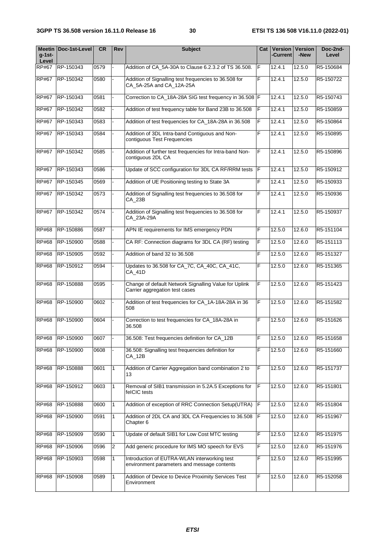| $q-1$ st-<br>Level | Meetin Doc-1st-Level | <b>CR</b> | Rev          | <b>Subject</b>                                                                              | Cat | <b>Version</b><br>∙Current l | <b>Version</b><br>-New | Doc-2nd-<br>Level |
|--------------------|----------------------|-----------|--------------|---------------------------------------------------------------------------------------------|-----|------------------------------|------------------------|-------------------|
| <b>RP#67</b>       | RP-150343            | 0579      |              | Addition of CA_5A-30A to Clause 6.2.3.2 of TS 36.508.                                       | F   | 12.4.1                       | 12.5.0                 | R5-150684         |
| <b>RP#67</b>       | RP-150342            | 0580      |              | Addition of Signalling test frequencies to 36.508 for<br>CA_5A-25A and CA_12A-25A           | F   | 12.4.1                       | 12.5.0                 | R5-150722         |
| <b>RP#67</b>       | RP-150343            | 0581      |              | Correction to CA_18A-28A SIG test frequency in 36.508 F                                     |     | 12.4.1                       | 12.5.0                 | R5-150743         |
| <b>RP#67</b>       | RP-150342            | 0582      |              | Addition of test frequency table for Band 23B to 36.508                                     | F   | 12.4.1                       | 12.5.0                 | R5-150859         |
| <b>RP#67</b>       | RP-150343            | 0583      |              | Addition of test frequencies for CA_18A-28A in 36.508                                       | F   | 12.4.1                       | 12.5.0                 | R5-150864         |
| <b>RP#67</b>       | RP-150343            | 0584      |              | Addition of 3DL Intra-band Contiguous and Non-<br>contiguous Test Frequencies               | F   | 12.4.1                       | 12.5.0                 | R5-150895         |
| <b>RP#67</b>       | RP-150342            | 0585      |              | Addition of further test frequencies for Intra-band Non-<br>contiguous 2DL CA               | F   | 12.4.1                       | 12.5.0                 | R5-150896         |
| <b>RP#67</b>       | RP-150343            | 0586      |              | Update of SCC configuration for 3DL CA RF/RRM tests                                         | IF  | 12.4.1                       | 12.5.0                 | R5-150912         |
| <b>RP#67</b>       | RP-150345            | 0569      |              | Addition of UE Positioning testing to State 3A                                              | F   | 12.4.1                       | 12.5.0                 | R5-150933         |
| <b>RP#67</b>       | RP-150342            | 0573      |              | Addition of Signalling test frequencies to 36.508 for<br>CA_23B                             | F   | 12.4.1                       | 12.5.0                 | R5-150936         |
| <b>RP#67</b>       | RP-150342            | 0574      |              | Addition of Signalling test frequencies to 36.508 for<br>CA_23A-29A                         | F   | 12.4.1                       | 12.5.0                 | R5-150937         |
| <b>RP#68</b>       | RP-150886            | 0587      |              | APN IE requirements for IMS emergency PDN                                                   | F   | 12.5.0                       | 12.6.0                 | R5-151104         |
| <b>RP#68</b>       | RP-150900            | 0588      |              | CA RF: Connection diagrams for 3DL CA (RF) testing                                          | F   | 12.5.0                       | 12.6.0                 | R5-151113         |
| <b>RP#68</b>       | RP-150905            | 0592      |              | Addition of band 32 to 36.508                                                               | F   | 12.5.0                       | 12.6.0                 | R5-151327         |
| <b>RP#68</b>       | RP-150912            | 0594      |              | Updates to 36.508 for CA_7C, CA_40C, CA_41C,<br><b>CA_41D</b>                               | F   | 12.5.0                       | 12.6.0                 | R5-151365         |
| <b>RP#68</b>       | RP-150888            | 0595      |              | Change of default Network Signalling Value for Uplink<br>Carrier aggregation test cases     | F   | 12.5.0                       | 12.6.0                 | R5-151423         |
| <b>RP#68</b>       | RP-150900            | 0602      |              | Addition of test frequencies for CA_1A-18A-28A in 36<br>508                                 | F   | 12.5.0                       | 12.6.0                 | R5-151582         |
| <b>RP#68</b>       | RP-150900            | 0604      |              | Correction to test frequencies for CA_18A-28A in<br>36.508                                  | F   | 12.5.0                       | 12.6.0                 | R5-151626         |
| <b>RP#68</b>       | RP-150900            | 0607      |              | 36.508: Test frequencies definition for CA_12B                                              | F   | 12.5.0                       | 12.6.0                 | R5-151658         |
| <b>RP#68</b>       | RP-150900            | 0608      |              | 36.508: Signalling test frequencies definition for<br>CA 12B                                | F   | 12.5.0                       | 12.6.0                 | R5-151660         |
| <b>RP#68</b>       | RP-150888            | 0601      |              | Addition of Carrier Aggregation band combination 2 to<br>13                                 | F   | 12.5.0                       | 12.6.0                 | R5-151737         |
| <b>RP#68</b>       | RP-150912            | 0603      | 1            | Removal of SIB1 transmission in 5.2A.5 Exceptions for<br>felCIC tests                       | F   | 12.5.0                       | 12.6.0                 | R5-151801         |
| <b>RP#68</b>       | RP-150888            | 0600      | 1            | Addition of exception of RRC Connection Setup(UTRA)                                         | Ī   | 12.5.0                       | 12.6.0                 | R5-151804         |
| <b>RP#68</b>       | RP-150900            | 0591      | $\mathbf{1}$ | Addition of 2DL CA and 3DL CA Frequencies to 36.508<br>Chapter 6                            | F   | 12.5.0                       | 12.6.0                 | R5-151967         |
| <b>RP#68</b>       | RP-150909            | 0590      | $\mathbf{1}$ | Update of default SIB1 for Low Cost MTC testing                                             | F   | 12.5.0                       | 12.6.0                 | R5-151975         |
| <b>RP#68</b>       | RP-150906            | 0596      | 2            | Add generic procedure for IMS MO speech for EVS                                             | F   | 12.5.0                       | 12.6.0                 | R5-151976         |
| <b>RP#68</b>       | RP-150903            | 0598      |              | Introduction of EUTRA-WLAN interworking test<br>environment parameters and message contents | F   | 12.5.0                       | 12.6.0                 | R5-151995         |
| <b>RP#68</b>       | RP-150908            | 0589      | 1            | Addition of Device to Device Proximity Services Test<br>Environment                         | F   | 12.5.0                       | 12.6.0                 | R5-152058         |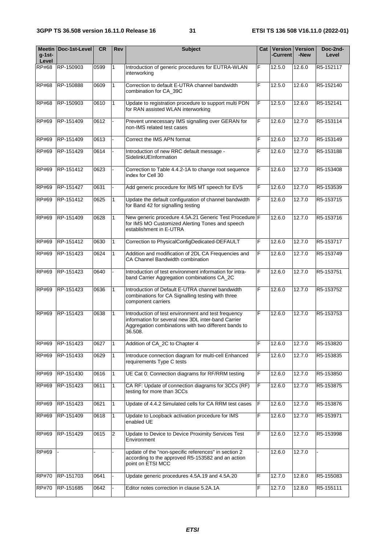| $q-1$ st-<br>Level | Meetin   Doc-1st-Level | <b>CR</b> | Rev            | <b>Subject</b>                                                                                                                                                               |   | Cat   Version   Version<br>-Current l | -New   | Doc-2nd-<br>Level |
|--------------------|------------------------|-----------|----------------|------------------------------------------------------------------------------------------------------------------------------------------------------------------------------|---|---------------------------------------|--------|-------------------|
| RP#68              | RP-150903              | 0599      |                | Introduction of generic procedures for EUTRA-WLAN<br>interworking                                                                                                            | F | 12.5.0                                | 12.6.0 | R5-152117         |
| <b>RP#68</b>       | RP-150888              | 0609      | $\mathbf{1}$   | Correction to default E-UTRA channel bandwidth<br>combination for CA_39C                                                                                                     | F | 12.5.0                                | 12.6.0 | R5-152140         |
| <b>RP#68</b>       | RP-150903              | 0610      | $\mathbf 1$    | Update to registration procedure to support multi PDN<br>for RAN assisted WLAN interworking                                                                                  | F | 12.5.0                                | 12.6.0 | R5-152141         |
| <b>RP#69</b>       | RP-151409              | 0612      |                | Prevent unnecessary IMS signalling over GERAN for<br>non-IMS related test cases                                                                                              | F | 12.6.0                                | 12.7.0 | R5-153114         |
| <b>RP#69</b>       | RP-151409              | 0613      |                | Correct the IMS APN format                                                                                                                                                   | F | 12.6.0                                | 12.7.0 | R5-153149         |
| <b>RP#69</b>       | RP-151429              | 0614      |                | Introduction of new RRC default message -<br>SidelinkUEInformation                                                                                                           | F | 12.6.0                                | 12.7.0 | R5-153188         |
| <b>RP#69</b>       | RP-151412              | 0623      |                | Correction to Table 4.4.2-1A to change root sequence<br>index for Cell 30                                                                                                    | F | 12.6.0                                | 12.7.0 | R5-153408         |
| <b>RP#69</b>       | RP-151427              | 0631      |                | Add generic procedure for IMS MT speech for EVS                                                                                                                              | F | 12.6.0                                | 12.7.0 | R5-153539         |
| <b>RP#69</b>       | RP-151412              | 0625      | 1              | Update the default configuration of channel bandwidth<br>for Band 42 for signalling testing                                                                                  | F | 12.6.0                                | 12.7.0 | R5-153715         |
| <b>RP#69</b>       | RP-151409              | 0628      | 1              | New generic procedure 4.5A.21 Generic Test Procedure F<br>for IMS MO Customized Alerting Tones and speech<br>establishment in E-UTRA                                         |   | 12.6.0                                | 12.7.0 | R5-153716         |
| <b>RP#69</b>       | RP-151412              | 0630      | 1              | Correction to PhysicalConfigDedicated-DEFAULT                                                                                                                                | F | 12.6.0                                | 12.7.0 | R5-153717         |
| RP#69              | RP-151423              | 0624      | $\mathbf{1}$   | Addition and modification of 2DL CA Frequencies and<br>F<br>CA Channel Bandwidth combination                                                                                 |   | 12.6.0                                | 12.7.0 | R5-153749         |
| <b>RP#69</b>       | RP-151423              | 0640      |                | F<br>Introduction of test environment information for intra-<br>band Carrier Aggregation combinations CA_2C                                                                  |   | 12.6.0                                | 12.7.0 | R5-153751         |
| <b>RP#69</b>       | RP-151423              | 0636      | $\mathbf{1}$   | Introduction of Default E-UTRA channel bandwidth<br>combinations for CA Signalling testing with three<br>component carriers                                                  | F | 12.6.0                                | 12.7.0 | R5-153752         |
| <b>RP#69</b>       | RP-151423              | 0638      | $\mathbf{1}$   | Introduction of test environment and test frequency<br>information for several new 3DL inter-band Carrier<br>Aggregation combinations with two different bands to<br>36.508. | F | 12.6.0                                | 12.7.0 | R5-153753         |
| RP#69              | RP-151423              | 0627      | $\mathbf{1}$   | Addition of CA_2C to Chapter 4                                                                                                                                               | F | 12.6.0                                | 12.7.0 | R5-153820         |
| <b>RP#69</b>       | RP-151433              | 0629      | $\mathbf{1}$   | Introduce connection diagram for multi-cell Enhanced<br>requirements Type C tests                                                                                            | F | 12.6.0                                | 12.7.0 | R5-153835         |
| <b>RP#69</b>       | RP-151430              | 0616      | 1              | UE Cat 0: Connection diagrams for RF/RRM testing                                                                                                                             | F | 12.6.0                                | 12.7.0 | R5-153850         |
| RP#69              | RP-151423              | 0611      | 1              | CA RF: Update of connection diagrams for 3CCs (RF)<br>testing for more than 3CCs                                                                                             | F | 12.6.0                                | 12.7.0 | R5-153875         |
| <b>RP#69</b>       | RP-151423              | 0621      | $\mathbf{1}$   | Update of 4.4.2 Simulated cells for CA RRM test cases                                                                                                                        | F | 12.6.0                                | 12.7.0 | R5-153876         |
| <b>RP#69</b>       | RP-151409              | 0618      |                | F<br>Update to Loopback activation procedure for IMS<br>enabled UE                                                                                                           |   | 12.6.0                                | 12.7.0 | R5-153971         |
| <b>RP#69</b>       | RP-151429              | 0615      | $\overline{2}$ | F<br>Update to Device to Device Proximity Services Test<br>Environment                                                                                                       |   | 12.6.0                                | 12.7.0 | R5-153998         |
| <b>RP#69</b>       |                        |           |                | update of the "non-specific references" in section 2<br>according to the approved R5-153582 and an action<br>point on ETSI MCC                                               |   | 12.6.0                                | 12.7.0 |                   |
| <b>RP#70</b>       | RP-151703              | 0641      |                | Update generic procedures 4.5A.19 and 4.5A.20                                                                                                                                | F | 12.7.0                                | 12.8.0 | R5-155083         |
| <b>RP#70</b>       | RP-151685              | 0642      |                | Editor notes correction in clause 5.2A.1A                                                                                                                                    | F | 12.7.0                                | 12.8.0 | R5-155111         |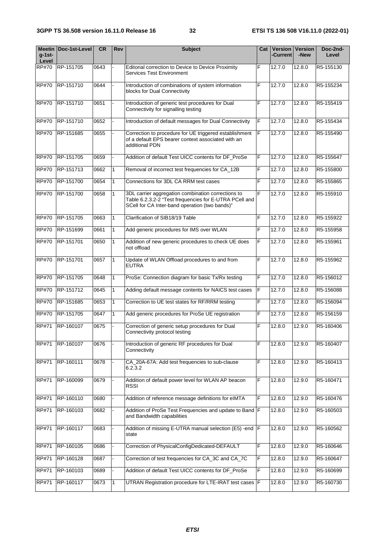| $q-1$ st-<br>Level | Meetin Doc-1st-Level | <b>CR</b> | <b>Rev</b>   | <b>Subject</b>                                                                                                                                                 | Cat | -Current | <b>Version   Version</b><br>-New | Doc-2nd-<br>Level |
|--------------------|----------------------|-----------|--------------|----------------------------------------------------------------------------------------------------------------------------------------------------------------|-----|----------|----------------------------------|-------------------|
| <b>RP#70</b>       | RP-151705            | 0643      |              | Editorial correction to Device to Device Proximity<br>Services Test Environment                                                                                | F   | 12.7.0   | 12.8.0                           | R5-155130         |
| <b>RP#70</b>       | RP-151710            | 0644      |              | Introduction of combinations of system information<br>blocks for Dual Connectivity                                                                             | F   | 12.7.0   | 12.8.0                           | R5-155234         |
| <b>RP#70</b>       | RP-151710            | 0651      |              | Introduction of generic test procedures for Dual<br>Connectivity for signalling testing                                                                        | F   | 12.7.0   | 12.8.0                           | R5-155419         |
| <b>RP#70</b>       | RP-151710            | 0652      |              | Introduction of default messages for Dual Connectivity                                                                                                         | F   | 12.7.0   | 12.8.0                           | R5-155434         |
| <b>RP#70</b>       | RP-151685            | 0655      |              | Correction to procedure for UE triggered establishment<br>of a default EPS bearer context associated with an<br>additional PDN                                 | F   | 12.7.0   | 12.8.0                           | R5-155490         |
| <b>RP#70</b>       | RP-151705            | 0659      |              | Addition of default Test UICC contents for DF_ProSe                                                                                                            | F   | 12.7.0   | 12.8.0                           | R5-155647         |
| <b>RP#70</b>       | RP-151713            | 0662      | $\mathbf{1}$ | Removal of incorrect test frequencies for CA_12B                                                                                                               | F   | 12.7.0   | 12.8.0                           | R5-155800         |
| <b>RP#70</b>       | RP-151700            | 0654      | $\mathbf{1}$ | Connections for 3DL CA RRM test cases                                                                                                                          | F   | 12.7.0   | 12.8.0                           | R5-155865         |
| <b>RP#70</b>       | RP-151700            | 0658      | 1            | 3DL carrier aggregation combination corrections to<br>Table 6.2.3.2-2 "Test frequencies for E-UTRA PCell and<br>SCell for CA Inter-band operation (two bands)" | F   | 12.7.0   | 12.8.0                           | R5-155910         |
| <b>RP#70</b>       | RP-151705            | 0663      | $\mathbf{1}$ | Clarification of SIB18/19 Table                                                                                                                                | F   | 12.7.0   | 12.8.0                           | R5-155922         |
| RP#70              | RP-151699            | 0661      | $\mathbf{1}$ | Add generic procedures for IMS over WLAN                                                                                                                       | F   | 12.7.0   | 12.8.0                           | R5-155958         |
| <b>RP#70</b>       | RP-151701            | 0650      | 1            | Addition of new generic procedures to check UE does<br>not offload                                                                                             | F   | 12.7.0   | 12.8.0                           | R5-155961         |
| <b>RP#70</b>       | RP-151701            | 0657      | $\mathbf{1}$ | F<br>Update of WLAN Offload procedures to and from<br><b>EUTRA</b>                                                                                             |     | 12.7.0   | 12.8.0                           | R5-155962         |
| <b>RP#70</b>       | RP-151705            | 0648      | $\mathbf{1}$ | ProSe: Connection diagram for basic Tx/Rx testing                                                                                                              | F   | 12.7.0   | 12.8.0                           | R5-156012         |
| <b>RP#70</b>       | RP-151712            | 0645      | $\mathbf{1}$ | Adding default message contents for NAICS test cases                                                                                                           | F   | 12.7.0   | 12.8.0                           | R5-156088         |
| <b>RP#70</b>       | RP-151685            | 0653      | 1            | Correction to UE test states for RF/RRM testing                                                                                                                | F   | 12.7.0   | 12.8.0                           | R5-156094         |
| <b>RP#70</b>       | RP-151705            | 0647      | $\mathbf{1}$ | Add generic procedures for ProSe UE registration                                                                                                               | F   | 12.7.0   | 12.8.0                           | R5-156159         |
| <b>RP#71</b>       | RP-160107            | 0675      |              | Correction of generic setup procedures for Dual<br>Connectivity protocol testing                                                                               | F   | 12.8.0   | 12.9.0                           | R5-160406         |
| RP#71              | RP-160107            | 0676      |              | Introduction of generic RF procedures for Dual<br>Connectivity                                                                                                 | F   | 12.8.0   | 12.9.0                           | R5-160407         |
| <b>RP#71</b>       | RP-160111            | 0678      |              | CA_20A-67A: Add test frequencies to sub-clause<br>6.2.3.2                                                                                                      | F   | 12.8.0   | 12.9.0                           | R5-160413         |
| RP#71              | RP-160099            | 0679      |              | Addition of default power level for WLAN AP beacon<br>RSSI                                                                                                     | F   | 12.8.0   | 12.9.0                           | R5-160471         |
| RP#71              | RP-160110            | 0680      |              | Addition of reference message definitions for eIMTA                                                                                                            | lF. | 12.8.0   | 12.9.0                           | R5-160476         |
| <b>RP#71</b>       | RP-160103            | 0682      |              | Addition of ProSe Test Frequencies and update to Band F<br>and Bandwidth capabilities                                                                          |     | 12.8.0   | 12.9.0                           | R5-160503         |
| <b>RP#71</b>       | RP-160117            | 0683      |              | Addition of missing E-UTRA manual selection (E5) -end F<br>state                                                                                               |     | 12.8.0   | 12.9.0                           | R5-160562         |
| <b>RP#71</b>       | RP-160105            | 0686      |              | Correction of PhysicalConfigDedicated-DEFAULT                                                                                                                  |     | 12.8.0   | 12.9.0                           | R5-160646         |
| RP#71              | RP-160128            | 0687      |              | Correction of test frequencies for CA_3C and CA_7C                                                                                                             |     | 12.8.0   | 12.9.0                           | R5-160647         |
| RP#71              | RP-160103            | 0689      |              | Addition of default Test UICC contents for DF_ProSe                                                                                                            |     | 12.8.0   | 12.9.0                           | R5-160699         |
| <b>RP#71</b>       | RP-160117            | 0673      | 1            | UTRAN Registration procedure for LTE-IRAT test cases  F                                                                                                        |     | 12.8.0   | 12.9.0                           | R5-160730         |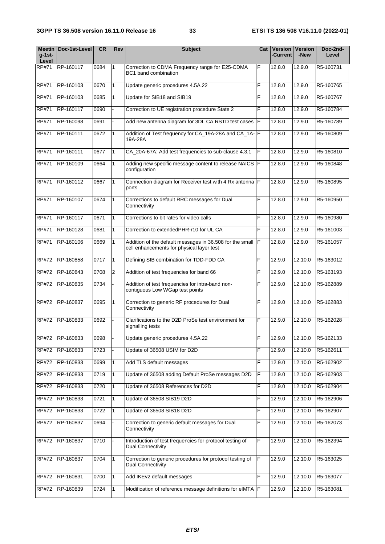| $q-1$ st-<br>Level | Meetin   Doc-1st-Level | <b>CR</b> | <b>Rev</b>     | <b>Subject</b>                                                                                        |     | <b>Version</b><br>Cat I<br>Current- | <b>Version</b><br>-New | Doc-2nd-<br>Level |
|--------------------|------------------------|-----------|----------------|-------------------------------------------------------------------------------------------------------|-----|-------------------------------------|------------------------|-------------------|
| RP#71              | RP-160117              | 0684      | $\mathbf{1}$   | Correction to CDMA Frequency range for E25-CDMA<br>BC1 band combination                               | F   | 12.8.0                              | 12.9.0                 | R5-160731         |
| <b>RP#71</b>       | RP-160103              | 0670      | $\mathbf{1}$   | Update generic procedures 4.5A.22                                                                     | F   | 12.8.0                              | 12.9.0                 | R5-160765         |
| <b>RP#71</b>       | RP-160103              | 0685      | $\mathbf{1}$   | Update for SIB18 and SIB19                                                                            | F   | 12.8.0                              | 12.9.0                 | R5-160767         |
| <b>RP#71</b>       | RP-160117              | 0690      |                | Correction to UE registration procedure State 2                                                       | F   | 12.8.0                              | 12.9.0                 | R5-160784         |
| <b>RP#71</b>       | RP-160098              | 0691      |                | Add new antenna diagram for 3DL CA RSTD test cases                                                    | IF  | 12.8.0                              | 12.9.0                 | R5-160789         |
| <b>RP#71</b>       | RP-160111              | 0672      |                | Addition of Test frequency for CA_19A-28A and CA_1A- F<br>19A-28A                                     |     | 12.8.0                              | 12.9.0                 | R5-160809         |
| <b>RP#71</b>       | RP-160111              | 0677      | $\mathbf{1}$   | CA_20A-67A: Add test frequencies to sub-clause 4.3.1                                                  | F   | 12.8.0                              | 12.9.0                 | R5-160810         |
| <b>RP#71</b>       | RP-160109              | 0664      | $\mathbf{1}$   | Adding new specific message content to release NAICS  F<br>configuration                              |     | 12.8.0                              | 12.9.0                 | R5-160848         |
| <b>RP#71</b>       | RP-160112              | 0667      | $\mathbf{1}$   | Connection diagram for Receiver test with 4 Rx antenna F<br>ports                                     |     | 12.8.0                              | 12.9.0                 | R5-160895         |
| <b>RP#71</b>       | RP-160107              | 0674      | $\mathbf{1}$   | Corrections to default RRC messages for Dual<br>Connectivity                                          | F   | 12.8.0                              | 12.9.0                 | R5-160950         |
| <b>RP#71</b>       | RP-160117              | 0671      | $\mathbf{1}$   | Corrections to bit rates for video calls                                                              | F   | 12.8.0                              | 12.9.0                 | R5-160980         |
| <b>RP#71</b>       | RP-160128              | 0681      | $\mathbf{1}$   | Correction to extendedPHR-r10 for UL CA                                                               | F   | 12.8.0                              | 12.9.0                 | R5-161003         |
| <b>RP#71</b>       | RP-160106              | 0669      |                | Addition of the default messages in 36.508 for the small<br>cell enhancements for physical layer test | IF  | 12.8.0                              | 12.9.0                 | R5-161057         |
| <b>RP#72</b>       | RP-160858              | 0717      | $\overline{1}$ | F<br>Defining SIB combination for TDD-FDD CA                                                          |     | 12.9.0                              | 12.10.0                | R5-163012         |
| <b>RP#72</b>       | RP-160843              | 0708      | $\overline{2}$ | Addition of test frequencies for band 66                                                              | F   | 12.9.0                              | 12.10.0                | R5-163193         |
| $\overline{RP#72}$ | RP-160835              | 0734      |                | Addition of test frequencies for intra-band non-<br>contiguous Low WGap test points                   | F   | 12.9.0                              | 12.10.0                | R5-162889         |
| <b>RP#72</b>       | RP-160837              | 0695      | 1              | Correction to generic RF procedures for Dual<br>Connectivity                                          | F   | 12.9.0                              | 12.10.0                | R5-162883         |
| <b>RP#72</b>       | RP-160833              | 0692      |                | Clarifications to the D2D ProSe test environment for<br>signalling tests                              | F   | 12.9.0                              | 12.10.0                | R5-162028         |
| <b>RP#72</b>       | RP-160833              | 0698      |                | Update generic procedures 4.5A.22                                                                     | F   | 12.9.0                              | 12.10.0                | R5-162133         |
| <b>RP#72</b>       | RP-160833              | 0723      |                | Update of 36508 USIM for D2D                                                                          | F   | 12.9.0                              | 12.10.0                | R5-162611         |
| <b>RP#72</b>       | RP-160833              | 0699      | 1              | Add TLS default messages                                                                              | F   | 12.9.0                              | $\overline{12.10.0}$   | R5-162902         |
| <b>RP#72</b>       | RP-160833              | 0719      | $\mathbf{1}$   | Update of 36508 adding Default ProSe messages D2D                                                     | lF. | 12.9.0                              | 12.10.0                | R5-162903         |
| <b>RP#72</b>       | RP-160833              | 0720      | $\mathbf{1}$   | Update of 36508 References for D2D                                                                    | F   | 12.9.0                              | 12.10.0                | R5-162904         |
| <b>RP#72</b>       | RP-160833              | 0721      | $\mathbf{1}$   | Update of 36508 SIB19 D2D                                                                             | F   | 12.9.0                              | 12.10.0                | R5-162906         |
| <b>RP#72</b>       | RP-160833              | 0722      | $\mathbf{1}$   | Update of 36508 SIB18 D2D                                                                             | F   | 12.9.0                              | 12.10.0                | R5-162907         |
| <b>RP#72</b>       | RP-160837              | 0694      |                | F<br>Correction to generic default messages for Dual<br>Connectivity                                  |     | 12.9.0                              | 12.10.0                | R5-162073         |
| <b>RP#72</b>       | RP-160837              | 0710      |                | F<br>Introduction of test frequencies for protocol testing of<br><b>Dual Connectivity</b>             |     | 12.9.0                              | 12.10.0                | R5-162394         |
| <b>RP#72</b>       | RP-160837              | 0704      | $\mathbf{1}$   | IF<br>Correction to generic procedures for protocol testing of<br><b>Dual Connectivity</b>            |     | 12.9.0                              | 12.10.0                | R5-163025         |
| <b>RP#72</b>       | RP-160831              | 0700      | $\mathbf{1}$   | Add IKEv2 default messages                                                                            | F   | 12.9.0                              | 12.10.0                | R5-163077         |
| <b>RP#72</b>       | RP-160839              | 0724      | $\mathbf{1}$   | Modification of reference message definitions for eIMTA F                                             |     | 12.9.0                              | 12.10.0                | R5-163081         |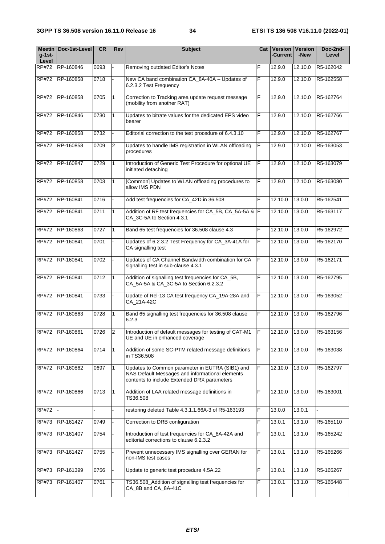| $q-1$ st-    | Meetin   Doc-1st-Level | <b>CR</b> | Rev            | <b>Subject</b>                                                                                                                                    | Cat | Version<br>-Current | <b>Version</b><br>-New | Doc-2nd-<br>Level |
|--------------|------------------------|-----------|----------------|---------------------------------------------------------------------------------------------------------------------------------------------------|-----|---------------------|------------------------|-------------------|
| Level        |                        |           |                |                                                                                                                                                   |     |                     |                        |                   |
| RP#72        | RP-160846              | 0693      |                | Removing outdated Editor's Notes                                                                                                                  | F   | 12.9.0              | 12.10.0                | R5-162042         |
| <b>RP#72</b> | RP-160858              | 0718      |                | New CA band combination CA_8A-40A - Updates of<br>6.2.3.2 Test Frequency                                                                          | F   | 12.9.0              | 12.10.0                | R5-162558         |
| <b>RP#72</b> | RP-160858              | 0705      | 1              | Correction to Tracking area update request message<br>(mobility from another RAT)                                                                 | F   | 12.9.0              | 12.10.0                | R5-162764         |
| <b>RP#72</b> | RP-160846              | 0730      | 1              | Updates to bitrate values for the dedicated EPS video<br>bearer                                                                                   | F   | 12.9.0              | 12.10.0                | R5-162766         |
| <b>RP#72</b> | RP-160858              | 0732      |                | Editorial correction to the test procedure of 6.4.3.10                                                                                            | F   | 12.9.0              | 12.10.0                | R5-162767         |
| <b>RP#72</b> | RP-160858              | 0709      | $\overline{2}$ | Updates to handle IMS registration in WLAN offloading<br>procedures                                                                               | F   | 12.9.0              | 12.10.0                | R5-163053         |
| <b>RP#72</b> | RP-160847              | 0729      | $\mathbf{1}$   | Introduction of Generic Test Procedure for optional UE<br>initiated detaching                                                                     | F   | 12.9.0              | 12.10.0                | R5-163079         |
| <b>RP#72</b> | RP-160858              | 0703      | 1              | [Common] Updates to WLAN offloading procedures to<br>allow IMS PDN                                                                                | F   | 12.9.0              | 12.10.0                | R5-163080         |
| <b>RP#72</b> | RP-160841              | 0716      |                | Add test frequencies for CA_42D in 36.508                                                                                                         | F   | 12.10.0             | 13.0.0                 | R5-162541         |
| <b>RP#72</b> | RP-160841              | 0711      |                | Addition of RF test frequencies for CA_5B, CA_5A-5A & F<br>CA 3C-5A to Section 4.3.1                                                              |     | 12.10.0             | 13.0.0                 | R5-163117         |
| <b>RP#72</b> | RP-160863              | 0727      | $\mathbf{1}$   | Band 65 test frequencies for 36.508 clause 4.3                                                                                                    | F   | 12.10.0             | 13.0.0                 | R5-162972         |
| <b>RP#72</b> | RP-160841              | 0701      |                | Updates of 6.2.3.2 Test Frequency for CA_3A-41A for<br>CA signalling test                                                                         | F   | 12.10.0             | 13.0.0                 | R5-162170         |
| <b>RP#72</b> | RP-160841              | 0702      |                | Updates of CA Channel Bandwidth combination for CA<br>signalling test in sub-clause 4.3.1                                                         | F   | 12.10.0             | 13.0.0                 | R5-162171         |
| <b>RP#72</b> | RP-160841              | 0712      | 1              | Addition of signalling test frequencies for CA_5B,<br>CA_5A-5A & CA_3C-5A to Section 6.2.3.2                                                      | F   | 12.10.0             | 13.0.0                 | R5-162795         |
| <b>RP#72</b> | RP-160841              | 0733      |                | Update of Rel-13 CA test frequency CA_19A-28A and<br>CA 21A-42C                                                                                   | F   | 12.10.0             | 13.0.0                 | R5-163052         |
| <b>RP#72</b> | RP-160863              | 0728      | 1.             | Band 65 signalling test frequencies for 36.508 clause<br>6.2.3                                                                                    | F   | 12.10.0             | 13.0.0                 | R5-162796         |
| <b>RP#72</b> | RP-160861              | 0726      | 2              | Introduction of default messages for testing of CAT-M1<br>UE and UE in enhanced coverage                                                          | F   | 12.10.0             | 13.0.0                 | R5-163156         |
| <b>RP#72</b> | RP-160864              | 0714      | $\mathbf{1}$   | Addition of some SC-PTM related message definitions<br>in TS36.508                                                                                | F   | 12.10.0             | 13.0.0                 | R5-163038         |
| <b>RP#72</b> | RP-160862              | 0697      | $\mathbf{1}$   | Updates to Common parameter in EUTRA (SIB1) and<br>NAS Default Messages and informational elements<br>contents to include Extended DRX parameters | F   | 12.10.0             | 13.0.0                 | R5-162797         |
| <b>RP#72</b> | RP-160866              | 0713      | $\mathbf{1}$   | Addition of LAA related message definitions in<br>TS36.508                                                                                        | F   | 12.10.0             | 13.0.0                 | R5-163001         |
| <b>RP#72</b> |                        |           |                | restoring deleted Table 4.3.1.1.66A-3 of R5-163193                                                                                                | F   | 13.0.0              | 13.0.1                 |                   |
| <b>RP#73</b> | RP-161427              | 0749      |                | Correction to DRB configuration                                                                                                                   | F   | 13.0.1              | 13.1.0                 | R5-165110         |
| <b>RP#73</b> | RP-161407              | 0754      |                | Introduction of test frequencies for CA_8A-42A and<br>editorial corrections to clause 6.2.3.2                                                     | F   | 13.0.1              | 13.1.0                 | R5-165242         |
| <b>RP#73</b> | RP-161427              | 0755      |                | Prevent unnecessary IMS signalling over GERAN for<br>non-IMS test cases                                                                           | F   | 13.0.1              | 13.1.0                 | R5-165266         |
| <b>RP#73</b> | RP-161399              | 0756      |                | Update to generic test procedure 4.5A.22                                                                                                          | F   | 13.0.1              | 13.1.0                 | R5-165267         |
| <b>RP#73</b> | RP-161407              | 0761      |                | TS36.508_Addition of signalling test frequencies for<br>CA_8B and CA_8A-41C                                                                       | F   | 13.0.1              | 13.1.0                 | R5-165448         |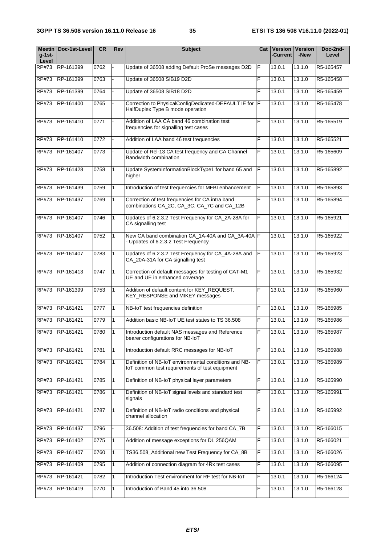| $q-1$ st-<br>Level | Meetin Doc-1st-Level | <b>CR</b> | Rev          | <b>Subject</b>                                                                                          |   | Cat   Version  <br>Current- | <b>Version</b><br>-New | Doc-2nd-<br>Level |
|--------------------|----------------------|-----------|--------------|---------------------------------------------------------------------------------------------------------|---|-----------------------------|------------------------|-------------------|
| RP#73              | RP-161399            | 0762      |              | Update of 36508 adding Default ProSe messages D2D                                                       | F | 13.0.1                      | 13.1.0                 | R5-165457         |
| <b>RP#73</b>       | RP-161399            | 0763      |              | Update of 36508 SIB19 D2D                                                                               | F | 13.0.1                      | 13.1.0                 | R5-165458         |
| <b>RP#73</b>       | RP-161399            | 0764      |              | Update of 36508 SIB18 D2D                                                                               | F | 13.0.1                      | 13.1.0                 | R5-165459         |
| <b>RP#73</b>       | RP-161400            | 0765      |              | Correction to PhysicalConfigDedicated-DEFAULT IE for F<br>HalfDuplex Type B mode operation              |   | 13.0.1                      | 13.1.0                 | R5-165478         |
| <b>RP#73</b>       | RP-161410            | 0771      |              | Addition of LAA CA band 46 combination test<br>frequencies for signalling test cases                    | F | 13.0.1                      | 13.1.0                 | R5-165519         |
| <b>RP#73</b>       | RP-161410            | 0772      |              | Addition of LAA band 46 test frequencies                                                                | F | 13.0.1                      | 13.1.0                 | R5-165521         |
| <b>RP#73</b>       | RP-161407            | 0773      |              | Update of Rel-13 CA test frequency and CA Channel<br>Bandwidth combination                              | F | 13.0.1                      | 13.1.0                 | R5-165609         |
| <b>RP#73</b>       | RP-161428            | 0758      | 1            | Update SystemInformationBlockType1 for band 65 and<br>higher                                            | F | 13.0.1                      | 13.1.0                 | R5-165892         |
| <b>RP#73</b>       | RP-161439            | 0759      |              | Introduction of test frequencies for MFBI enhancement                                                   | F | 13.0.1                      | 13.1.0                 | R5-165893         |
| <b>RP#73</b>       | RP-161437            | 0769      | $\mathbf{1}$ | Correction of test frequencies for CA intra band<br>combinations CA_2C, CA_3C, CA_7C and CA_12B         | F | 13.0.1                      | 13.1.0                 | R5-165894         |
| <b>RP#73</b>       | RP-161407            | 0746      | 1            | Updates of 6.2.3.2 Test Frequency for CA_2A-28A for<br>CA signalling test                               | F | 13.0.1                      | 13.1.0                 | R5-165921         |
| <b>RP#73</b>       | RP-161407            | 0752      | $\mathbf{1}$ | New CA band combination CA_1A-40A and CA_3A-40A F<br>- Updates of 6.2.3.2 Test Frequency                |   | 13.0.1                      | 13.1.0                 | R5-165922         |
| <b>RP#73</b>       | RP-161407            | 0783      |              | Updates of 6.2.3.2 Test Frequency for CA_4A-28A and<br>CA_20A-31A for CA signalling test                | F | 13.0.1                      | 13.1.0                 | R5-165923         |
| <b>RP#73</b>       | RP-161413            | 0747      | $\mathbf{1}$ | F<br>Correction of default messages for testing of CAT-M1<br>UE and UE in enhanced coverage             |   | 13.0.1                      | 13.1.0                 | R5-165932         |
| <b>RP#73</b>       | RP-161399            | 0753      | 1            | Addition of default content for KEY_REQUEST,<br>KEY_RESPONSE and MIKEY messages                         | E | 13.0.1                      | 13.1.0                 | R5-165960         |
| <b>RP#73</b>       | RP-161421            | 0777      | $\mathbf{1}$ | NB-IoT test frequencies definition                                                                      | F | 13.0.1                      | 13.1.0                 | R5-165985         |
| <b>RP#73</b>       | RP-161421            | 0779      | 1            | Addition basic NB-IoT UE test states to TS 36.508                                                       | F | 13.0.1                      | 13.1.0                 | R5-165986         |
| RP#73              | RP-161421            | 0780      |              | Introduction default NAS messages and Reference<br>bearer configurations for NB-IoT                     | F | 13.0.1                      | 13.1.0                 | R5-165987         |
| <b>RP#73</b>       | RP-161421            | 0781      | $\mathbf{1}$ | Introduction default RRC messages for NB-IoT                                                            | F | 13.0.1                      | 13.1.0                 | R5-165988         |
| <b>RP#73</b>       | RP-161421            | 0784      | $\mathbf{1}$ | Definition of NB-IoT environmental conditions and NB-<br>IoT common test requirements of test equipment | F | 13.0.1                      | 13.1.0                 | R5-165989         |
| <b>RP#73</b>       | RP-161421            | 0785      | $\mathbf{1}$ | Definition of NB-IoT physical layer parameters                                                          | F | 13.0.1                      | 13.1.0                 | R5-165990         |
| <b>RP#73</b>       | RP-161421            | 0786      | $\mathbf{1}$ | Definition of NB-IoT signal levels and standard test<br>signals                                         | F | 13.0.1                      | 13.1.0                 | R5-165991         |
| <b>RP#73</b>       | RP-161421            | 0787      | $\mathbf{1}$ | Definition of NB-IoT radio conditions and physical<br>channel allocation                                | F | 13.0.1                      | 13.1.0                 | R5-165992         |
| <b>RP#73</b>       | RP-161437            | 0796      |              | 36.508: Addition of test frequencies for band CA_7B<br>F                                                |   | 13.0.1                      | 13.1.0                 | R5-166015         |
| <b>RP#73</b>       | RP-161402            | 0775      | $\mathbf{1}$ | F<br>Addition of message exceptions for DL 256QAM                                                       |   | 13.0.1                      | 13.1.0                 | R5-166021         |
| <b>RP#73</b>       | RP-161407            | 0760      | $\mathbf{1}$ | TS36.508_Additional new Test Frequency for CA_8B                                                        |   | 13.0.1                      | 13.1.0                 | R5-166026         |
| <b>RP#73</b>       | RP-161409            | 0795      | $\mathbf{1}$ | Addition of connection diagram for 4Rx test cases                                                       | F | 13.0.1                      | 13.1.0                 | R5-166095         |
| <b>RP#73</b>       | RP-161421            | 0782      | $\mathbf{1}$ | Introduction Test environment for RF test for NB-IoT                                                    | F | 13.0.1                      | 13.1.0                 | R5-166124         |
| <b>RP#73</b>       | RP-161419            | 0770      | $\mathbf{1}$ | Introduction of Band 45 into 36.508                                                                     | F | 13.0.1                      | 13.1.0                 | R5-166128         |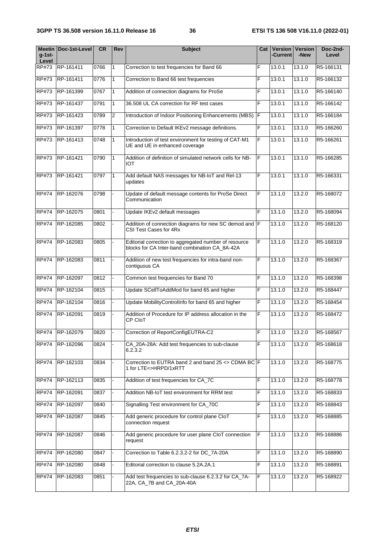|                    | Meetin Doc-1st-Level | <b>CR</b> | Rev          | <b>Subject</b>                                                                                          |    | Cat   Version | <b>Version</b> | Doc-2nd-  |
|--------------------|----------------------|-----------|--------------|---------------------------------------------------------------------------------------------------------|----|---------------|----------------|-----------|
| $q-1$ st-<br>Level |                      |           |              |                                                                                                         |    | -Current      | -New           | Level     |
| RP#73              | RP-161411            | 0766      | $\mathbf{1}$ | Correction to test frequencies for Band 66                                                              | F  | 13.0.1        | 13.1.0         | R5-166131 |
| <b>RP#73</b>       | RP-161411            | 0776      | 1            | Correction to Band 66 test frequencies                                                                  | F  | 13.0.1        | 13.1.0         | R5-166132 |
| <b>RP#73</b>       | RP-161399            | 0767      | $\mathbf{1}$ | Addition of connection diagrams for ProSe                                                               | F  | 13.0.1        | 13.1.0         | R5-166140 |
| <b>RP#73</b>       | RP-161437            | 0791      | 1            | 36.508 UL CA correction for RF test cases                                                               | F  | 13.0.1        | 13.1.0         | R5-166142 |
| <b>RP#73</b>       | RP-161423            | 0789      | 2            | Introduction of Indoor Positioning Enhancements (MBS)                                                   | IF | 13.0.1        | 13.1.0         | R5-166184 |
| <b>RP#73</b>       | RP-161397            | 0778      | $\mathbf{1}$ | Correction to Default IKEv2 message definitions.                                                        | F  | 13.0.1        | 13.1.0         | R5-166260 |
| <b>RP#73</b>       | RP-161413            | 0748      | $\mathbf{1}$ | Introduction of test environment for testing of CAT-M1<br>UE and UE in enhanced coverage                | F  | 13.0.1        | 13.1.0         | R5-166261 |
| <b>RP#73</b>       | RP-161421            | 0790      |              | Addition of definition of simulated network cells for NB-<br><b>IOT</b>                                 | F  | 13.0.1        | 13.1.0         | R5-166285 |
| <b>RP#73</b>       | RP-161421            | 0797      | $\mathbf{1}$ | Add default NAS messages for NB-IoT and Rel-13<br>updates                                               | F  | 13.0.1        | 13.1.0         | R5-166331 |
| <b>RP#74</b>       | RP-162076            | 0798      |              | Update of default message contents for ProSe Direct<br>Communication                                    | F  | 13.1.0        | 13.2.0         | R5-168072 |
| <b>RP#74</b>       | RP-162075            | 0801      |              | Update IKEv2 default messages                                                                           | F  | 13.1.0        | 13.2.0         | R5-168094 |
| RP#74              | RP-162085            | 0802      |              | Addition of connection diagrams for new SC demod and<br>CSI Test Cases for 4Rx                          | IF | 13.1.0        | 13.2.0         | R5-168120 |
| <b>RP#74</b>       | RP-162083            | 0805      |              | Editorial correction to aggregated number of resource<br>blocks for CA Inter-band combination CA_8A-42A | F  | 13.1.0        | 13.2.0         | R5-168319 |
| <b>RP#74</b>       | RP-162083            | 0811      |              | Addition of new test frequencies for intra-band non-<br>contiguous CA                                   | F  | 13.1.0        | 13.2.0         | R5-168367 |
| <b>RP#74</b>       | RP-162097            | 0812      |              | Common test frequencies for Band 70                                                                     | F  | 13.1.0        | 13.2.0         | R5-168398 |
| <b>RP#74</b>       | RP-162104            | 0815      |              | Update SCellToAddMod for band 65 and higher                                                             | F  | 13.1.0        | 13.2.0         | R5-168447 |
| <b>RP#74</b>       | RP-162104            | 0816      |              | Update MobilityControlInfo for band 65 and higher                                                       | F  | 13.1.0        | 13.2.0         | R5-168454 |
| <b>RP#74</b>       | RP-162091            | 0819      |              | Addition of Procedure for IP address allocation in the<br>CP CloT                                       | F  | 13.1.0        | 13.2.0         | R5-168472 |
|                    | RP#74 RP-162079      | 0820      |              | Correction of ReportConfigEUTRA-C2                                                                      | F  | 13.1.0        | 13.2.0         | R5-168567 |
| <b>RP#74</b>       | RP-162096            | 0824      |              | CA_20A-28A: Add test frequencies to sub-clause<br>6.2.3.2                                               | F  | 13.1.0        | 13.2.0         | R5-168618 |
| <b>RP#74</b>       | RP-162103            | 0834      |              | Correction to EUTRA band 2 and band 25 <> CDMA BC F<br>1 for LTE<>HRPD/1xRTT                            |    | 13.1.0        | 13.2.0         | R5-168775 |
| <b>RP#74</b>       | RP-162113            | 0835      |              | Addition of test frequencies for CA_7C                                                                  | F  | 13.1.0        | 13.2.0         | R5-168778 |
| <b>RP#74</b>       | RP-162091            | 0837      |              | Addition NB-IoT test environment for RRM test                                                           | F  | 13.1.0        | 13.2.0         | R5-168833 |
| <b>RP#74</b>       | RP-162097            | 0840      |              | Signalling Test environment for CA_70C                                                                  | F  | 13.1.0        | 13.2.0         | R5-168843 |
| <b>RP#74</b>       | RP-162087            | 0845      |              | F<br>Add generic procedure for control plane CloT<br>connection request                                 |    | 13.1.0        | 13.2.0         | R5-168885 |
| <b>RP#74</b>       | RP-162087            | 0846      |              | F<br>Add generic procedure for user plane CloT connection<br>request                                    |    | 13.1.0        | 13.2.0         | R5-168886 |
| <b>RP#74</b>       | RP-162080            | 0847      |              | Correction to Table 6.2.3.2-2 for DC_7A-20A                                                             |    | 13.1.0        | 13.2.0         | R5-168890 |
| <b>RP#74</b>       | RP-162080            | 0848      |              | Editorial correction to clause 5.2A.2A.1                                                                |    | 13.1.0        | 13.2.0         | R5-168891 |
| <b>RP#74</b>       | RP-162083            | 0851      |              | Add test frequencies to sub-clause 6.2.3.2 for CA_7A-<br>22A, CA_7B and CA_20A-40A                      | F  | 13.1.0        | 13.2.0         | R5-168922 |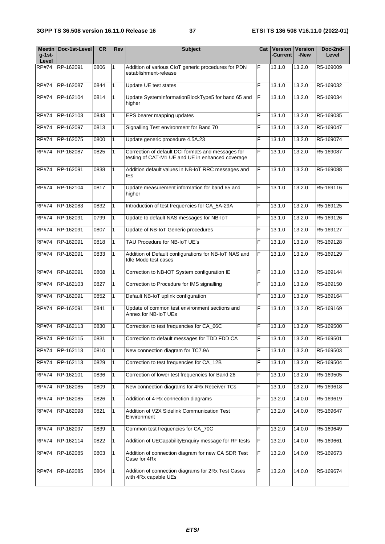| $q-1$ st-<br>Level | Meetin   Doc-1st-Level | <b>CR</b> | Rev            | <b>Subject</b>                                                                                         | Cat | Version<br>-Current | <b>Version</b><br>-New | Doc-2nd-<br>Level |
|--------------------|------------------------|-----------|----------------|--------------------------------------------------------------------------------------------------------|-----|---------------------|------------------------|-------------------|
| <b>RP#74</b>       | RP-162091              | 0806      | $\mathbf{1}$   | Addition of various CIoT generic procedures for PDN<br>establishment-release                           | F   | 13.1.0              | 13.2.0                 | R5-169009         |
| <b>RP#74</b>       | RP-162087              | 0844      | $\mathbf{1}$   | Update UE test states                                                                                  | F   | 13.1.0              | 13.2.0                 | R5-169032         |
| <b>RP#74</b>       | RP-162104              | 0814      | $\mathbf{1}$   | Update SystemInformationBlockType5 for band 65 and<br>higher                                           | F   | 13.1.0              | 13.2.0                 | R5-169034         |
| <b>RP#74</b>       | RP-162103              | 0843      | $\mathbf{1}$   | EPS bearer mapping updates                                                                             | F   | 13.1.0              | 13.2.0                 | R5-169035         |
| <b>RP#74</b>       | RP-162097              | 0813      | $\mathbf{1}$   | Signalling Test environment for Band 70                                                                | F   | 13.1.0              | 13.2.0                 | R5-169047         |
| <b>RP#74</b>       | RP-162075              | 0800      | 1              | Update generic procedure 4.5A.23                                                                       | F   | 13.1.0              | 13.2.0                 | R5-169074         |
| <b>RP#74</b>       | RP-162087              | 0825      | $\mathbf{1}$   | Correction of default DCI formats and messages for<br>testing of CAT-M1 UE and UE in enhanced coverage | F   | 13.1.0              | 13.2.0                 | R5-169087         |
| <b>RP#74</b>       | RP-162091              | 0838      |                | Addition default values in NB-IoT RRC messages and<br>IEs                                              | F   | 13.1.0              | 13.2.0                 | R5-169088         |
| <b>RP#74</b>       | RP-162104              | 0817      | $\overline{1}$ | Update measurement information for band 65 and<br>higher                                               | F   | 13.1.0              | 13.2.0                 | R5-169116         |
| <b>RP#74</b>       | RP-162083              | 0832      | $\mathbf{1}$   | Introduction of test frequencies for CA_5A-29A                                                         | F   | 13.1.0              | 13.2.0                 | R5-169125         |
| <b>RP#74</b>       | RP-162091              | 0799      | $\mathbf{1}$   | Update to default NAS messages for NB-IoT                                                              | F   | 13.1.0              | 13.2.0                 | R5-169126         |
| <b>RP#74</b>       | RP-162091              | 0807      | $\mathbf{1}$   | Update of NB-IoT Generic procedures                                                                    | F   | 13.1.0              | 13.2.0                 | R5-169127         |
| <b>RP#74</b>       | RP-162091              | 0818      | $\mathbf{1}$   | TAU Procedure for NB-IoT UE's                                                                          | F   | 13.1.0              | 13.2.0                 | R5-169128         |
| <b>RP#74</b>       | RP-162091              | 0833      | $\mathbf{1}$   | F<br>Addition of Default configurations for NB-IoT NAS and<br>Idle Mode test cases                     |     | 13.1.0              | 13.2.0                 | R5-169129         |
| <b>RP#74</b>       | RP-162091              | 0808      | $\mathbf{1}$   | Correction to NB-IOT System configuration IE                                                           | F   | 13.1.0              | 13.2.0                 | R5-169144         |
| <b>RP#74</b>       | RP-162103              | 0827      | $\overline{1}$ | Correction to Procedure for IMS signalling                                                             | F   | 13.1.0              | 13.2.0                 | R5-169150         |
| <b>RP#74</b>       | RP-162091              | 0852      | $\mathbf{1}$   | Default NB-IoT uplink configuration                                                                    | F   | 13.1.0              | 13.2.0                 | R5-169164         |
| <b>RP#74</b>       | RP-162091              | 0841      | 1              | Update of common test environment sections and<br>Annex for NB-IoT UEs                                 | F   | 13.1.0              | 13.2.0                 | R5-169169         |
| <b>RP#74</b>       | RP-162113              | 0830      | $\mathbf{1}$   | Correction to test frequencies for CA_66C                                                              | F   | 13.1.0              | 13.2.0                 | R5-169500         |
| <b>RP#74</b>       | RP-162115              | 0831      | $\vert$ 1      | Correction to default messages for TDD FDD CA                                                          | F   | 13.1.0              | 13.2.0                 | R5-169501         |
| <b>RP#74</b>       | RP-162113              | 0810      | $\mathbf{1}$   | New connection diagram for TC7.9A                                                                      | F   | 13.1.0              | 13.2.0                 | R5-169503         |
| <b>RP#74</b>       | RP-162113              | 0829      | 1              | Correction to test frequencies for CA_12B                                                              | F   | 13.1.0              | 13.2.0                 | R5-169504         |
| <b>RP#74</b>       | RP-162101              | 0836      | 1              | Correction of lower test frequencies for Band 26                                                       | F   | 13.1.0              | 13.2.0                 | R5-169505         |
| <b>RP#74</b>       | RP-162085              | 0809      | 1              | New connection diagrams for 4Rx Receiver TCs                                                           | F   | 13.1.0              | 13.2.0                 | R5-169618         |
| <b>RP#74</b>       | RP-162085              | 0826      | $\mathbf{1}$   | Addition of 4-Rx connection diagrams                                                                   | F   | 13.2.0              | 14.0.0                 | R5-169619         |
| <b>RP#74</b>       | RP-162098              | 0821      | $\mathbf{1}$   | Addition of V2X Sidelink Communication Test<br>Environment                                             |     | 13.2.0              | 14.0.0                 | R5-169647         |
| <b>RP#74</b>       | RP-162097              | 0839      | $\mathbf{1}$   | Common test frequencies for CA_70C                                                                     |     | 13.2.0              | 14.0.0                 | R5-169649         |
| <b>RP#74</b>       | RP-162114              | 0822      | $\mathbf{1}$   | Addition of UECapabilityEnquiry message for RF tests                                                   |     | 13.2.0              | 14.0.0                 | R5-169661         |
| <b>RP#74</b>       | RP-162085              | 0803      | $\mathbf{1}$   | Addition of connection diagram for new CA SDR Test<br>Case for 4Rx                                     | F   | 13.2.0              | 14.0.0                 | R5-169673         |
| <b>RP#74</b>       | RP-162085              | 0804      | $\mathbf{1}$   | Addition of connection diagrams for 2Rx Test Cases<br>with 4Rx capable UEs                             | F   | 13.2.0              | 14.0.0                 | R5-169674         |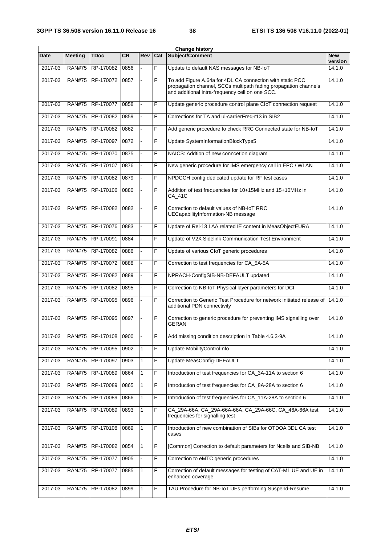| <b>Change history</b> |                |                                   |           |              |     |                                                                                                                                                                                 |                       |  |  |  |
|-----------------------|----------------|-----------------------------------|-----------|--------------|-----|---------------------------------------------------------------------------------------------------------------------------------------------------------------------------------|-----------------------|--|--|--|
| <b>Date</b>           | <b>Meeting</b> | <b>TDoc</b>                       | <b>CR</b> | Rev          | Cat | <b>Subject/Comment</b>                                                                                                                                                          | <b>New</b><br>version |  |  |  |
| 2017-03               | <b>RAN#75</b>  | RP-170082                         | 0856      |              | F   | Update to default NAS messages for NB-IoT                                                                                                                                       | 14.1.0                |  |  |  |
| 2017-03               | <b>RAN#75</b>  | RP-170072                         | 0857      |              | F   | To add Figure A.64a for 4DL CA connection with static PCC<br>propagation channel, SCCs multipath fading propagation channels<br>and additional intra-frequency cell on one SCC. | 14.1.0                |  |  |  |
| 2017-03               | <b>RAN#75</b>  | RP-170077                         | 0858      |              | F   | Update generic procedure control plane CloT connection request                                                                                                                  | 14.1.0                |  |  |  |
| 2017-03               | <b>RAN#75</b>  | RP-170082                         | 0859      |              | F   | Corrections for TA and ul-carrierFreq-r13 in SIB2                                                                                                                               | 14.1.0                |  |  |  |
| 2017-03               | <b>RAN#75</b>  | RP-170082                         | 0862      |              | F   | Add generic procedure to check RRC Connected state for NB-IoT                                                                                                                   | 14.1.0                |  |  |  |
| 2017-03               | <b>RAN#75</b>  | RP-170097                         | 0872      |              | F   | Update SystemInformationBlockType5                                                                                                                                              | 14.1.0                |  |  |  |
| 2017-03               | <b>RAN#75</b>  | RP-170070                         | 0875      |              | F   | NAICS: Addtion of new conncetion diagram                                                                                                                                        | 14.1.0                |  |  |  |
| 2017-03               | <b>RAN#75</b>  | RP-170107                         | 0876      |              | F   | New generic procedure for IMS emergency call in EPC / WLAN                                                                                                                      | 14.1.0                |  |  |  |
| 2017-03               | <b>RAN#75</b>  | RP-170082                         | 0879      |              | F   | NPDCCH config dedicated update for RF test cases                                                                                                                                | 14.1.0                |  |  |  |
| 2017-03               | <b>RAN#75</b>  | RP-170106                         | 0880      |              | F   | Addition of test frequencies for 10+15MHz and 15+10MHz in<br>CA_41C                                                                                                             | 14.1.0                |  |  |  |
| 2017-03               | <b>RAN#75</b>  | RP-170082                         | 0882      |              | F   | Correction to default values of NB-IoT RRC<br>UECapabilityInformation-NB message                                                                                                | 14.1.0                |  |  |  |
| 2017-03               | <b>RAN#75</b>  | RP-170076                         | 0883      |              | F   | Update of Rel-13 LAA related IE content in MeasObjectEURA                                                                                                                       | 14.1.0                |  |  |  |
| 2017-03               | <b>RAN#75</b>  | RP-170091                         | 0884      |              | F   | Update of V2X Sidelink Communication Test Environment                                                                                                                           | 14.1.0                |  |  |  |
| 2017-03               | <b>RAN#75</b>  | RP-170082                         | 0886      |              | F   | Update of various CloT generic procedures                                                                                                                                       | 14.1.0                |  |  |  |
| 2017-03               | <b>RAN#75</b>  | RP-170072                         | 0888      |              | F   | Correction to test frequencies for CA_5A-5A                                                                                                                                     | 14.1.0                |  |  |  |
| 2017-03               | <b>RAN#75</b>  | RP-170082                         | 0889      |              | F   | NPRACH-ConfigSIB-NB-DEFAULT updated                                                                                                                                             | 14.1.0                |  |  |  |
| 2017-03               | <b>RAN#75</b>  | RP-170082                         | 0895      |              | F   | Correction to NB-IoT Physical layer parameters for DCI                                                                                                                          | 14.1.0                |  |  |  |
| 2017-03               | <b>RAN#75</b>  | RP-170095                         | 0896      |              | F   | Correction to Generic Test Procedure for network initiated release of<br>additional PDN connectivity                                                                            | 14.1.0                |  |  |  |
| 2017-03               | <b>RAN#75</b>  | RP-170095                         | 0897      |              | F   | Correction to generic procedure for preventing IMS signalling over<br>GERAN                                                                                                     | 14.1.0                |  |  |  |
|                       |                | 2017-03   RAN#75   RP-170108 0900 |           |              | F   | Add missing condition description in Table 4.6.3-9A                                                                                                                             | 14.1.0                |  |  |  |
| 2017-03               | <b>RAN#75</b>  | RP-170095                         | 0902      | 1            | F   | Update MobilityControlInfo                                                                                                                                                      | 14.1.0                |  |  |  |
| 2017-03               | <b>RAN#75</b>  | RP-170097                         | 0903      | 1            | F   | Update MeasConfig-DEFAULT                                                                                                                                                       | 14.1.0                |  |  |  |
| 2017-03               | <b>RAN#75</b>  | RP-170089                         | 0864      | $\mathbf{1}$ | F   | Introduction of test frequencies for CA_3A-11A to section 6                                                                                                                     | 14.1.0                |  |  |  |
| 2017-03               | <b>RAN#75</b>  | RP-170089                         | 0865      | $\mathbf{1}$ | F   | Introduction of test frequencies for CA_8A-28A to section 6                                                                                                                     | 14.1.0                |  |  |  |
| 2017-03               | <b>RAN#75</b>  | RP-170089                         | 0866      | 1            | F   | Introduction of test frequencies for CA_11A-28A to section 6                                                                                                                    | 14.1.0                |  |  |  |
| 2017-03               | <b>RAN#75</b>  | RP-170089                         | 0893      | 1            | F   | CA_29A-66A, CA_29A-66A-66A, CA_29A-66C, CA_46A-66A test<br>frequencies for signalling test                                                                                      | 14.1.0                |  |  |  |
| 2017-03               | <b>RAN#75</b>  | RP-170108                         | 0869      | $\mathbf{1}$ | F   | Introduction of new combination of SIBs for OTDOA 3DL CA test<br>cases                                                                                                          | 14.1.0                |  |  |  |
| 2017-03               | <b>RAN#75</b>  | RP-170082                         | 0854      | $\mathbf{1}$ | F   | [Common] Correction to default parameters for Ncells and SIB-NB                                                                                                                 | 14.1.0                |  |  |  |
| 2017-03               | <b>RAN#75</b>  | RP-170077                         | 0905      |              | F   | Correction to eMTC generic procedures                                                                                                                                           | 14.1.0                |  |  |  |
| 2017-03               | <b>RAN#75</b>  | RP-170077                         | 0885      | 1            | F   | Correction of default messages for testing of CAT-M1 UE and UE in<br>enhanced coverage                                                                                          | 14.1.0                |  |  |  |
| 2017-03               | <b>RAN#75</b>  | RP-170082                         | 0899      | 1            | F   | TAU Procedure for NB-IoT UEs performing Suspend-Resume                                                                                                                          | 14.1.0                |  |  |  |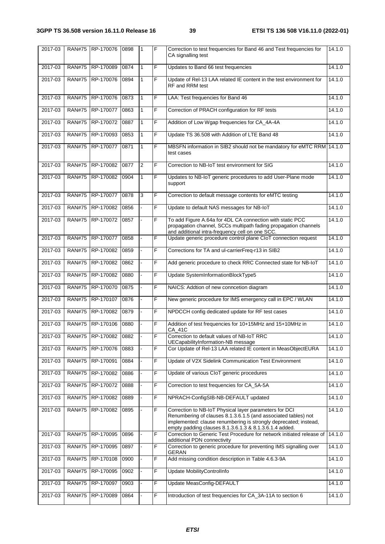| 2017-03 | <b>RAN#75</b> | RP-170076        | 0898 | 1            | F | Correction to test frequencies for Band 46 and Test frequencies for<br>CA signalling test                                                                                                                                                              | 14.1.0 |
|---------|---------------|------------------|------|--------------|---|--------------------------------------------------------------------------------------------------------------------------------------------------------------------------------------------------------------------------------------------------------|--------|
| 2017-03 | <b>RAN#75</b> | RP-170089        | 0874 | $\mathbf{1}$ | F | Updates to Band 66 test frequencies                                                                                                                                                                                                                    | 14.1.0 |
| 2017-03 | <b>RAN#75</b> | RP-170076        | 0894 | 1            | F | Update of Rel-13 LAA related IE content in the test environment for<br><b>RF</b> and RRM test                                                                                                                                                          | 14.1.0 |
| 2017-03 | <b>RAN#75</b> | RP-170076        | 0873 | $\mathbf{1}$ | F | LAA: Test frequencies for Band 46                                                                                                                                                                                                                      | 14.1.0 |
| 2017-03 | <b>RAN#75</b> | RP-170077        | 0863 | $\mathbf{1}$ | F | Correction of PRACH configuration for RF tests                                                                                                                                                                                                         | 14.1.0 |
| 2017-03 | <b>RAN#75</b> | RP-170072        | 0887 | $\mathbf{1}$ | F | Addition of Low Wgap frequencies for CA_4A-4A                                                                                                                                                                                                          | 14.1.0 |
| 2017-03 | <b>RAN#75</b> | RP-170093        | 0853 | 1            | F | Update TS 36.508 with Addition of LTE Band 48                                                                                                                                                                                                          | 14.1.0 |
| 2017-03 | <b>RAN#75</b> | RP-170077        | 0871 | 1            | F | MBSFN information in SIB2 should not be mandatory for eMTC RRM<br>test cases                                                                                                                                                                           | 14.1.0 |
| 2017-03 | <b>RAN#75</b> | RP-170082        | 0877 | 2            | F | Correction to NB-IoT test environment for SIG                                                                                                                                                                                                          | 14.1.0 |
| 2017-03 | <b>RAN#75</b> | RP-170082        | 0904 | 1            | F | Updates to NB-IoT generic procedures to add User-Plane mode<br>support                                                                                                                                                                                 | 14.1.0 |
| 2017-03 | <b>RAN#75</b> | RP-170077        | 0878 | 3            | F | Correction to default message contents for eMTC testing                                                                                                                                                                                                | 14.1.0 |
| 2017-03 | <b>RAN#75</b> | RP-170082        | 0856 |              | F | Update to default NAS messages for NB-IoT                                                                                                                                                                                                              | 14.1.0 |
| 2017-03 | <b>RAN#75</b> | RP-170072        | 0857 |              | F | To add Figure A.64a for 4DL CA connection with static PCC<br>propagation channel, SCCs multipath fading propagation channels<br>and additional intra-frequency cell on one SCC.                                                                        | 14.1.0 |
| 2017-03 | <b>RAN#75</b> | RP-170077        | 0858 |              | F | Update generic procedure control plane CloT connection request                                                                                                                                                                                         | 14.1.0 |
| 2017-03 | <b>RAN#75</b> | RP-170082        | 0859 |              | F | Corrections for TA and ul-carrierFreq-r13 in SIB2                                                                                                                                                                                                      | 14.1.0 |
| 2017-03 | <b>RAN#75</b> | RP-170082        | 0862 |              | F | Add generic procedure to check RRC Connected state for NB-IoT                                                                                                                                                                                          | 14.1.0 |
| 2017-03 | <b>RAN#75</b> | RP-170082        | 0880 |              | F | Update SystemInformationBlockType5                                                                                                                                                                                                                     | 14.1.0 |
| 2017-03 | <b>RAN#75</b> | RP-170070        | 0875 |              | F | NAICS: Addtion of new conncetion diagram                                                                                                                                                                                                               | 14.1.0 |
| 2017-03 | <b>RAN#75</b> | RP-170107        | 0876 |              | F | New generic procedure for IMS emergency call in EPC / WLAN                                                                                                                                                                                             | 14.1.0 |
| 2017-03 | <b>RAN#75</b> | RP-170082        | 0879 |              | F | NPDCCH config dedicated update for RF test cases                                                                                                                                                                                                       | 14.1.0 |
| 2017-03 | <b>RAN#75</b> | RP-170106        | 0880 |              | F | Addition of test frequencies for 10+15MHz and 15+10MHz in<br>CA_41C                                                                                                                                                                                    | 14.1.0 |
| 2017-03 |               | RAN#75 RP-170082 | 0882 |              | F | Correction to default values of NB-IoT RRC<br>UECapabilityInformation-NB message                                                                                                                                                                       | 14.1.0 |
| 2017-03 | <b>RAN#75</b> | RP-170076        | 0883 |              | F | Cor Update of Rel-13 LAA related IE content in MeasObjectEURA                                                                                                                                                                                          | 14.1.0 |
| 2017-03 | <b>RAN#75</b> | RP-170091        | 0884 |              | F | Update of V2X Sidelink Communication Test Environment                                                                                                                                                                                                  | 14.1.0 |
| 2017-03 | <b>RAN#75</b> | RP-170082        | 0886 |              | F | Update of various CloT generic procedures                                                                                                                                                                                                              | 14.1.0 |
| 2017-03 | <b>RAN#75</b> | RP-170072        | 0888 |              | F | Correction to test frequencies for CA_5A-5A                                                                                                                                                                                                            | 14.1.0 |
| 2017-03 | <b>RAN#75</b> | RP-170082        | 0889 |              | F | NPRACH-ConfigSIB-NB-DEFAULT updated                                                                                                                                                                                                                    | 14.1.0 |
| 2017-03 | <b>RAN#75</b> | RP-170082        | 0895 |              | F | Correction to NB-IoT Physical layer parameters for DCI<br>Renumbering of clauses 8.1.3.6.1.5 (and associated tables) not<br>implemented: clause renumbering is strongly deprecated; instead,<br>empty padding clauses 8.1.3.6.1.3 & 8.1.3.6.1.4 added. | 14.1.0 |
| 2017-03 | <b>RAN#75</b> | RP-170095        | 0896 |              | F | Correction to Generic Test Procedure for network initiated release of<br>additional PDN connectivity                                                                                                                                                   | 14.1.0 |
| 2017-03 | <b>RAN#75</b> | RP-170095        | 0897 |              | F | Correction to generic procedure for preventing IMS signalling over<br>GERAN                                                                                                                                                                            | 14.1.0 |
| 2017-03 | <b>RAN#75</b> | RP-170108        | 0900 |              | F | Add missing condition description in Table 4.6.3-9A                                                                                                                                                                                                    | 14.1.0 |
| 2017-03 | <b>RAN#75</b> | RP-170095        | 0902 |              | F | Update MobilityControlInfo                                                                                                                                                                                                                             | 14.1.0 |
| 2017-03 | <b>RAN#75</b> | RP-170097        | 0903 |              | F | Update MeasConfig-DEFAULT                                                                                                                                                                                                                              | 14.1.0 |
| 2017-03 | <b>RAN#75</b> | RP-170089        | 0864 |              | F | Introduction of test frequencies for CA_3A-11A to section 6                                                                                                                                                                                            | 14.1.0 |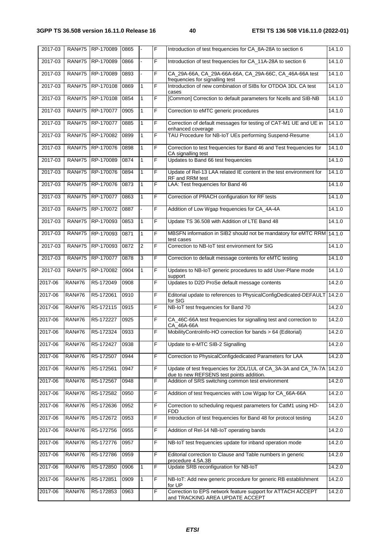| 2017-03 | <b>RAN#75</b> | RP-170089 | 0865 |              | F | Introduction of test frequencies for CA 8A-28A to section 6                                                 | 14.1.0 |
|---------|---------------|-----------|------|--------------|---|-------------------------------------------------------------------------------------------------------------|--------|
| 2017-03 | <b>RAN#75</b> | RP-170089 | 0866 |              | F | Introduction of test frequencies for CA_11A-28A to section 6                                                | 14.1.0 |
| 2017-03 | <b>RAN#75</b> | RP-170089 | 0893 |              | F | CA_29A-66A, CA_29A-66A-66A, CA_29A-66C, CA_46A-66A test<br>frequencies for signalling test                  | 14.1.0 |
| 2017-03 | <b>RAN#75</b> | RP-170108 | 0869 | 1            | F | Introduction of new combination of SIBs for OTDOA 3DL CA test<br>cases                                      | 14.1.0 |
| 2017-03 | <b>RAN#75</b> | RP-170108 | 0854 | 1            | F | [Common] Correction to default parameters for Ncells and SIB-NB                                             | 14.1.0 |
| 2017-03 | <b>RAN#75</b> | RP-170077 | 0905 | 1            | F | Correction to eMTC generic procedures                                                                       | 14.1.0 |
| 2017-03 | <b>RAN#75</b> | RP-170077 | 0885 | 1            | F | Correction of default messages for testing of CAT-M1 UE and UE in<br>enhanced coverage                      | 14.1.0 |
| 2017-03 | <b>RAN#75</b> | RP-170082 | 0899 | 1            | F | TAU Procedure for NB-IoT UEs performing Suspend-Resume                                                      | 14.1.0 |
| 2017-03 | <b>RAN#75</b> | RP-170076 | 0898 | 1            | F | Correction to test frequencies for Band 46 and Test frequencies for<br>CA signalling test                   | 14.1.0 |
| 2017-03 | <b>RAN#75</b> | RP-170089 | 0874 | $\mathbf{1}$ | F | Updates to Band 66 test frequencies                                                                         | 14.1.0 |
| 2017-03 | <b>RAN#75</b> | RP-170076 | 0894 | 1            | F | Update of Rel-13 LAA related IE content in the test environment for<br><b>RF</b> and RRM test               | 14.1.0 |
| 2017-03 | <b>RAN#75</b> | RP-170076 | 0873 | 1            | F | LAA: Test frequencies for Band 46                                                                           | 14.1.0 |
| 2017-03 | <b>RAN#75</b> | RP-170077 | 0863 | 1            | F | Correction of PRACH configuration for RF tests                                                              | 14.1.0 |
| 2017-03 | <b>RAN#75</b> | RP-170072 | 0887 |              | F | Addition of Low Wgap frequencies for CA_4A-4A                                                               | 14.1.0 |
| 2017-03 | <b>RAN#75</b> | RP-170093 | 0853 | 1            | F | Update TS 36.508 with Addition of LTE Band 48                                                               | 14.1.0 |
| 2017-03 | <b>RAN#75</b> | RP-170093 | 0871 | 1            | F | MBSFN information in SIB2 should not be mandatory for eMTC RRM<br>test cases                                | 14.1.0 |
| 2017-03 | <b>RAN#75</b> | RP-170093 | 0872 | 2            | F | Correction to NB-IoT test environment for SIG                                                               | 14.1.0 |
| 2017-03 | <b>RAN#75</b> | RP-170077 | 0878 | 3            | F | Correction to default message contents for eMTC testing                                                     | 14.1.0 |
| 2017-03 | <b>RAN#75</b> | RP-170082 | 0904 | 1            | F | Updates to NB-IoT generic procedures to add User-Plane mode<br>support                                      | 14.1.0 |
| 2017-06 | <b>RAN#76</b> | R5-172049 | 0908 |              | F | Updates to D2D ProSe default message contents                                                               | 14.2.0 |
| 2017-06 | <b>RAN#76</b> | R5-172061 | 0910 |              | F | Editorial update to references to PhysicalConfigDedicated-DEFAULT<br>for SIG                                | 14.2.0 |
| 2017-06 | <b>RAN#76</b> | R5-172115 | 0915 |              | F | NB-IoT test frequencies for Band 70                                                                         | 14.2.0 |
| 2017-06 | <b>RAN#76</b> | R5-172227 | 0925 |              | F | CA_46C-66A test frequencies for signalling test and correction to<br>CA_46A-66A                             | 14.2.0 |
| 2017-06 | <b>RAN#76</b> | R5-172324 | 0933 |              | F | MobilityControInfo-HO correction for bands > 64 (Editorial)                                                 | 14.2.0 |
| 2017-06 | <b>RAN#76</b> | R5-172427 | 0938 |              | F | Update to e-MTC SIB-2 Signalling                                                                            | 14.2.0 |
| 2017-06 | <b>RAN#76</b> | R5-172507 | 0944 |              | F | Correction to PhysicalConfigdedicated Parameters for LAA                                                    | 14.2.0 |
| 2017-06 | <b>RAN#76</b> | R5-172561 | 0947 |              | F | Update of test frequencies for 2DL/1UL of CA_3A-3A and CA_7A-7A<br>due to new REFSENS test points addition. | 14.2.0 |
| 2017-06 | <b>RAN#76</b> | R5-172567 | 0948 |              | F | Addition of SRS switching common test environment                                                           | 14.2.0 |
| 2017-06 | <b>RAN#76</b> | R5-172582 | 0950 |              | F | Addition of test frequencies with Low Wgap for CA_66A-66A                                                   | 14.2.0 |
| 2017-06 | <b>RAN#76</b> | R5-172636 | 0952 |              | F | Correction to scheduling request parameters for CatM1 using HD-<br>FDD                                      | 14.2.0 |
| 2017-06 | <b>RAN#76</b> | R5-172672 | 0953 |              | F | Introduction of test frequencies for Band 48 for protocol testing                                           | 14.2.0 |
| 2017-06 | <b>RAN#76</b> | R5-172756 | 0955 |              | F | Addition of Rel-14 NB-IoT operating bands                                                                   | 14.2.0 |
| 2017-06 | <b>RAN#76</b> | R5-172776 | 0957 |              | F | NB-IoT test frequencies update for inband operation mode                                                    | 14.2.0 |
| 2017-06 | <b>RAN#76</b> | R5-172786 | 0959 |              | F | Editorial correction to Clause and Table numbers in generic<br>procedure 4.5A.3B                            | 14.2.0 |
| 2017-06 | <b>RAN#76</b> | R5-172850 | 0906 | 1            | F | Update SRB reconfiguration for NB-IoT                                                                       | 14.2.0 |
| 2017-06 | <b>RAN#76</b> | R5-172851 | 0909 | 1            | F | NB-IoT: Add new generic procedure for generic RB establishment<br>for UP                                    | 14.2.0 |
| 2017-06 | <b>RAN#76</b> | R5-172853 | 0963 |              | F | Correction to EPS network feature support for ATTACH ACCEPT<br>and TRACKING AREA UPDATE ACCEPT              | 14.2.0 |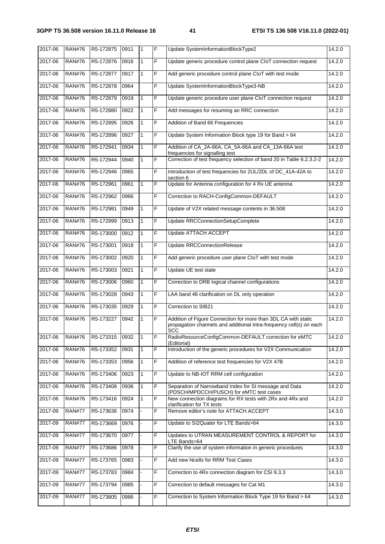| 2017-06 | <b>RAN#76</b> | R5-172875 | 0911 | 1            | F  | Update SystemInformationBlockType2                                                                                                                  | 14.2.0 |
|---------|---------------|-----------|------|--------------|----|-----------------------------------------------------------------------------------------------------------------------------------------------------|--------|
| 2017-06 | <b>RAN#76</b> | R5-172876 | 0916 | 1            | F  | Update generic procedure control plane CloT connection request                                                                                      | 14.2.0 |
| 2017-06 | <b>RAN#76</b> | R5-172877 | 0917 | 1            | F  | Add generic procedure control plane CIoT with test mode                                                                                             | 14.2.0 |
| 2017-06 | <b>RAN#76</b> | R5-172878 | 0964 |              | F  | Update SystemInformationBlockType3-NB                                                                                                               | 14.2.0 |
| 2017-06 | <b>RAN#76</b> | R5-172879 | 0919 | $\mathbf{1}$ | F  | Update generic procedure user plane CloT connection request                                                                                         | 14.2.0 |
| 2017-06 | <b>RAN#76</b> | R5-172880 | 0922 | $\mathbf{1}$ | F  | Add messages for resuming an RRC connection                                                                                                         | 14.2.0 |
| 2017-06 | <b>RAN#76</b> | R5-172895 | 0926 | 1            | F  | Addition of Band 66 Frequencies                                                                                                                     | 14.2.0 |
| 2017-06 | <b>RAN#76</b> | R5-172896 | 0927 | 1            | F  | Update System Information Block type 19 for Band > 64                                                                                               | 14.2.0 |
| 2017-06 | <b>RAN#76</b> | R5-172941 | 0934 | 1            | F  | Addition of CA_2A-66A, CA_5A-66A and CA_13A-66A test<br>frequencies for signalling test                                                             | 14.2.0 |
| 2017-06 | <b>RAN#76</b> | R5-172944 | 0940 | $\mathbf{1}$ | F  | Correction of test frequency selection of band 20 in Table 6.2.3.2-2                                                                                | 14.2.0 |
| 2017-06 | <b>RAN#76</b> | R5-172946 | 0965 |              | F  | Introduction of test frequencies for 2UL/2DL of DC_41A-42A to<br>section 6                                                                          | 14.2.0 |
| 2017-06 | <b>RAN#76</b> | R5-172961 | 0961 | 1            | F  | Update for Antenna configuration for 4 Rx UE antenna                                                                                                | 14.2.0 |
| 2017-06 | <b>RAN#76</b> | R5-172962 | 0966 |              | F  | Correction to RACH-ConfigCommon-DEFAULT                                                                                                             | 14.2.0 |
| 2017-06 | <b>RAN#76</b> | R5-172981 | 0949 | 1            | F  | Update of V2X related message contents in 36.508                                                                                                    | 14.2.0 |
| 2017-06 | <b>RAN#76</b> | R5-172999 | 0913 | 1            | F  | Update RRCConnectionSetupComplete                                                                                                                   | 14.2.0 |
| 2017-06 | <b>RAN#76</b> | R5-173000 | 0912 | 1            | F  | <b>Update ATTACH ACCEPT</b>                                                                                                                         | 14.2.0 |
| 2017-06 | <b>RAN#76</b> | R5-173001 | 0918 | $\mathbf{1}$ | F  | Update RRCConnectionRelease                                                                                                                         | 14.2.0 |
| 2017-06 | <b>RAN#76</b> | R5-173002 | 0920 | $\mathbf{1}$ | F  | Add generic procedure user plane CloT with test mode                                                                                                | 14.2.0 |
| 2017-06 | <b>RAN#76</b> | R5-173003 | 0921 | 1            | F  | Update UE test state                                                                                                                                | 14.2.0 |
| 2017-06 | <b>RAN#76</b> | R5-173006 | 0960 | 1            | F  | Correction to DRB logical channel configurations                                                                                                    | 14.2.0 |
| 2017-06 | <b>RAN#76</b> | R5-173028 | 0943 | 1            | F  | LAA band 46 clarification on DL only operation                                                                                                      | 14.2.0 |
| 2017-06 | <b>RAN#76</b> | R5-173035 | 0929 | 1            | F  | Correction to SIB21                                                                                                                                 | 14.2.0 |
| 2017-06 | <b>RAN#76</b> | R5-173227 | 0942 | 1            | F  | Addition of Figure Connection for more than 3DL CA with static<br>propagation channels and additional intra-frequency cell(s) on each<br><b>SCC</b> | 14.2.0 |
| 2017-06 | <b>RAN#76</b> | R5-173315 | 0932 | l 1          | IF | RadioResourceConfigCommon-DEFAULT correction for eMTC<br>(Editorial)                                                                                | 14.2.0 |
| 2017-06 | <b>RAN#76</b> | R5-173352 | 0931 | $\mathbf{1}$ | F  | Introduction of the generic procedures for V2X Communication                                                                                        | 14.2.0 |
| 2017-06 | <b>RAN#76</b> | R5-173353 | 0956 | $\mathbf{1}$ | F  | Addition of reference test frequencies for V2X 47B                                                                                                  | 14.2.0 |
| 2017-06 | <b>RAN#76</b> | R5-173406 | 0923 | $\mathbf{1}$ | F  | Update to NB-IOT RRM cell configuration                                                                                                             | 14.2.0 |
| 2017-06 | <b>RAN#76</b> | R5-173408 | 0936 | 1            | F  | Separation of Narrowband Index for SI message and Data<br>(PDSCH/MPDCCH/PUSCH) for eMTC test cases                                                  | 14.2.0 |
| 2017-06 | <b>RAN#76</b> | R5-173416 | 0924 | 1            | F  | New connection diagrams for RX tests with 2Rx and 4Rx and<br>clarification for TX tests                                                             | 14.2.0 |
| 2017-09 | <b>RAN#77</b> | R5-173636 | 0974 |              | F  | Remove editor's note for ATTACH ACCEPT                                                                                                              | 14.3.0 |
| 2017-09 | <b>RAN#77</b> | R5-173669 | 0976 |              | F  | Update to SI2Quater for LTE Bands>64                                                                                                                | 14.3.0 |
| 2017-09 | <b>RAN#77</b> | R5-173670 | 0977 |              | F  | Updates to UTRAN MEASUREMENT CONTROL & REPORT for<br>LTE Bands>64                                                                                   | 14.3.0 |
| 2017-09 | <b>RAN#77</b> | R5-173686 | 0978 |              | F  | Clarify the use of system information in generic procedures                                                                                         | 14.3.0 |
| 2017-09 | <b>RAN#77</b> | R5-173765 | 0983 |              | F  | Add new Ncells for RRM Test Cases                                                                                                                   | 14.3.0 |
| 2017-09 | <b>RAN#77</b> | R5-173783 | 0984 |              | F  | Correction to 4Rx connection diagram for CSI 9.3.3                                                                                                  | 14.3.0 |
| 2017-09 | <b>RAN#77</b> | R5-173794 | 0985 |              | F  | Correction to default messages for Cat M1                                                                                                           | 14.3.0 |
| 2017-09 | <b>RAN#77</b> | R5-173805 | 0986 |              | F  | Correction to System Information Block Type 19 for Band > 64                                                                                        | 14.3.0 |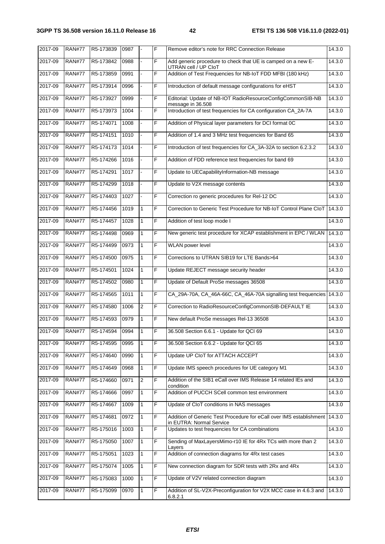| 2017-09 | <b>RAN#77</b> | R5-173839 | 0987   |                | F | Remove editor's note for RRC Connection Release                                                 | 14.3.0 |
|---------|---------------|-----------|--------|----------------|---|-------------------------------------------------------------------------------------------------|--------|
| 2017-09 | <b>RAN#77</b> | R5-173842 | 0988   |                | F | Add generic procedure to check that UE is camped on a new E-<br>UTRAN cell / UP CloT            | 14.3.0 |
| 2017-09 | <b>RAN#77</b> | R5-173859 | 0991   |                | F | Addition of Test Frequencies for NB-IoT FDD MFBI (180 kHz)                                      | 14.3.0 |
| 2017-09 | <b>RAN#77</b> | R5-173914 | 0996   |                | F | Introduction of default message configurations for eHST                                         | 14.3.0 |
| 2017-09 | <b>RAN#77</b> | R5-173927 | 0999   |                | F | Editorial: Update of NB-IOT RadioResourceConfigCommonSIB-NB<br>message in 36.508                | 14.3.0 |
| 2017-09 | <b>RAN#77</b> | R5-173973 | 1004   |                | F | Introduction of test frequencies for CA configuration CA_2A-7A                                  | 14.3.0 |
| 2017-09 | <b>RAN#77</b> | R5-174071 | 1008   |                | F | Addition of Physical layer parameters for DCI format 0C                                         | 14.3.0 |
| 2017-09 | <b>RAN#77</b> | R5-174151 | 1010   |                | F | Addition of 1.4 and 3 MHz test frequencies for Band 65                                          | 14.3.0 |
| 2017-09 | <b>RAN#77</b> | R5-174173 | 1014   |                | F | Introduction of test frequencies for CA_3A-32A to section 6.2.3.2                               | 14.3.0 |
| 2017-09 | <b>RAN#77</b> | R5-174266 | 1016   |                | F | Addition of FDD reference test frequencies for band 69                                          | 14.3.0 |
| 2017-09 | <b>RAN#77</b> | R5-174291 | 1017   | ÷.             | F | Update to UECapabilityInformation-NB message                                                    | 14.3.0 |
| 2017-09 | <b>RAN#77</b> | R5-174299 | 1018   |                | F | Update to V2X message contents                                                                  | 14.3.0 |
| 2017-09 | <b>RAN#77</b> | R5-174403 | 1027   |                | F | Correction ro generic procedures for Rel-12 DC                                                  | 14.3.0 |
| 2017-09 | <b>RAN#77</b> | R5-174456 | 1019   | 1              | F | Correction to Generic Test Procedure for NB-IoT Control Plane CIoT                              | 14.3.0 |
| 2017-09 | <b>RAN#77</b> | R5-174457 | 1028   | 1              | F | Addition of test loop mode I                                                                    | 14.3.0 |
| 2017-09 | <b>RAN#77</b> | R5-174498 | 0969   | 1              | F | New generic test procedure for XCAP establishment in EPC / WLAN                                 | 14.3.0 |
| 2017-09 | <b>RAN#77</b> | R5-174499 | 0973   | $\mathbf{1}$   | F | WLAN power level                                                                                | 14.3.0 |
| 2017-09 | <b>RAN#77</b> | R5-174500 | 0975   | $\mathbf{1}$   | F | Corrections to UTRAN SIB19 for LTE Bands>64                                                     | 14.3.0 |
| 2017-09 | <b>RAN#77</b> | R5-174501 | $1024$ | 1              | F | Update REJECT message security header                                                           | 14.3.0 |
| 2017-09 | <b>RAN#77</b> | R5-174502 | 0980   | 1              | F | Update of Default ProSe messages 36508                                                          | 14.3.0 |
| 2017-09 | <b>RAN#77</b> | R5-174565 | 1011   | 1              | F | CA_29A-70A, CA_46A-66C, CA_46A-70A signalling test frequencies                                  | 14.3.0 |
| 2017-09 | <b>RAN#77</b> | R5-174580 | 1006   | $\mathbf{2}$   | F | Correction to RadioResourceConfigCommonSIB-DEFAULT IE                                           | 14.3.0 |
| 2017-09 | <b>RAN#77</b> | R5-174593 | 0979   | $\mathbf{1}$   | F | New default ProSe messages Rel-13 36508                                                         | 14.3.0 |
| 2017-09 | <b>RAN#77</b> | R5-174594 | 0994   | 1              | F | 36.508 Section 6.6.1 - Update for QCI 69                                                        | 14.3.0 |
| 2017-09 | <b>RAN#77</b> | R5-174595 | 0995   | 1              | F | 36.508 Section 6.6.2 - Update for QCI 65                                                        | 14.3.0 |
| 2017-09 | <b>RAN#77</b> | R5-174640 | 0990   | 1              | F | Update UP CloT for ATTACH ACCEPT                                                                | 14.3.0 |
| 2017-09 | <b>RAN#77</b> | R5-174649 | 0968   | 1              | F | Update IMS speech procedures for UE category M1                                                 | 14.3.0 |
| 2017-09 | <b>RAN#77</b> | R5-174660 | 0971   | $\overline{c}$ | F | Addition of the SIB1 eCall over IMS Release 14 related IEs and<br>condition                     | 14.3.0 |
| 2017-09 | <b>RAN#77</b> | R5-174666 | 0997   | $\mathbf{1}$   | F | Addition of PUCCH SCell common test environment                                                 | 14.3.0 |
| 2017-09 | <b>RAN#77</b> | R5-174667 | 1009   | 1              | F | Update of CloT conditions in NAS messages                                                       | 14.3.0 |
| 2017-09 | <b>RAN#77</b> | R5-174681 | 0972   | 1              | F | Addition of Generic Test Procedure for eCall over IMS establishment<br>in EUTRA: Normal Service | 14.3.0 |
| 2017-09 | <b>RAN#77</b> | R5-175016 | 1003   | 1              | F | Updates to test frequencies for CA combinations                                                 | 14.3.0 |
| 2017-09 | <b>RAN#77</b> | R5-175050 | 1007   | 1              | F | Sending of MaxLayersMimo-r10 IE for 4Rx TCs with more than 2<br>Layers                          | 14.3.0 |
| 2017-09 | <b>RAN#77</b> | R5-175051 | 1023   | 1              | F | Addition of connection diagrams for 4Rx test cases                                              | 14.3.0 |
| 2017-09 | <b>RAN#77</b> | R5-175074 | 1005   | $\mathbf{1}$   | F | New connection diagram for SDR tests with 2Rx and 4Rx                                           | 14.3.0 |
| 2017-09 | <b>RAN#77</b> | R5-175083 | 1000   | $\mathbf{1}$   | F | Update of V2V related connection diagram                                                        | 14.3.0 |
| 2017-09 | <b>RAN#77</b> | R5-175099 | 0970   | $\mathbf{1}$   | F | Addition of SL-V2X-Preconfiguration for V2X MCC case in 4.6.3 and<br>6.8.2.1                    | 14.3.0 |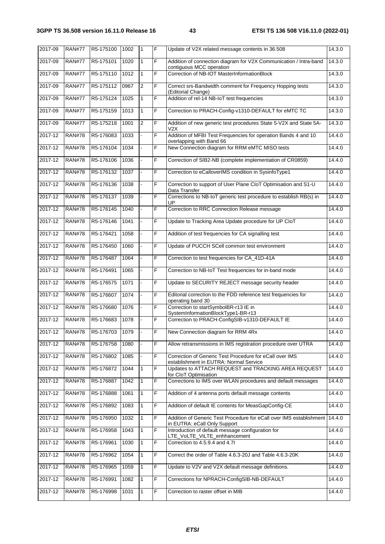| 2017-09     | <b>RAN#77</b> | R5-175100 | 1002 | $\mathbf{1}$   | F | Update of V2X related message contents in 36.508                                                    | 14.3.0 |
|-------------|---------------|-----------|------|----------------|---|-----------------------------------------------------------------------------------------------------|--------|
| 2017-09     | <b>RAN#77</b> | R5-175101 | 1020 | $\mathbf{1}$   | F | Addition of connection diagram for V2X Communication / Intra-band<br>contiguous MCC operation       | 14.3.0 |
| 2017-09     | <b>RAN#77</b> | R5-175110 | 1012 | $\mathbf{1}$   | F | Correction of NB-IOT MasterInformationBlock                                                         | 14.3.0 |
| 2017-09     | <b>RAN#77</b> | R5-175112 | 0967 | $\overline{2}$ | F | Correct srs-Bandwidth comment for Frequency Hopping tests<br>(Editorial Change)                     | 14.3.0 |
| 2017-09     | <b>RAN#77</b> | R5-175124 | 1025 | 1              | F | Addition of rel-14 NB-IoT test frequencies                                                          | 14.3.0 |
| 2017-09     | <b>RAN#77</b> | R5-175159 | 1013 | $\mathbf{1}$   | F | Correction to PRACH-Config-v1310-DEFAULT for eMTC TC                                                | 14.3.0 |
| 2017-09     | <b>RAN#77</b> | R5-175218 | 1001 | $\overline{2}$ | F | Addition of new generic test procedures State 5-V2X and State 5A-<br>V2X                            | 14.3.0 |
| 2017-12     | <b>RAN#78</b> | R5-176083 | 1033 |                | F | Addition of MFBI Test Frequencies for operation Bands 4 and 10<br>overlapping with Band 66          | 14.4.0 |
| $2017 - 12$ | <b>RAN#78</b> | R5-176104 | 1034 |                | F | New Connection diagram for RRM eMTC MISO tests                                                      | 14.4.0 |
| 2017-12     | <b>RAN#78</b> | R5-176106 | 1036 |                | F | Correction of SIB2-NB (complete implementation of CR0859)                                           | 14.4.0 |
| $2017 - 12$ | <b>RAN#78</b> | R5-176132 | 1037 |                | F | Correction to eCalloverIMS condition in SysinfoType1                                                | 14.4.0 |
| 2017-12     | <b>RAN#78</b> | R5-176136 | 1038 |                | F | Correction to support of User Plane CloT Optimisation and S1-U<br>Data Transfer                     | 14.4.0 |
| 2017-12     | <b>RAN#78</b> | R5-176137 | 1039 |                | F | Corrections to NB-IoT generic test procedure to establish RB(s) in<br>UP                            | 14.4.0 |
| $2017 - 12$ | <b>RAN#78</b> | R5-176145 | 1040 |                | F | Correction to RRC Connection Release message                                                        | 14.4.0 |
| 2017-12     | <b>RAN#78</b> | R5-176146 | 1041 |                | F | Update to Tracking Area Update procedure for UP CloT                                                | 14.4.0 |
| 2017-12     | <b>RAN#78</b> | R5-176421 | 1058 |                | F | Addition of test frequencies for CA signalling test                                                 | 14.4.0 |
| $2017 - 12$ | <b>RAN#78</b> | R5-176450 | 1060 |                | F | Update of PUCCH SCell common test environment                                                       | 14.4.0 |
| 2017-12     | <b>RAN#78</b> | R5-176487 | 1064 |                | F | Correction to test frequencies for CA_41D-41A                                                       | 14.4.0 |
| 2017-12     | <b>RAN#78</b> | R5-176491 | 1065 |                | F | Correction to NB-IoT Test frequencies for in-band mode                                              | 14.4.0 |
| $2017 - 12$ | <b>RAN#78</b> | R5-176575 | 1071 |                | F | Update to SECURITY REJECT message security header                                                   | 14.4.0 |
| 2017-12     | <b>RAN#78</b> | R5-176607 | 1074 |                | F | Editorial correction to the FDD reference test frequencies for<br>operating band 30                 | 14.4.0 |
| 2017-12     | <b>RAN#78</b> | R5-176680 | 1076 |                | F | Correction to startSymbolBR-r13 IE in<br>SystemInformationBlockType1-BR-r13                         | 14.4.0 |
| 2017-12     | <b>RAN#78</b> | R5-176683 | 1078 |                | F | Correction to PRACH-ConfigSIB-v1310-DEFAULT IE                                                      | 14.4.0 |
| 2017-12     | <b>RAN#78</b> | R5-176703 | 1079 |                | F | New Connection diagram for RRM 4Rx                                                                  | 14.4.0 |
| 2017-12     | <b>RAN#78</b> | R5-176758 | 1080 |                | F | Allow retransmissions in IMS registration procedure over UTRA                                       | 14.4.0 |
| 2017-12     | <b>RAN#78</b> | R5-176802 | 1085 |                | F | Correction of Generic Test Procedure for eCall over IMS<br>establishment in EUTRA: Normal Service   | 14.4.0 |
| 2017-12     | <b>RAN#78</b> | R5-176872 | 1044 | $\mathbf{1}$   | F | Updates to ATTACH REQUEST and TRACKING AREA REQUEST<br>for CloT Optimisation                        | 14.4.0 |
| 2017-12     | <b>RAN#78</b> | R5-176887 | 1042 | $\mathbf{1}$   | F | Corrections to IMS over WLAN procedures and default messages                                        | 14.4.0 |
| 2017-12     | <b>RAN#78</b> | R5-176888 | 1061 | 1              | F | Addition of 4 antenna ports default message contents                                                | 14.4.0 |
| 2017-12     | <b>RAN#78</b> | R5-176892 | 1083 | $\mathbf{1}$   | F | Addition of default IE contents for MeasGapConfig-CE                                                | 14.4.0 |
| 2017-12     | <b>RAN#78</b> | R5-176950 | 1032 | 1              | F | Addition of Generic Test Procedure for eCall over IMS establishment<br>in EUTRA: eCall Only Support | 14.4.0 |
| 2017-12     | <b>RAN#78</b> | R5-176958 | 1043 | $\mathbf{1}$   | F | Introduction of default message configuration for<br>LTE_VoLTE_ViLTE_enhhancement                   | 14.4.0 |
| 2017-12     | <b>RAN#78</b> | R5-176961 | 1030 | $\mathbf{1}$   | F | Correction to 4.5.9.4 and 4.7l                                                                      | 14.4.0 |
| 2017-12     | <b>RAN#78</b> | R5-176962 | 1054 | $\mathbf{1}$   | F | Correct the order of Table 4.6.3-20J and Table 4.6.3-20K                                            | 14.4.0 |
| 2017-12     | <b>RAN#78</b> | R5-176965 | 1059 | 1              | F | Update to V2V and V2X default message definitions.                                                  | 14.4.0 |
| 2017-12     | <b>RAN#78</b> | R5-176991 | 1082 | 1              | F | Corrections for NPRACH-ConfigSIB-NB-DEFAULT                                                         | 14.4.0 |
| 2017-12     | <b>RAN#78</b> | R5-176998 | 1031 | 1              | F | Correction to raster offset in MIB                                                                  | 14.4.0 |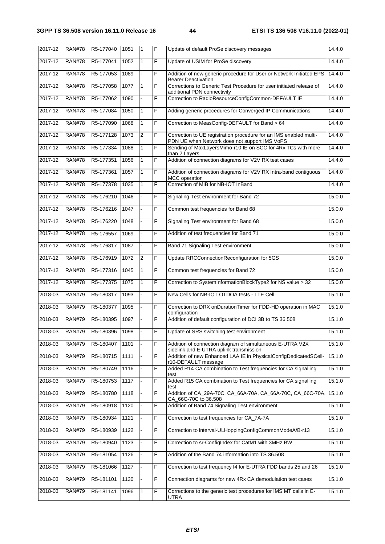| 2017-12     | <b>RAN#78</b> | R5-177040 | 1051 | 1                       | F | Update of default ProSe discovery messages                                                                         | 14.4.0 |
|-------------|---------------|-----------|------|-------------------------|---|--------------------------------------------------------------------------------------------------------------------|--------|
| 2017-12     | <b>RAN#78</b> | R5-177041 | 1052 | 1                       | F | Update of USIM for ProSe discovery                                                                                 | 14.4.0 |
| 2017-12     | <b>RAN#78</b> | R5-177053 | 1089 |                         | F | Addition of new generic procedure for User or Network Initiated EPS<br><b>Bearer Deactivation</b>                  | 14.4.0 |
| 2017-12     | <b>RAN#78</b> | R5-177058 | 1077 | $\mathbf{1}$            | F | Corrections to Generic Test Procedure for user initiated release of<br>additional PDN connectivity                 | 14.4.0 |
| 2017-12     | <b>RAN#78</b> | R5-177062 | 1090 |                         | F | Correction to RadioResourceConfigCommon-DEFAULT IE                                                                 | 14.4.0 |
| $2017 - 12$ | <b>RAN#78</b> | R5-177084 | 1050 | $\mathbf{1}$            | F | Adding generic procedures for Converged IP Communications                                                          | 14.4.0 |
| 2017-12     | <b>RAN#78</b> | R5-177090 | 1068 | $\mathbf{1}$            | F | Correction to MeasConfig-DEFAULT for Band > 64                                                                     | 14.4.0 |
| 2017-12     | <b>RAN#78</b> | R5-177128 | 1073 | $\overline{\mathbf{c}}$ | F | Correction to UE registration procedure for an IMS enabled multi-<br>PDN UE when Network does not support IMS VoPS | 14.4.0 |
| 2017-12     | <b>RAN#78</b> | R5-177334 | 1088 | $\mathbf{1}$            | F | Sending of MaxLayersMimo-r10 IE on SCC for 4Rx TCs with more<br>than 2 Layers                                      | 14.4.0 |
| 2017-12     | <b>RAN#78</b> | R5-177351 | 1056 | 1                       | F | Addition of connection diagrams for V2V RX test cases                                                              | 14.4.0 |
| $2017 - 12$ | <b>RAN#78</b> | R5-177361 | 1057 | $\mathbf{1}$            | F | Addition of connection diagrams for V2V RX Intra-band contiguous<br><b>MCC</b> operation                           | 14.4.0 |
| 2017-12     | <b>RAN#78</b> | R5-177378 | 1035 | $\mathbf{1}$            | F | Correction of MIB for NB-IOT InBand                                                                                | 14.4.0 |
| 2017-12     | <b>RAN#78</b> | R5-176210 | 1046 |                         | F | Signaling Test environment for Band 72                                                                             | 15.0.0 |
| $2017 - 12$ | <b>RAN#78</b> | R5-176216 | 1047 |                         | F | Common test frequencies for Band 68                                                                                | 15.0.0 |
| 2017-12     | <b>RAN#78</b> | R5-176220 | 1048 |                         | F | Signaling Test environment for Band 68                                                                             | 15.0.0 |
| $2017 - 12$ | <b>RAN#78</b> | R5-176557 | 1069 |                         | F | Addition of test frequencies for Band 71                                                                           | 15.0.0 |
| 2017-12     | <b>RAN#78</b> | R5-176817 | 1087 | ä,                      | F | Band 71 Signaling Test environment                                                                                 | 15.0.0 |
| 2017-12     | <b>RAN#78</b> | R5-176919 | 1072 | $\overline{c}$          | F | Update RRCConnectionReconfiguration for 5GS                                                                        | 15.0.0 |
| $2017 - 12$ | <b>RAN#78</b> | R5-177316 | 1045 | 1                       | F | Common test frequencies for Band 72                                                                                | 15.0.0 |
| 2017-12     | <b>RAN#78</b> | R5-177375 | 1075 | 1                       | F | Correction to SystemInformationBlockType2 for NS value > 32                                                        | 15.0.0 |
| 2018-03     | <b>RAN#79</b> | R5-180317 | 1093 |                         | F | New Cells for NB-IOT OTDOA tests - LTE Cell                                                                        | 15.1.0 |
| 2018-03     | <b>RAN#79</b> | R5-180377 | 1095 |                         | F | Correction to DRX onDurationTimer for FDD-HD operation in MAC<br>configuration                                     | 15.1.0 |
| 2018-03     | <b>RAN#79</b> | R5-180395 | 1097 |                         | F | Addition of default configuration of DCI 3B to TS 36.508                                                           | 15.1.0 |
| 2018-03     | <b>RAN#79</b> | R5-180396 | 1098 |                         | F | Update of SRS switching test environment                                                                           | 15.1.0 |
| 2018-03     | <b>RAN#79</b> | R5-180407 | 1101 |                         | F | Addition of connection diagram of simultaneous E-UTRA V2X<br>sidelink and E-UTRA uplink transmission               | 15.1.0 |
| 2018-03     | <b>RAN#79</b> | R5-180715 | 1111 |                         | F | Addition of new Enhanced LAA IE in PhysicalConfigDedicatedSCell-<br>r10-DEFAULT message                            | 15.1.0 |
| 2018-03     | <b>RAN#79</b> | R5-180749 | 1116 |                         | F | Added R14 CA combination to Test frequencies for CA signalling<br>test                                             | 15.1.0 |
| 2018-03     | <b>RAN#79</b> | R5-180753 | 1117 |                         | F | Added R15 CA combination to Test frequencies for CA signalling<br>test                                             | 15.1.0 |
| 2018-03     | <b>RAN#79</b> | R5-180780 | 1118 |                         | F | Addition of CA_29A-70C, CA_66A-70A, CA_66A-70C, CA_66C-70A,                                                        | 15.1.0 |
| 2018-03     | <b>RAN#79</b> | R5-180918 | 1120 |                         | F | CA_66C-70C to 36.508<br>Addition of Band 74 Signaling Test environment                                             | 15.1.0 |
| 2018-03     | <b>RAN#79</b> | R5-180934 | 1121 |                         | F | Correction to test frequencies for CA_7A-7A                                                                        | 15.1.0 |
| 2018-03     | <b>RAN#79</b> | R5-180939 | 1122 |                         | F | Correction to interval-ULHoppingConfigCommonModeA/B-r13                                                            | 15.1.0 |
| 2018-03     | <b>RAN#79</b> | R5-180940 | 1123 |                         | F | Correction to sr-ConfigIndex for CatM1 with 3MHz BW                                                                | 15.1.0 |
| 2018-03     | <b>RAN#79</b> | R5-181054 | 1126 |                         | F | Addition of the Band 74 information into TS 36.508                                                                 | 15.1.0 |
| 2018-03     | <b>RAN#79</b> | R5-181066 | 1127 |                         | F | Correction to test frequency f4 for E-UTRA FDD bands 25 and 26                                                     | 15.1.0 |
| 2018-03     | <b>RAN#79</b> | R5-181101 | 1130 |                         | F | Connection diagrams for new 4Rx CA demodulation test cases                                                         | 15.1.0 |
| 2018-03     | <b>RAN#79</b> | R5-181141 | 1096 | 1                       | F | Corrections to the generic test procedures for IMS MT calls in E-<br>UTRA                                          | 15.1.0 |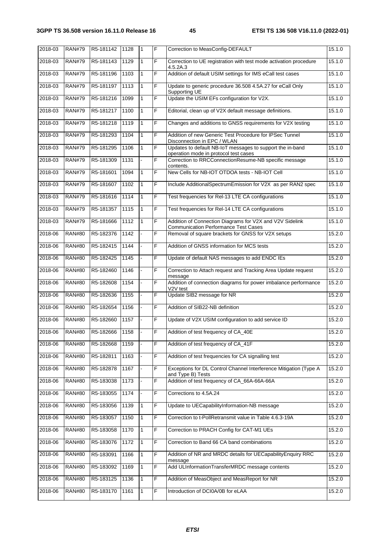| 2018-03 | <b>RAN#79</b> | R5-181142 | 1128 | $\mathbf{1}$ | F | Correction to MeasConfig-DEFAULT                                                                        | 15.1.0 |
|---------|---------------|-----------|------|--------------|---|---------------------------------------------------------------------------------------------------------|--------|
| 2018-03 | <b>RAN#79</b> | R5-181143 | 1129 | $\mathbf{1}$ | F | Correction to UE registration with test mode activation procedure<br>4.5.2A.3                           | 15.1.0 |
| 2018-03 | <b>RAN#79</b> | R5-181196 | 1103 | $\mathbf{1}$ | F | Addition of default USIM settings for IMS eCall test cases                                              | 15.1.0 |
| 2018-03 | <b>RAN#79</b> | R5-181197 | 1113 | $\mathbf{1}$ | F | Update to generic procedure 36.508 4.5A.27 for eCall Only<br>Supporting UE                              | 15.1.0 |
| 2018-03 | <b>RAN#79</b> | R5-181216 | 1099 | $\mathbf{1}$ | F | Update the USIM EFs configuration for V2X.                                                              | 15.1.0 |
| 2018-03 | <b>RAN#79</b> | R5-181217 | 1100 | $\mathbf{1}$ | F | Editorial, clean up of V2X default message definitions.                                                 | 15.1.0 |
| 2018-03 | <b>RAN#79</b> | R5-181218 | 1119 | $\mathbf{1}$ | F | Changes and additions to GNSS requirements for V2X testing                                              | 15.1.0 |
| 2018-03 | <b>RAN#79</b> | R5-181293 | 1104 | $\mathbf{1}$ | F | Addition of new Generic Test Procedure for IPSec Tunnel<br>Disconnection in EPC / WLAN                  | 15.1.0 |
| 2018-03 | <b>RAN#79</b> | R5-181295 | 1106 | $\mathbf{1}$ | F | Updates to default NB-IoT messages to support the in-band<br>operation mode in protocol test cases      | 15.1.0 |
| 2018-03 | <b>RAN#79</b> | R5-181309 | 1131 |              | F | Correction to RRCConnectionResume-NB specific message<br>contents.                                      | 15.1.0 |
| 2018-03 | <b>RAN#79</b> | R5-181601 | 1094 | $\mathbf{1}$ | F | New Cells for NB-IOT OTDOA tests - NB-IOT Cell                                                          | 15.1.0 |
| 2018-03 | <b>RAN#79</b> | R5-181607 | 1102 | $\mathbf{1}$ | F | Include AdditionalSpectrumEmission for V2X as per RAN2 spec                                             | 15.1.0 |
| 2018-03 | <b>RAN#79</b> | R5-181616 | 1114 | $\mathbf{1}$ | F | Test frequencies for Rel-13 LTE CA configurations                                                       | 15.1.0 |
| 2018-03 | <b>RAN#79</b> | R5-181357 | 1115 | 1            | F | Test frequencies for Rel-14 LTE CA configurations                                                       | 15.1.0 |
| 2018-03 | <b>RAN#79</b> | R5-181666 | 1112 | $\mathbf{1}$ | F | Addition of Connection Diagrams for V2X and V2V Sidelink<br><b>Communication Performance Test Cases</b> | 15.1.0 |
| 2018-06 | <b>RAN#80</b> | R5-182376 | 1142 |              | F | Removal of square brackets for GNSS for V2X setups                                                      | 15.2.0 |
| 2018-06 | <b>RAN#80</b> | R5-182415 | 1144 |              | F | Addition of GNSS information for MCS tests                                                              | 15.2.0 |
| 2018-06 | <b>RAN#80</b> | R5-182425 | 1145 |              | F | Update of default NAS messages to add ENDC IEs                                                          | 15.2.0 |
| 2018-06 | <b>RAN#80</b> | R5-182460 | 1146 |              | F | Correction to Attach request and Tracking Area Update request<br>message                                | 15.2.0 |
| 2018-06 | <b>RAN#80</b> | R5-182608 | 1154 |              | F | Addition of connection diagrams for power imbalance performance<br>V2V test                             | 15.2.0 |
| 2018-06 | <b>RAN#80</b> | R5-182636 | 1155 |              | F | Update SIB2 message for NR                                                                              | 15.2.0 |
| 2018-06 | <b>RAN#80</b> | R5-182654 | 1156 |              | F | Addition of SIB22-NB definition                                                                         | 15.2.0 |
| 2018-06 | <b>RAN#80</b> | R5-182660 | 1157 |              | F | Update of V2X USIM configuration to add service ID                                                      | 15.2.0 |
| 2018-06 | <b>RAN#80</b> | R5-182666 | 1158 |              | F | Addition of test frequency of CA_40E                                                                    | 15.2.0 |
| 2018-06 | <b>RAN#80</b> | R5-182668 | 1159 |              | F | Addition of test frequency of CA_41F                                                                    | 15.2.0 |
| 2018-06 | <b>RAN#80</b> | R5-182811 | 1163 |              | F | Addition of test frequencies for CA signalling test                                                     | 15.2.0 |
| 2018-06 | <b>RAN#80</b> | R5-182878 | 1167 |              | F | Exceptions for DL Control Channel Interference Mitigation (Type A<br>and Type B) Tests                  | 15.2.0 |
| 2018-06 | <b>RAN#80</b> | R5-183038 | 1173 |              | F | Addition of test frequency of CA_66A-66A-66A                                                            | 15.2.0 |
| 2018-06 | <b>RAN#80</b> | R5-183055 | 1174 |              | F | Corrections to 4.5A.24                                                                                  | 15.2.0 |
| 2018-06 | <b>RAN#80</b> | R5-183056 | 1139 | $\mathbf{1}$ | F | Update to UECapabilityInformation-NB message                                                            | 15.2.0 |
| 2018-06 | <b>RAN#80</b> | R5-183057 | 1150 | 1            | F | Correction to t-PollRetransmit value in Table 4.6.3-19A                                                 | 15.2.0 |
| 2018-06 | <b>RAN#80</b> | R5-183058 | 1170 | $\mathbf{1}$ | F | Correction to PRACH Config for CAT-M1 UEs                                                               | 15.2.0 |
| 2018-06 | <b>RAN#80</b> | R5-183076 | 1172 | $\mathbf{1}$ | F | Correction to Band 66 CA band combinations                                                              | 15.2.0 |
| 2018-06 | <b>RAN#80</b> | R5-183091 | 1166 | $\mathbf{1}$ | F | Addition of NR and MRDC details for UECapabilityEnquiry RRC<br>message                                  | 15.2.0 |
| 2018-06 | <b>RAN#80</b> | R5-183092 | 1169 | 1            | F | Add ULInformationTransferMRDC message contents                                                          | 15.2.0 |
| 2018-06 | <b>RAN#80</b> | R5-183125 | 1136 | $\mathbf{1}$ | F | Addition of MeasObject and MeasReport for NR                                                            | 15.2.0 |
| 2018-06 | <b>RAN#80</b> | R5-183170 | 1161 | 1            | F | Introduction of DCI0A/0B for eLAA                                                                       | 15.2.0 |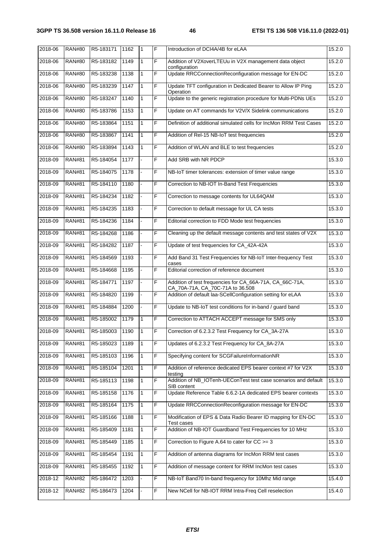| 2018-06<br><b>RAN#80</b><br>F<br>Addition of V2XoverLTEUu in V2X management data object<br>R5-183182<br>1149<br>15.2.0<br>1<br>configuration<br><b>RAN#80</b><br>Update RRCConnectionReconfiguration message for EN-DC<br>2018-06<br>F<br>15.2.0<br>R5-183238<br>1138<br>1<br>2018-06<br><b>RAN#80</b><br>15.2.0<br>R5-183239<br>1147<br>F<br>Update TFT configuration in Dedicated Bearer to Allow IP Ping<br>1<br>Operation<br>2018-06<br><b>RAN#80</b><br>F.<br>R5-183247<br>1140<br>1<br>Update to the generic registration procedure for Multi-PDNs UEs<br>15.2.0<br><b>RAN#80</b><br>F<br>15.2.0<br>2018-06<br>R5-183786<br>1153<br>1<br>Update on AT commands for V2V/X Sidelink communications<br><b>RAN#80</b><br>F<br>Definition of additional simulated cells for IncMon RRM Test Cases<br>15.2.0<br>2018-06<br>R5-183864<br>1151<br>1<br>F<br>2018-06<br><b>RAN#80</b><br>1141<br>15.2.0<br>R5-183867<br>1<br>Addition of Rel-15 NB-IoT test frequencies<br>2018-06<br><b>RAN#80</b><br>F<br>15.2.0<br>R5-183894<br>1143<br>Addition of WLAN and BLE to test frequencies<br>1<br><b>RAN#81</b><br>2018-09<br>R5-184054<br>1177<br>F<br>Add SRB with NR PDCP<br>15.3.0<br>2018-09<br><b>RAN#81</b><br>F<br>R5-184075<br>1178<br>15.3.0<br>NB-IoT timer tolerances: extension of timer value range<br><b>RAN#81</b><br>F<br>2018-09<br>R5-184110<br>1180<br>Correction to NB-IOT In-Band Test Frequencies<br>15.3.0<br><b>RAN#81</b><br>F<br>2018-09<br>R5-184234<br>1182<br>Correction to message contents for UL64QAM<br>15.3.0<br>F<br>2018-09<br><b>RAN#81</b><br>R5-184235<br>1183<br>Correction to default message for UL CA tests<br>15.3.0<br><b>RAN#81</b><br>2018-09<br>F<br>R5-184236<br>1184<br>Editorial correction to FDD Mode test frequencies<br>15.3.0<br>2018-09<br><b>RAN#81</b><br>F<br>R5-184268<br>1186<br>Cleaning up the default message contents and test states of V2X<br>15.3.0<br>2018-09<br><b>RAN#81</b><br>F<br>R5-184282<br>1187<br>Update of test frequencies for CA_42A-42A<br>15.3.0<br><b>RAN#81</b><br>F<br>2018-09<br>R5-184569<br>1193<br>Add Band 31 Test Frequencies for NB-IoT Inter-frequency Test<br>15.3.0<br>cases<br>2018-09<br><b>RAN#81</b><br>1195<br>F<br>Editorial correction of reference document<br>R5-184668<br>15.3.0<br>F<br>2018-09<br><b>RAN#81</b><br>1197<br>Addition of test frequencies for CA_66A-71A, CA_66C-71A,<br>15.3.0<br>R5-184771<br>CA_70A-71A, CA_70C-71A to 36.508<br>2018-09<br><b>RAN#81</b><br>F<br>Addition of default laa-SCellConfiguration setting for eLAA<br>R5-184820<br>1199<br>15.3.0<br><b>RAN#81</b><br>2018-09<br>R5-184884<br>1200<br>F<br>Update to NB-IoT test conditions for in-band / guard band<br>15.3.0<br>F<br>2018-09<br><b>RAN#81</b><br>R5-185002<br>1179<br>1<br>Correction to ATTACH ACCEPT message for SMS only<br>15.3.0<br>F<br><b>RAN#81</b><br>2018-09<br>R5-185003<br>1190<br>1<br>Correction of 6.2.3.2 Test Frequency for CA_3A-27A<br>15.3.0<br>F<br>$2018 - 09$<br><b>RAN#81</b><br>R5-185023<br>Updates of 6.2.3.2 Test Frequency for CA_8A-27A<br>1189<br>1<br>15.3.0<br>F<br>Specifying content for SCGFailureInformationNR<br>2018-09<br><b>RAN#81</b><br>R5-185103<br>1196<br>15.3.0<br>1<br>2018-09<br><b>RAN#81</b><br>R5-185104<br>F<br>Addition of reference dedicated EPS bearer context #7 for V2X<br>15.3.0<br>1201<br>1<br>testing<br>F<br>2018-09<br><b>RAN#81</b><br>R5-185113<br>Addition of NB_IOTenh-UEConTest test case scenarios and default<br>15.3.0<br>1198<br>1<br>SIB content<br><b>RAN#81</b><br>15.3.0<br>2018-09<br>R5-185158<br>1176<br>1<br>F<br>Update Reference Table 6.6.2-1A dedicated EPS bearer contexts<br><b>RAN#81</b><br>1175<br>F<br>15.3.0<br>2018-09<br>R5-185164<br>1<br>Update RRCConnectionReconfiguration message for EN-DC<br>F<br>2018-09<br><b>RAN#81</b><br>R5-185166<br>Modification of EPS & Data Radio Bearer ID mapping for EN-DC<br>15.3.0<br>1188<br>1<br>Test cases<br>2018-09<br><b>RAN#81</b><br>F<br>Addition of NB-IOT Guardband Test Frequencies for 10 MHz<br>15.3.0<br>R5-185409<br>1181<br>1<br>F<br>2018-09<br><b>RAN#81</b><br>R5-185449<br>Correction to Figure A.64 to cater for $CC \ge 3$<br>15.3.0<br>1185<br>1<br>2018-09<br><b>RAN#81</b><br>R5-185454<br>F<br>Addition of antenna diagrams for IncMon RRM test cases<br>15.3.0<br>1191<br>1<br>2018-09<br><b>RAN#81</b><br>F<br>15.3.0<br>R5-185455<br>1192<br>1<br>Addition of message content for RRM IncMon test cases<br>F<br>2018-12<br><b>RAN#82</b><br>1203<br>NB-IoT Band70 In-band frequency for 10Mhz Mid range<br>15.4.0<br>R5-186472<br>F<br>2018-12<br><b>RAN#82</b><br>R5-186473<br>1204<br>New NCell for NB-IOT RRM Intra-Freq Cell reselection<br>15.4.0 | 2018-06 | <b>RAN#80</b> | R5-183171 | 1162 | 1 | F | Introduction of DCI4A/4B for eLAA | 15.2.0 |
|-----------------------------------------------------------------------------------------------------------------------------------------------------------------------------------------------------------------------------------------------------------------------------------------------------------------------------------------------------------------------------------------------------------------------------------------------------------------------------------------------------------------------------------------------------------------------------------------------------------------------------------------------------------------------------------------------------------------------------------------------------------------------------------------------------------------------------------------------------------------------------------------------------------------------------------------------------------------------------------------------------------------------------------------------------------------------------------------------------------------------------------------------------------------------------------------------------------------------------------------------------------------------------------------------------------------------------------------------------------------------------------------------------------------------------------------------------------------------------------------------------------------------------------------------------------------------------------------------------------------------------------------------------------------------------------------------------------------------------------------------------------------------------------------------------------------------------------------------------------------------------------------------------------------------------------------------------------------------------------------------------------------------------------------------------------------------------------------------------------------------------------------------------------------------------------------------------------------------------------------------------------------------------------------------------------------------------------------------------------------------------------------------------------------------------------------------------------------------------------------------------------------------------------------------------------------------------------------------------------------------------------------------------------------------------------------------------------------------------------------------------------------------------------------------------------------------------------------------------------------------------------------------------------------------------------------------------------------------------------------------------------------------------------------------------------------------------------------------------------------------------------------------------------------------------------------------------------------------------------------------------------------------------------------------------------------------------------------------------------------------------------------------------------------------------------------------------------------------------------------------------------------------------------------------------------------------------------------------------------------------------------------------------------------------------------------------------------------------------------------------------------------------------------------------------------------------------------------------------------------------------------------------------------------------------------------------------------------------------------------------------------------------------------------------------------------------------------------------------------------------------------------------------------------------------------------------------------------------------------------------------------------------------------------------------------------------------------------------------------------------------------------------------------------------------------------------------------------------------------------------------------------------------------------------------------------------------------------------------------------------------------------------------------------------------------------------------------------------------------|---------|---------------|-----------|------|---|---|-----------------------------------|--------|
|                                                                                                                                                                                                                                                                                                                                                                                                                                                                                                                                                                                                                                                                                                                                                                                                                                                                                                                                                                                                                                                                                                                                                                                                                                                                                                                                                                                                                                                                                                                                                                                                                                                                                                                                                                                                                                                                                                                                                                                                                                                                                                                                                                                                                                                                                                                                                                                                                                                                                                                                                                                                                                                                                                                                                                                                                                                                                                                                                                                                                                                                                                                                                                                                                                                                                                                                                                                                                                                                                                                                                                                                                                                                                                                                                                                                                                                                                                                                                                                                                                                                                                                                                                                                                                                                                                                                                                                                                                                                                                                                                                                                                                                                                                                                   |         |               |           |      |   |   |                                   |        |
|                                                                                                                                                                                                                                                                                                                                                                                                                                                                                                                                                                                                                                                                                                                                                                                                                                                                                                                                                                                                                                                                                                                                                                                                                                                                                                                                                                                                                                                                                                                                                                                                                                                                                                                                                                                                                                                                                                                                                                                                                                                                                                                                                                                                                                                                                                                                                                                                                                                                                                                                                                                                                                                                                                                                                                                                                                                                                                                                                                                                                                                                                                                                                                                                                                                                                                                                                                                                                                                                                                                                                                                                                                                                                                                                                                                                                                                                                                                                                                                                                                                                                                                                                                                                                                                                                                                                                                                                                                                                                                                                                                                                                                                                                                                                   |         |               |           |      |   |   |                                   |        |
|                                                                                                                                                                                                                                                                                                                                                                                                                                                                                                                                                                                                                                                                                                                                                                                                                                                                                                                                                                                                                                                                                                                                                                                                                                                                                                                                                                                                                                                                                                                                                                                                                                                                                                                                                                                                                                                                                                                                                                                                                                                                                                                                                                                                                                                                                                                                                                                                                                                                                                                                                                                                                                                                                                                                                                                                                                                                                                                                                                                                                                                                                                                                                                                                                                                                                                                                                                                                                                                                                                                                                                                                                                                                                                                                                                                                                                                                                                                                                                                                                                                                                                                                                                                                                                                                                                                                                                                                                                                                                                                                                                                                                                                                                                                                   |         |               |           |      |   |   |                                   |        |
|                                                                                                                                                                                                                                                                                                                                                                                                                                                                                                                                                                                                                                                                                                                                                                                                                                                                                                                                                                                                                                                                                                                                                                                                                                                                                                                                                                                                                                                                                                                                                                                                                                                                                                                                                                                                                                                                                                                                                                                                                                                                                                                                                                                                                                                                                                                                                                                                                                                                                                                                                                                                                                                                                                                                                                                                                                                                                                                                                                                                                                                                                                                                                                                                                                                                                                                                                                                                                                                                                                                                                                                                                                                                                                                                                                                                                                                                                                                                                                                                                                                                                                                                                                                                                                                                                                                                                                                                                                                                                                                                                                                                                                                                                                                                   |         |               |           |      |   |   |                                   |        |
|                                                                                                                                                                                                                                                                                                                                                                                                                                                                                                                                                                                                                                                                                                                                                                                                                                                                                                                                                                                                                                                                                                                                                                                                                                                                                                                                                                                                                                                                                                                                                                                                                                                                                                                                                                                                                                                                                                                                                                                                                                                                                                                                                                                                                                                                                                                                                                                                                                                                                                                                                                                                                                                                                                                                                                                                                                                                                                                                                                                                                                                                                                                                                                                                                                                                                                                                                                                                                                                                                                                                                                                                                                                                                                                                                                                                                                                                                                                                                                                                                                                                                                                                                                                                                                                                                                                                                                                                                                                                                                                                                                                                                                                                                                                                   |         |               |           |      |   |   |                                   |        |
|                                                                                                                                                                                                                                                                                                                                                                                                                                                                                                                                                                                                                                                                                                                                                                                                                                                                                                                                                                                                                                                                                                                                                                                                                                                                                                                                                                                                                                                                                                                                                                                                                                                                                                                                                                                                                                                                                                                                                                                                                                                                                                                                                                                                                                                                                                                                                                                                                                                                                                                                                                                                                                                                                                                                                                                                                                                                                                                                                                                                                                                                                                                                                                                                                                                                                                                                                                                                                                                                                                                                                                                                                                                                                                                                                                                                                                                                                                                                                                                                                                                                                                                                                                                                                                                                                                                                                                                                                                                                                                                                                                                                                                                                                                                                   |         |               |           |      |   |   |                                   |        |
|                                                                                                                                                                                                                                                                                                                                                                                                                                                                                                                                                                                                                                                                                                                                                                                                                                                                                                                                                                                                                                                                                                                                                                                                                                                                                                                                                                                                                                                                                                                                                                                                                                                                                                                                                                                                                                                                                                                                                                                                                                                                                                                                                                                                                                                                                                                                                                                                                                                                                                                                                                                                                                                                                                                                                                                                                                                                                                                                                                                                                                                                                                                                                                                                                                                                                                                                                                                                                                                                                                                                                                                                                                                                                                                                                                                                                                                                                                                                                                                                                                                                                                                                                                                                                                                                                                                                                                                                                                                                                                                                                                                                                                                                                                                                   |         |               |           |      |   |   |                                   |        |
|                                                                                                                                                                                                                                                                                                                                                                                                                                                                                                                                                                                                                                                                                                                                                                                                                                                                                                                                                                                                                                                                                                                                                                                                                                                                                                                                                                                                                                                                                                                                                                                                                                                                                                                                                                                                                                                                                                                                                                                                                                                                                                                                                                                                                                                                                                                                                                                                                                                                                                                                                                                                                                                                                                                                                                                                                                                                                                                                                                                                                                                                                                                                                                                                                                                                                                                                                                                                                                                                                                                                                                                                                                                                                                                                                                                                                                                                                                                                                                                                                                                                                                                                                                                                                                                                                                                                                                                                                                                                                                                                                                                                                                                                                                                                   |         |               |           |      |   |   |                                   |        |
|                                                                                                                                                                                                                                                                                                                                                                                                                                                                                                                                                                                                                                                                                                                                                                                                                                                                                                                                                                                                                                                                                                                                                                                                                                                                                                                                                                                                                                                                                                                                                                                                                                                                                                                                                                                                                                                                                                                                                                                                                                                                                                                                                                                                                                                                                                                                                                                                                                                                                                                                                                                                                                                                                                                                                                                                                                                                                                                                                                                                                                                                                                                                                                                                                                                                                                                                                                                                                                                                                                                                                                                                                                                                                                                                                                                                                                                                                                                                                                                                                                                                                                                                                                                                                                                                                                                                                                                                                                                                                                                                                                                                                                                                                                                                   |         |               |           |      |   |   |                                   |        |
|                                                                                                                                                                                                                                                                                                                                                                                                                                                                                                                                                                                                                                                                                                                                                                                                                                                                                                                                                                                                                                                                                                                                                                                                                                                                                                                                                                                                                                                                                                                                                                                                                                                                                                                                                                                                                                                                                                                                                                                                                                                                                                                                                                                                                                                                                                                                                                                                                                                                                                                                                                                                                                                                                                                                                                                                                                                                                                                                                                                                                                                                                                                                                                                                                                                                                                                                                                                                                                                                                                                                                                                                                                                                                                                                                                                                                                                                                                                                                                                                                                                                                                                                                                                                                                                                                                                                                                                                                                                                                                                                                                                                                                                                                                                                   |         |               |           |      |   |   |                                   |        |
|                                                                                                                                                                                                                                                                                                                                                                                                                                                                                                                                                                                                                                                                                                                                                                                                                                                                                                                                                                                                                                                                                                                                                                                                                                                                                                                                                                                                                                                                                                                                                                                                                                                                                                                                                                                                                                                                                                                                                                                                                                                                                                                                                                                                                                                                                                                                                                                                                                                                                                                                                                                                                                                                                                                                                                                                                                                                                                                                                                                                                                                                                                                                                                                                                                                                                                                                                                                                                                                                                                                                                                                                                                                                                                                                                                                                                                                                                                                                                                                                                                                                                                                                                                                                                                                                                                                                                                                                                                                                                                                                                                                                                                                                                                                                   |         |               |           |      |   |   |                                   |        |
|                                                                                                                                                                                                                                                                                                                                                                                                                                                                                                                                                                                                                                                                                                                                                                                                                                                                                                                                                                                                                                                                                                                                                                                                                                                                                                                                                                                                                                                                                                                                                                                                                                                                                                                                                                                                                                                                                                                                                                                                                                                                                                                                                                                                                                                                                                                                                                                                                                                                                                                                                                                                                                                                                                                                                                                                                                                                                                                                                                                                                                                                                                                                                                                                                                                                                                                                                                                                                                                                                                                                                                                                                                                                                                                                                                                                                                                                                                                                                                                                                                                                                                                                                                                                                                                                                                                                                                                                                                                                                                                                                                                                                                                                                                                                   |         |               |           |      |   |   |                                   |        |
|                                                                                                                                                                                                                                                                                                                                                                                                                                                                                                                                                                                                                                                                                                                                                                                                                                                                                                                                                                                                                                                                                                                                                                                                                                                                                                                                                                                                                                                                                                                                                                                                                                                                                                                                                                                                                                                                                                                                                                                                                                                                                                                                                                                                                                                                                                                                                                                                                                                                                                                                                                                                                                                                                                                                                                                                                                                                                                                                                                                                                                                                                                                                                                                                                                                                                                                                                                                                                                                                                                                                                                                                                                                                                                                                                                                                                                                                                                                                                                                                                                                                                                                                                                                                                                                                                                                                                                                                                                                                                                                                                                                                                                                                                                                                   |         |               |           |      |   |   |                                   |        |
|                                                                                                                                                                                                                                                                                                                                                                                                                                                                                                                                                                                                                                                                                                                                                                                                                                                                                                                                                                                                                                                                                                                                                                                                                                                                                                                                                                                                                                                                                                                                                                                                                                                                                                                                                                                                                                                                                                                                                                                                                                                                                                                                                                                                                                                                                                                                                                                                                                                                                                                                                                                                                                                                                                                                                                                                                                                                                                                                                                                                                                                                                                                                                                                                                                                                                                                                                                                                                                                                                                                                                                                                                                                                                                                                                                                                                                                                                                                                                                                                                                                                                                                                                                                                                                                                                                                                                                                                                                                                                                                                                                                                                                                                                                                                   |         |               |           |      |   |   |                                   |        |
|                                                                                                                                                                                                                                                                                                                                                                                                                                                                                                                                                                                                                                                                                                                                                                                                                                                                                                                                                                                                                                                                                                                                                                                                                                                                                                                                                                                                                                                                                                                                                                                                                                                                                                                                                                                                                                                                                                                                                                                                                                                                                                                                                                                                                                                                                                                                                                                                                                                                                                                                                                                                                                                                                                                                                                                                                                                                                                                                                                                                                                                                                                                                                                                                                                                                                                                                                                                                                                                                                                                                                                                                                                                                                                                                                                                                                                                                                                                                                                                                                                                                                                                                                                                                                                                                                                                                                                                                                                                                                                                                                                                                                                                                                                                                   |         |               |           |      |   |   |                                   |        |
|                                                                                                                                                                                                                                                                                                                                                                                                                                                                                                                                                                                                                                                                                                                                                                                                                                                                                                                                                                                                                                                                                                                                                                                                                                                                                                                                                                                                                                                                                                                                                                                                                                                                                                                                                                                                                                                                                                                                                                                                                                                                                                                                                                                                                                                                                                                                                                                                                                                                                                                                                                                                                                                                                                                                                                                                                                                                                                                                                                                                                                                                                                                                                                                                                                                                                                                                                                                                                                                                                                                                                                                                                                                                                                                                                                                                                                                                                                                                                                                                                                                                                                                                                                                                                                                                                                                                                                                                                                                                                                                                                                                                                                                                                                                                   |         |               |           |      |   |   |                                   |        |
|                                                                                                                                                                                                                                                                                                                                                                                                                                                                                                                                                                                                                                                                                                                                                                                                                                                                                                                                                                                                                                                                                                                                                                                                                                                                                                                                                                                                                                                                                                                                                                                                                                                                                                                                                                                                                                                                                                                                                                                                                                                                                                                                                                                                                                                                                                                                                                                                                                                                                                                                                                                                                                                                                                                                                                                                                                                                                                                                                                                                                                                                                                                                                                                                                                                                                                                                                                                                                                                                                                                                                                                                                                                                                                                                                                                                                                                                                                                                                                                                                                                                                                                                                                                                                                                                                                                                                                                                                                                                                                                                                                                                                                                                                                                                   |         |               |           |      |   |   |                                   |        |
|                                                                                                                                                                                                                                                                                                                                                                                                                                                                                                                                                                                                                                                                                                                                                                                                                                                                                                                                                                                                                                                                                                                                                                                                                                                                                                                                                                                                                                                                                                                                                                                                                                                                                                                                                                                                                                                                                                                                                                                                                                                                                                                                                                                                                                                                                                                                                                                                                                                                                                                                                                                                                                                                                                                                                                                                                                                                                                                                                                                                                                                                                                                                                                                                                                                                                                                                                                                                                                                                                                                                                                                                                                                                                                                                                                                                                                                                                                                                                                                                                                                                                                                                                                                                                                                                                                                                                                                                                                                                                                                                                                                                                                                                                                                                   |         |               |           |      |   |   |                                   |        |
|                                                                                                                                                                                                                                                                                                                                                                                                                                                                                                                                                                                                                                                                                                                                                                                                                                                                                                                                                                                                                                                                                                                                                                                                                                                                                                                                                                                                                                                                                                                                                                                                                                                                                                                                                                                                                                                                                                                                                                                                                                                                                                                                                                                                                                                                                                                                                                                                                                                                                                                                                                                                                                                                                                                                                                                                                                                                                                                                                                                                                                                                                                                                                                                                                                                                                                                                                                                                                                                                                                                                                                                                                                                                                                                                                                                                                                                                                                                                                                                                                                                                                                                                                                                                                                                                                                                                                                                                                                                                                                                                                                                                                                                                                                                                   |         |               |           |      |   |   |                                   |        |
|                                                                                                                                                                                                                                                                                                                                                                                                                                                                                                                                                                                                                                                                                                                                                                                                                                                                                                                                                                                                                                                                                                                                                                                                                                                                                                                                                                                                                                                                                                                                                                                                                                                                                                                                                                                                                                                                                                                                                                                                                                                                                                                                                                                                                                                                                                                                                                                                                                                                                                                                                                                                                                                                                                                                                                                                                                                                                                                                                                                                                                                                                                                                                                                                                                                                                                                                                                                                                                                                                                                                                                                                                                                                                                                                                                                                                                                                                                                                                                                                                                                                                                                                                                                                                                                                                                                                                                                                                                                                                                                                                                                                                                                                                                                                   |         |               |           |      |   |   |                                   |        |
|                                                                                                                                                                                                                                                                                                                                                                                                                                                                                                                                                                                                                                                                                                                                                                                                                                                                                                                                                                                                                                                                                                                                                                                                                                                                                                                                                                                                                                                                                                                                                                                                                                                                                                                                                                                                                                                                                                                                                                                                                                                                                                                                                                                                                                                                                                                                                                                                                                                                                                                                                                                                                                                                                                                                                                                                                                                                                                                                                                                                                                                                                                                                                                                                                                                                                                                                                                                                                                                                                                                                                                                                                                                                                                                                                                                                                                                                                                                                                                                                                                                                                                                                                                                                                                                                                                                                                                                                                                                                                                                                                                                                                                                                                                                                   |         |               |           |      |   |   |                                   |        |
|                                                                                                                                                                                                                                                                                                                                                                                                                                                                                                                                                                                                                                                                                                                                                                                                                                                                                                                                                                                                                                                                                                                                                                                                                                                                                                                                                                                                                                                                                                                                                                                                                                                                                                                                                                                                                                                                                                                                                                                                                                                                                                                                                                                                                                                                                                                                                                                                                                                                                                                                                                                                                                                                                                                                                                                                                                                                                                                                                                                                                                                                                                                                                                                                                                                                                                                                                                                                                                                                                                                                                                                                                                                                                                                                                                                                                                                                                                                                                                                                                                                                                                                                                                                                                                                                                                                                                                                                                                                                                                                                                                                                                                                                                                                                   |         |               |           |      |   |   |                                   |        |
|                                                                                                                                                                                                                                                                                                                                                                                                                                                                                                                                                                                                                                                                                                                                                                                                                                                                                                                                                                                                                                                                                                                                                                                                                                                                                                                                                                                                                                                                                                                                                                                                                                                                                                                                                                                                                                                                                                                                                                                                                                                                                                                                                                                                                                                                                                                                                                                                                                                                                                                                                                                                                                                                                                                                                                                                                                                                                                                                                                                                                                                                                                                                                                                                                                                                                                                                                                                                                                                                                                                                                                                                                                                                                                                                                                                                                                                                                                                                                                                                                                                                                                                                                                                                                                                                                                                                                                                                                                                                                                                                                                                                                                                                                                                                   |         |               |           |      |   |   |                                   |        |
|                                                                                                                                                                                                                                                                                                                                                                                                                                                                                                                                                                                                                                                                                                                                                                                                                                                                                                                                                                                                                                                                                                                                                                                                                                                                                                                                                                                                                                                                                                                                                                                                                                                                                                                                                                                                                                                                                                                                                                                                                                                                                                                                                                                                                                                                                                                                                                                                                                                                                                                                                                                                                                                                                                                                                                                                                                                                                                                                                                                                                                                                                                                                                                                                                                                                                                                                                                                                                                                                                                                                                                                                                                                                                                                                                                                                                                                                                                                                                                                                                                                                                                                                                                                                                                                                                                                                                                                                                                                                                                                                                                                                                                                                                                                                   |         |               |           |      |   |   |                                   |        |
|                                                                                                                                                                                                                                                                                                                                                                                                                                                                                                                                                                                                                                                                                                                                                                                                                                                                                                                                                                                                                                                                                                                                                                                                                                                                                                                                                                                                                                                                                                                                                                                                                                                                                                                                                                                                                                                                                                                                                                                                                                                                                                                                                                                                                                                                                                                                                                                                                                                                                                                                                                                                                                                                                                                                                                                                                                                                                                                                                                                                                                                                                                                                                                                                                                                                                                                                                                                                                                                                                                                                                                                                                                                                                                                                                                                                                                                                                                                                                                                                                                                                                                                                                                                                                                                                                                                                                                                                                                                                                                                                                                                                                                                                                                                                   |         |               |           |      |   |   |                                   |        |
|                                                                                                                                                                                                                                                                                                                                                                                                                                                                                                                                                                                                                                                                                                                                                                                                                                                                                                                                                                                                                                                                                                                                                                                                                                                                                                                                                                                                                                                                                                                                                                                                                                                                                                                                                                                                                                                                                                                                                                                                                                                                                                                                                                                                                                                                                                                                                                                                                                                                                                                                                                                                                                                                                                                                                                                                                                                                                                                                                                                                                                                                                                                                                                                                                                                                                                                                                                                                                                                                                                                                                                                                                                                                                                                                                                                                                                                                                                                                                                                                                                                                                                                                                                                                                                                                                                                                                                                                                                                                                                                                                                                                                                                                                                                                   |         |               |           |      |   |   |                                   |        |
|                                                                                                                                                                                                                                                                                                                                                                                                                                                                                                                                                                                                                                                                                                                                                                                                                                                                                                                                                                                                                                                                                                                                                                                                                                                                                                                                                                                                                                                                                                                                                                                                                                                                                                                                                                                                                                                                                                                                                                                                                                                                                                                                                                                                                                                                                                                                                                                                                                                                                                                                                                                                                                                                                                                                                                                                                                                                                                                                                                                                                                                                                                                                                                                                                                                                                                                                                                                                                                                                                                                                                                                                                                                                                                                                                                                                                                                                                                                                                                                                                                                                                                                                                                                                                                                                                                                                                                                                                                                                                                                                                                                                                                                                                                                                   |         |               |           |      |   |   |                                   |        |
|                                                                                                                                                                                                                                                                                                                                                                                                                                                                                                                                                                                                                                                                                                                                                                                                                                                                                                                                                                                                                                                                                                                                                                                                                                                                                                                                                                                                                                                                                                                                                                                                                                                                                                                                                                                                                                                                                                                                                                                                                                                                                                                                                                                                                                                                                                                                                                                                                                                                                                                                                                                                                                                                                                                                                                                                                                                                                                                                                                                                                                                                                                                                                                                                                                                                                                                                                                                                                                                                                                                                                                                                                                                                                                                                                                                                                                                                                                                                                                                                                                                                                                                                                                                                                                                                                                                                                                                                                                                                                                                                                                                                                                                                                                                                   |         |               |           |      |   |   |                                   |        |
|                                                                                                                                                                                                                                                                                                                                                                                                                                                                                                                                                                                                                                                                                                                                                                                                                                                                                                                                                                                                                                                                                                                                                                                                                                                                                                                                                                                                                                                                                                                                                                                                                                                                                                                                                                                                                                                                                                                                                                                                                                                                                                                                                                                                                                                                                                                                                                                                                                                                                                                                                                                                                                                                                                                                                                                                                                                                                                                                                                                                                                                                                                                                                                                                                                                                                                                                                                                                                                                                                                                                                                                                                                                                                                                                                                                                                                                                                                                                                                                                                                                                                                                                                                                                                                                                                                                                                                                                                                                                                                                                                                                                                                                                                                                                   |         |               |           |      |   |   |                                   |        |
|                                                                                                                                                                                                                                                                                                                                                                                                                                                                                                                                                                                                                                                                                                                                                                                                                                                                                                                                                                                                                                                                                                                                                                                                                                                                                                                                                                                                                                                                                                                                                                                                                                                                                                                                                                                                                                                                                                                                                                                                                                                                                                                                                                                                                                                                                                                                                                                                                                                                                                                                                                                                                                                                                                                                                                                                                                                                                                                                                                                                                                                                                                                                                                                                                                                                                                                                                                                                                                                                                                                                                                                                                                                                                                                                                                                                                                                                                                                                                                                                                                                                                                                                                                                                                                                                                                                                                                                                                                                                                                                                                                                                                                                                                                                                   |         |               |           |      |   |   |                                   |        |
|                                                                                                                                                                                                                                                                                                                                                                                                                                                                                                                                                                                                                                                                                                                                                                                                                                                                                                                                                                                                                                                                                                                                                                                                                                                                                                                                                                                                                                                                                                                                                                                                                                                                                                                                                                                                                                                                                                                                                                                                                                                                                                                                                                                                                                                                                                                                                                                                                                                                                                                                                                                                                                                                                                                                                                                                                                                                                                                                                                                                                                                                                                                                                                                                                                                                                                                                                                                                                                                                                                                                                                                                                                                                                                                                                                                                                                                                                                                                                                                                                                                                                                                                                                                                                                                                                                                                                                                                                                                                                                                                                                                                                                                                                                                                   |         |               |           |      |   |   |                                   |        |
|                                                                                                                                                                                                                                                                                                                                                                                                                                                                                                                                                                                                                                                                                                                                                                                                                                                                                                                                                                                                                                                                                                                                                                                                                                                                                                                                                                                                                                                                                                                                                                                                                                                                                                                                                                                                                                                                                                                                                                                                                                                                                                                                                                                                                                                                                                                                                                                                                                                                                                                                                                                                                                                                                                                                                                                                                                                                                                                                                                                                                                                                                                                                                                                                                                                                                                                                                                                                                                                                                                                                                                                                                                                                                                                                                                                                                                                                                                                                                                                                                                                                                                                                                                                                                                                                                                                                                                                                                                                                                                                                                                                                                                                                                                                                   |         |               |           |      |   |   |                                   |        |
|                                                                                                                                                                                                                                                                                                                                                                                                                                                                                                                                                                                                                                                                                                                                                                                                                                                                                                                                                                                                                                                                                                                                                                                                                                                                                                                                                                                                                                                                                                                                                                                                                                                                                                                                                                                                                                                                                                                                                                                                                                                                                                                                                                                                                                                                                                                                                                                                                                                                                                                                                                                                                                                                                                                                                                                                                                                                                                                                                                                                                                                                                                                                                                                                                                                                                                                                                                                                                                                                                                                                                                                                                                                                                                                                                                                                                                                                                                                                                                                                                                                                                                                                                                                                                                                                                                                                                                                                                                                                                                                                                                                                                                                                                                                                   |         |               |           |      |   |   |                                   |        |
|                                                                                                                                                                                                                                                                                                                                                                                                                                                                                                                                                                                                                                                                                                                                                                                                                                                                                                                                                                                                                                                                                                                                                                                                                                                                                                                                                                                                                                                                                                                                                                                                                                                                                                                                                                                                                                                                                                                                                                                                                                                                                                                                                                                                                                                                                                                                                                                                                                                                                                                                                                                                                                                                                                                                                                                                                                                                                                                                                                                                                                                                                                                                                                                                                                                                                                                                                                                                                                                                                                                                                                                                                                                                                                                                                                                                                                                                                                                                                                                                                                                                                                                                                                                                                                                                                                                                                                                                                                                                                                                                                                                                                                                                                                                                   |         |               |           |      |   |   |                                   |        |
|                                                                                                                                                                                                                                                                                                                                                                                                                                                                                                                                                                                                                                                                                                                                                                                                                                                                                                                                                                                                                                                                                                                                                                                                                                                                                                                                                                                                                                                                                                                                                                                                                                                                                                                                                                                                                                                                                                                                                                                                                                                                                                                                                                                                                                                                                                                                                                                                                                                                                                                                                                                                                                                                                                                                                                                                                                                                                                                                                                                                                                                                                                                                                                                                                                                                                                                                                                                                                                                                                                                                                                                                                                                                                                                                                                                                                                                                                                                                                                                                                                                                                                                                                                                                                                                                                                                                                                                                                                                                                                                                                                                                                                                                                                                                   |         |               |           |      |   |   |                                   |        |
|                                                                                                                                                                                                                                                                                                                                                                                                                                                                                                                                                                                                                                                                                                                                                                                                                                                                                                                                                                                                                                                                                                                                                                                                                                                                                                                                                                                                                                                                                                                                                                                                                                                                                                                                                                                                                                                                                                                                                                                                                                                                                                                                                                                                                                                                                                                                                                                                                                                                                                                                                                                                                                                                                                                                                                                                                                                                                                                                                                                                                                                                                                                                                                                                                                                                                                                                                                                                                                                                                                                                                                                                                                                                                                                                                                                                                                                                                                                                                                                                                                                                                                                                                                                                                                                                                                                                                                                                                                                                                                                                                                                                                                                                                                                                   |         |               |           |      |   |   |                                   |        |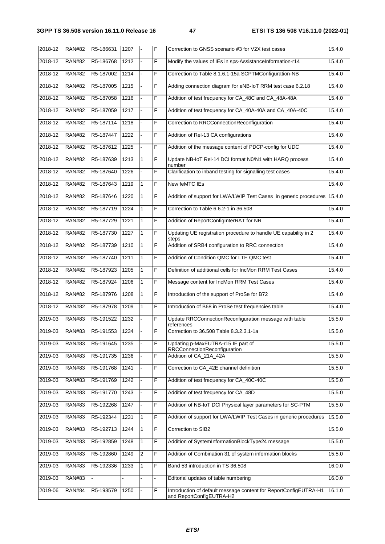| 2018-12     | <b>RAN#82</b> | R5-186631 | 1207 |                | F              | Correction to GNSS scenario #3 for V2X test cases                                            | 15.4.0 |
|-------------|---------------|-----------|------|----------------|----------------|----------------------------------------------------------------------------------------------|--------|
| 2018-12     | <b>RAN#82</b> | R5-186768 | 1212 |                | F              | Modify the values of IEs in sps-AssistanceInformation-r14                                    | 15.4.0 |
| 2018-12     | <b>RAN#82</b> | R5-187002 | 1214 |                | F              | Correction to Table 8.1.6.1-15a SCPTMConfiguration-NB                                        | 15.4.0 |
| $2018 - 12$ | <b>RAN#82</b> | R5-187005 | 1215 |                | F              | Adding connection diagram for eNB-IoT RRM test case 6.2.18                                   | 15.4.0 |
| 2018-12     | <b>RAN#82</b> | R5-187058 | 1216 |                | F              | Addition of test frequency for CA_48C and CA_48A-48A                                         | 15.4.0 |
| 2018-12     | <b>RAN#82</b> | R5-187059 | 1217 |                | F              | Addition of test frequency for CA_40A-40A and CA_40A-40C                                     | 15.4.0 |
| 2018-12     | <b>RAN#82</b> | R5-187114 | 1218 |                | F              | Correction to RRCConnectionReconfiguration                                                   | 15.4.0 |
| 2018-12     | <b>RAN#82</b> | R5-187447 | 1222 |                | F              | Addition of Rel-13 CA configurations                                                         | 15.4.0 |
| $2018 - 12$ | <b>RAN#82</b> | R5-187612 | 1225 |                | F              | Addition of the message content of PDCP-config for UDC                                       | 15.4.0 |
| 2018-12     | <b>RAN#82</b> | R5-187639 | 1213 | $\mathbf{1}$   | F              | Update NB-IoT Rel-14 DCI format N0/N1 with HARQ process<br>number                            | 15.4.0 |
| 2018-12     | <b>RAN#82</b> | R5-187640 | 1226 |                | F              | Clarification to inband testing for signalling test cases                                    | 15.4.0 |
| 2018-12     | <b>RAN#82</b> | R5-187643 | 1219 |                | F              | New feMTC IEs                                                                                | 15.4.0 |
| 2018-12     | <b>RAN#82</b> | R5-187646 | 1220 | 1              | F              | Addition of support for LWA/LWIP Test Cases in generic procedures                            | 15.4.0 |
| 2018-12     | <b>RAN#82</b> | R5-187719 | 1224 | $\mathbf{1}$   | F              | Correction to Table 6.6.2-1 in 36.508                                                        | 15.4.0 |
| 2018-12     | <b>RAN#82</b> | R5-187729 | 1221 | $\mathbf{1}$   | F              | Addition of ReportConfigInterRAT for NR                                                      | 15.4.0 |
| 2018-12     | <b>RAN#82</b> | R5-187730 | 1227 | $\mathbf{1}$   | F              | Updating UE registration procedure to handle UE capability in 2<br>steps                     | 15.4.0 |
| 2018-12     | <b>RAN#82</b> | R5-187739 | 1210 | $\mathbf{1}$   | F              | Addition of SRB4 configuration to RRC connection                                             | 15.4.0 |
| 2018-12     | <b>RAN#82</b> | R5-187740 | 1211 | 1              | F              | Addition of Condition QMC for LTE QMC test                                                   | 15.4.0 |
| 2018-12     | <b>RAN#82</b> | R5-187923 | 1205 | 1              | F              | Definition of additional cells for IncMon RRM Test Cases                                     | 15.4.0 |
| 2018-12     | <b>RAN#82</b> | R5-187924 | 1206 | 1              | F              | Message content for IncMon RRM Test Cases                                                    | 15.4.0 |
| 2018-12     | <b>RAN#82</b> | R5-187976 | 1208 | $\mathbf{1}$   | F              | Introduction of the support of ProSe for B72                                                 | 15.4.0 |
| 2018-12     | <b>RAN#82</b> | R5-187978 | 1209 | $\mathbf{1}$   | F              | Introduction of B68 in ProSe test frequencies table                                          | 15.4.0 |
| 2019-03     | <b>RAN#83</b> | R5-191522 | 1232 |                | F              | Update RRCConnectionReconfiguration message with table<br>references                         | 15.5.0 |
| 2019-03     | <b>RAN#83</b> | R5-191553 | 1234 |                | F              | Correction to 36.508 Table 8.3.2.3.1-1a                                                      | 15.5.0 |
| 2019-03     | <b>RAN#83</b> | R5-191645 | 1235 |                | F              | Updating p-MaxEUTRA-r15 IE part of<br>RRCConnectionReconfiguration                           | 15.5.0 |
| 2019-03     | <b>RAN#83</b> | R5-191735 | 1236 |                | F              | Addition of CA 21A 42A                                                                       | 15.5.0 |
| 2019-03     | <b>RAN#83</b> | R5-191768 | 1241 |                | F              | Correction to CA_42E channel definition                                                      | 15.5.0 |
| 2019-03     | <b>RAN#83</b> | R5-191769 | 1242 |                | F              | Addition of test frequency for CA_40C-40C                                                    | 15.5.0 |
| 2019-03     | <b>RAN#83</b> | R5-191770 | 1243 |                | F              | Addition of test frequency for CA_48D                                                        | 15.5.0 |
| 2019-03     | <b>RAN#83</b> | R5-192268 | 1247 |                | F              | Addition of NB-IoT DCI Physical layer parameters for SC-PTM                                  | 15.5.0 |
| 2019-03     | <b>RAN#83</b> | R5-192344 | 1231 | 1              | $\overline{F}$ | Addition of support for LWA/LWIP Test Cases in generic procedures                            | 15.5.0 |
| 2019-03     | <b>RAN#83</b> | R5-192713 | 1244 | 1              | F              | Correction to SIB2                                                                           | 15.5.0 |
| 2019-03     | <b>RAN#83</b> | R5-192859 | 1248 | 1              | F              | Addition of SystemInformationBlockType24 message                                             | 15.5.0 |
| 2019-03     | <b>RAN#83</b> | R5-192860 | 1249 | $\overline{2}$ | F              | Addition of Combination 31 of system information blocks                                      | 15.5.0 |
| 2019-03     | <b>RAN#83</b> | R5-192336 | 1233 | $\mathbf{1}$   | F              | Band 53 introduction in TS 36.508                                                            | 16.0.0 |
| 2019-03     | <b>RAN#83</b> |           |      |                |                | Editorial updates of table numbering                                                         | 16.0.0 |
| 2019-06     | <b>RAN#84</b> | R5-193579 | 1250 |                | F              | Introduction of default message content for ReportConfigEUTRA-H1<br>and ReportConfigEUTRA-H2 | 16.1.0 |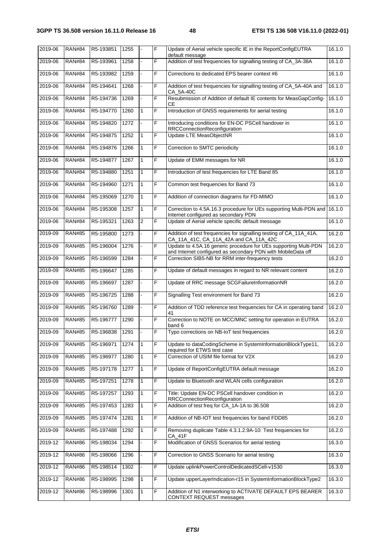| $2019 - 06$ | <b>RAN#84</b> | R5-193851 | 1255 |                | F | Update of Aerial vehicle specific IE in the ReportConfigEUTRA<br>default message                                                 | 16.1.0 |
|-------------|---------------|-----------|------|----------------|---|----------------------------------------------------------------------------------------------------------------------------------|--------|
| 2019-06     | <b>RAN#84</b> | R5-193961 | 1258 |                | F | Addition of test frequencies for signalling testing of CA_3A-38A                                                                 | 16.1.0 |
| 2019-06     | <b>RAN#84</b> | R5-193982 | 1259 |                | F | Corrections to dedicated EPS bearer context #6                                                                                   | 16.1.0 |
| 2019-06     | <b>RAN#84</b> | R5-194641 | 1268 |                | F | Addition of test frequencies for signalling testing of CA_5A-40A and<br>CA_5A-40C                                                | 16.1.0 |
| 2019-06     | <b>RAN#84</b> | R5-194736 | 1269 |                | F | Resubmission of Addition of default IE contents for MeasGapConfig-<br>СE                                                         | 16.1.0 |
| 2019-06     | <b>RAN#84</b> | R5-194770 | 1260 | 1              | F | Introduction of GNSS requirements for aerial testing                                                                             | 16.1.0 |
| 2019-06     | <b>RAN#84</b> | R5-194820 | 1272 |                | F | Introducing conditions for EN-DC PSCell handover in<br>RRCConnectionReconfiguration                                              | 16.1.0 |
| 2019-06     | <b>RAN#84</b> | R5-194875 | 1252 | $\mathbf{1}$   | F | Update LTE MeasObjectNR                                                                                                          | 16.1.0 |
| 2019-06     | <b>RAN#84</b> | R5-194876 | 1266 | $\mathbf{1}$   | F | Correction to SMTC periodicity                                                                                                   | 16.1.0 |
| 2019-06     | <b>RAN#84</b> | R5-194877 | 1267 | $\mathbf{1}$   | F | Update of EMM messages for NR                                                                                                    | 16.1.0 |
| 2019-06     | <b>RAN#84</b> | R5-194880 | 1251 | 1              | F | Introduction of test frequencies for LTE Band 85                                                                                 | 16.1.0 |
| 2019-06     | <b>RAN#84</b> | R5-194960 | 1271 | 1              | F | Common test frequencies for Band 73                                                                                              | 16.1.0 |
| 2019-06     | <b>RAN#84</b> | R5-195069 | 1270 | 1              | F | Addition of connection diagrams for FD-MIMO                                                                                      | 16.1.0 |
| 2019-06     | <b>RAN#84</b> | R5-195308 | 1257 | 1              | F | Correction to 4.5A.16.3 procedure for UEs supporting Multi-PDN and<br>Internet configured as secondary PDN                       | 16.1.0 |
| 2019-06     | <b>RAN#84</b> | R5-195321 | 1263 | $\overline{2}$ | F | Update of Aerial vehicle specific default message                                                                                | 16.1.0 |
| 2019-09     | <b>RAN#85</b> | R5-195800 | 1273 |                | F | Addition of test frequencies for signalling testing of CA_11A_41A,<br>CA_11A_41C, CA_11A_42A and CA_11A_42C                      | 16.2.0 |
| 2019-09     | <b>RAN#85</b> | R5-196004 | 1276 |                | F | Update to 4.5A.16 generic procedure for UEs supporting Multi-PDN<br>and Internet configured as secondary PDN with MobileData off | 16.2.0 |
| 2019-09     | <b>RAN#85</b> | R5-196599 | 1284 |                | F | Correction SIB5-NB for RRM inter-frequency tests                                                                                 | 16.2.0 |
| 2019-09     | <b>RAN#85</b> | R5-196647 | 1285 |                | F | Update of default messages in regard to NR relevant content                                                                      | 16.2.0 |
| 2019-09     | <b>RAN#85</b> | R5-196697 | 1287 |                | F | Update of RRC message SCGFailureInformationNR                                                                                    | 16.2.0 |
| 2019-09     | <b>RAN#85</b> | R5-196725 | 1288 |                | F | Signalling Test environment for Band 73                                                                                          | 16.2.0 |
| 2019-09     | <b>RAN#85</b> | R5-196760 | 1289 | ÷.             | F | Addition of TDD reference test frequencies for CA in operating band<br>41                                                        | 16.2.0 |
| 2019-09     | <b>RAN#85</b> | R5-196777 | 1290 |                | F | Correction to NOTE on MCC/MNC setting for operation in EUTRA<br>band 6                                                           | 16.2.0 |
| 2019-09     | <b>RAN#85</b> | R5-196838 | 1291 |                | F | Typo corrections on NB-IoT test frequencies                                                                                      | 16.2.0 |
| 2019-09     | <b>RAN#85</b> | R5-196971 | 1274 | 1              | F | Update to dataCodingScheme in SystemInformationBlockType11,<br>required for ETWS test case                                       | 16.2.0 |
| 2019-09     | <b>RAN#85</b> | R5-196977 | 1280 | 1              | F | Correction of USIM file format for V2X                                                                                           | 16.2.0 |
| 2019-09     | <b>RAN#85</b> | R5-197178 | 1277 | 1              | F | Update of ReportConfigEUTRA default message                                                                                      | 16.2.0 |
| 2019-09     | <b>RAN#85</b> | R5-197251 | 1278 | $\mathbf{1}$   | F | Update to Bluetooth and WLAN cells configuration                                                                                 | 16.2.0 |
| 2019-09     | <b>RAN#85</b> | R5-197257 | 1293 | 1              | F | Title: Update EN-DC PSCell handover condition in<br>RRCConnectionReconfiguration                                                 | 16.2.0 |
| 2019-09     | <b>RAN#85</b> | R5-197453 | 1283 | 1              | F | Addition of test freq for CA_1A-1A to 36.508                                                                                     | 16.2.0 |
| 2019-09     | <b>RAN#85</b> | R5-197474 | 1281 | 1              | F | Addition of NB-IOT test frequencies for band FDD85                                                                               | 16.2.0 |
| 2019-09     | <b>RAN#85</b> | R5-197488 | 1292 | 1              | F | Removing duplicate Table 4.3.1.2.9A-10: Test frequencies for<br>CA_41F                                                           | 16.2.0 |
| 2019-12     | <b>RAN#86</b> | R5-198034 | 1294 |                | F | Modification of GNSS Scenarios for aerial testing                                                                                | 16.3.0 |
| 2019-12     | <b>RAN#86</b> | R5-198066 | 1296 |                | F | Correction to GNSS Scenario for aerial testing                                                                                   | 16.3.0 |
| 2019-12     | <b>RAN#86</b> | R5-198514 | 1302 |                | F | Update uplinkPowerControlDedicatedSCell-v1530                                                                                    | 16.3.0 |
| 2019-12     | <b>RAN#86</b> | R5-198995 | 1298 | 1              | F | Update upperLayerIndication-r15 in SystemInformationBlockType2                                                                   | 16.3.0 |
| 2019-12     | <b>RAN#86</b> | R5-198996 | 1301 | 1              | F | Addition of N1 interworking to ACTIVATE DEFAULT EPS BEARER<br><b>CONTEXT REQUEST messages</b>                                    | 16.3.0 |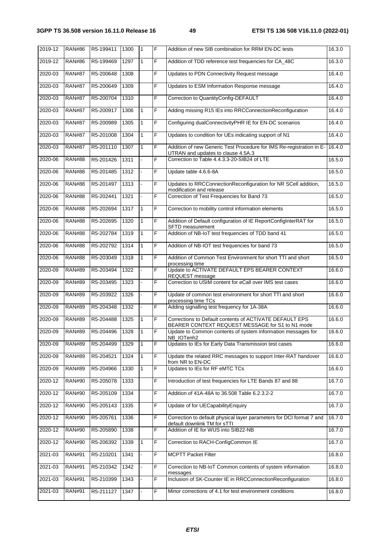| 2019-12 | <b>RAN#86</b> | R5-199411 | 1300 | $\mathbf{1}$ | F | Addition of new SIB combination for RRM EN-DC tests                                                         | 16.3.0 |
|---------|---------------|-----------|------|--------------|---|-------------------------------------------------------------------------------------------------------------|--------|
| 2019-12 | <b>RAN#86</b> | R5-199469 | 1297 | $\mathbf{1}$ | F | Addition of TDD reference test frequencies for CA_48C                                                       | 16.3.0 |
| 2020-03 | <b>RAN#87</b> | R5-200648 | 1308 |              | F | Updates to PDN Connectivity Request message                                                                 | 16.4.0 |
| 2020-03 | <b>RAN#87</b> | R5-200649 | 1309 |              | F | Updates to ESM Information Response message                                                                 | 16.4.0 |
| 2020-03 | <b>RAN#87</b> | R5-200704 | 1310 |              | F | Correction to QuantityConfig-DEFAULT                                                                        | 16.4.0 |
| 2020-03 | <b>RAN#87</b> | R5-200917 | 1306 | 1            | F | Adding missing R15 IEs into RRCConnectionReconfiguration                                                    | 16.4.0 |
| 2020-03 | <b>RAN#87</b> | R5-200989 | 1305 | 1            | F | Configuring dualConnectivityPHR IE for EN-DC scenarios                                                      | 16.4.0 |
| 2020-03 | <b>RAN#87</b> | R5-201008 | 1304 | $\mathbf{1}$ | F | Updates to condition for UEs indicating support of N1                                                       | 16.4.0 |
| 2020-03 | <b>RAN#87</b> | R5-201110 | 1307 | $\mathbf{1}$ | F | Addition of new Generic Test Procedure for IMS Re-registration in E-<br>UTRAN and updates to clause 4.5A.3  | 16.4.0 |
| 2020-06 | <b>RAN#88</b> | R5-201426 | 1311 |              | F | Correction to Table 4.4.3.3-20-SIB24 of LTE                                                                 | 16.5.0 |
| 2020-06 | <b>RAN#88</b> | R5-201485 | 1312 |              | F | Update table 4.6.6-8A                                                                                       | 16.5.0 |
| 2020-06 | <b>RAN#88</b> | R5-201497 | 1313 |              | F | Updates to RRCConnectionReconfiguration for NR SCell addition,<br>modification and release                  | 16.5.0 |
| 2020-06 | <b>RAN#88</b> | R5-202441 | 1321 |              | F | Correction of Test Frequencies for Band 73                                                                  | 16.5.0 |
| 2020-06 | <b>RAN#88</b> | R5-202694 | 1317 | $\mathbf{1}$ | F | Correction to mobility control information elements                                                         | 16.5.0 |
| 2020-06 | <b>RAN#88</b> | R5-202695 | 1320 | $\mathbf{1}$ | F | Addition of Default configuration of IE ReportConfigInterRAT for<br><b>SFTD</b> measurement                 | 16.5.0 |
| 2020-06 | <b>RAN#88</b> | R5-202784 | 1319 | $\mathbf{1}$ | F | Addition of NB-IoT test frequencies of TDD band 41                                                          | 16.5.0 |
| 2020-06 | <b>RAN#88</b> | R5-202792 | 1314 | $\mathbf{1}$ | F | Addition of NB-IOT test frequencies for band 73                                                             | 16.5.0 |
| 2020-06 | <b>RAN#88</b> | R5-203049 | 1318 | 1            | F | Addition of Common Test Environment for short TTI and short<br>processing time                              | 16.5.0 |
| 2020-09 | <b>RAN#89</b> | R5-203494 | 1322 |              | F | Update to ACTIVATE DEFAULT EPS BEARER CONTEXT<br>REQUEST message                                            | 16.6.0 |
| 2020-09 | <b>RAN#89</b> | R5-203495 | 1323 |              | F | Correction to USIM content for eCall over IMS test cases                                                    | 16.6.0 |
| 2020-09 | <b>RAN#89</b> | R5-203922 | 1326 |              | F | Update of common test environment for short TTI and short<br>processing time TCs                            | 16.6.0 |
| 2020-09 | <b>RAN#89</b> | R5-204348 | 1332 |              | F | Adding signalling test frequency for 1A-38A                                                                 | 16.6.0 |
| 2020-09 | <b>RAN#89</b> | R5-204488 | 1325 | 1            | F | Corrections to Default contents of ACTIVATE DEFAULT EPS<br>BEARER CONTEXT REQUEST MESSAGE for S1 to N1 mode | 16.6.0 |
| 2020-09 | <b>RAN#89</b> | R5-204496 | 1328 |              | F | Update to Common contents of system information messages for<br>NB_IOTenh2                                  | 16.6.0 |
| 2020-09 | <b>RAN#89</b> | R5-204499 | 1329 | $\mathbf{1}$ | F | Updates to IEs for Early Data Transmission test cases                                                       | 16.6.0 |
| 2020-09 | <b>RAN#89</b> | R5-204521 | 1324 | $\mathbf{1}$ | F | Update the related RRC messages to support Inter-RAT handover<br>from NR to EN-DC                           | 16.6.0 |
| 2020-09 | <b>RAN#89</b> | R5-204966 | 1330 | 1            | F | Updates to IEs for RF eMTC TCs                                                                              | 16.6.0 |
| 2020-12 | <b>RAN#90</b> | R5-205078 | 1333 |              | F | Introduction of test frequencies for LTE Bands 87 and 88                                                    | 16.7.0 |
| 2020-12 | <b>RAN#90</b> | R5-205109 | 1334 |              | F | Addition of 41A-48A to 36.508 Table 6.2.3.2-2                                                               | 16.7.0 |
| 2020-12 | <b>RAN#90</b> | R5-205143 | 1335 |              | F | Update of for UECapabilityEnquiry                                                                           | 16.7.0 |
| 2020-12 | <b>RAN#90</b> | R5-205761 | 1336 |              | F | Correction to default physical layer parameters for DCI format 7 and<br>default downlink TM for sTTI        | 16.7.0 |
| 2020-12 | <b>RAN#90</b> | R5-205890 | 1338 |              | F | Addition of IE for WUS into SIB22-NB                                                                        | 16.7.0 |
| 2020-12 | <b>RAN#90</b> | R5-206392 | 1339 | 1            | F | Correction to RACH-ConfigCommon IE                                                                          | 16.7.0 |
| 2021-03 | <b>RAN#91</b> | R5-210201 | 1341 |              | F | <b>MCPTT Packet Filter</b>                                                                                  | 16.8.0 |
| 2021-03 | <b>RAN#91</b> | R5-210342 | 1342 |              | F | Correction to NB-IoT Common contents of system information<br>messages                                      | 16.8.0 |
| 2021-03 | <b>RAN#91</b> | R5-210399 | 1343 |              | F | Inclusion of SK-Counter IE in RRCConnectionReconfiguration                                                  | 16.8.0 |
| 2021-03 | <b>RAN#91</b> | R5-211127 | 1347 |              | F | Minor corrections of 4.1 for test environment conditions                                                    | 16.8.0 |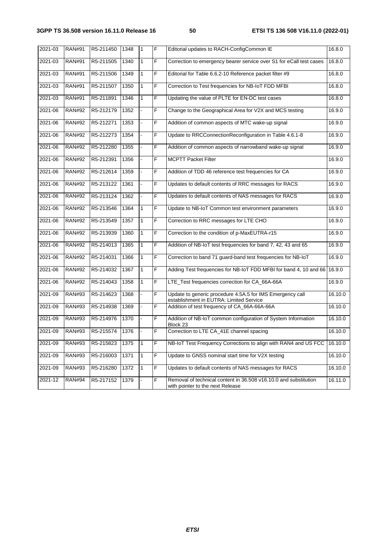| 2021-03 | <b>RAN#91</b> | R5-211450 | 1348 | $\mathbf{1}$ | F | Editorial updates to RACH-ConfigCommon IE                                                            | 16.8.0  |
|---------|---------------|-----------|------|--------------|---|------------------------------------------------------------------------------------------------------|---------|
| 2021-03 | <b>RAN#91</b> | R5-211505 | 1340 | $\mathbf{1}$ | F | Correction to emergency bearer service over S1 for eCall test cases                                  | 16.8.0  |
| 2021-03 | <b>RAN#91</b> | R5-211506 | 1349 | 1            | F | Editorial for Table 6.6.2-10 Reference packet filter #9                                              | 16.8.0  |
| 2021-03 | <b>RAN#91</b> | R5-211507 | 1350 | $\mathbf{1}$ | F | Correction to Test frequencies for NB-IoT FDD MFBI                                                   | 16.8.0  |
| 2021-03 | <b>RAN#91</b> | R5-211891 | 1346 | 1            | F | Updating the value of PLTE for EN-DC test cases                                                      | 16.8.0  |
| 2021-06 | <b>RAN#92</b> | R5-212179 | 1352 |              | F | Change to the Geographical Area for V2X and MCS testing                                              | 16.9.0  |
| 2021-06 | <b>RAN#92</b> | R5-212271 | 1353 |              | F | Addition of common aspects of MTC wake-up signal                                                     | 16.9.0  |
| 2021-06 | <b>RAN#92</b> | R5-212273 | 1354 |              | F | Update to RRCConnectionReconfiguration in Table 4.6.1-8                                              | 16.9.0  |
| 2021-06 | <b>RAN#92</b> | R5-212280 | 1355 |              | F | Addition of common aspects of narrowband wake-up signal                                              | 16.9.0  |
| 2021-06 | <b>RAN#92</b> | R5-212391 | 1356 |              | F | <b>MCPTT Packet Filter</b>                                                                           | 16.9.0  |
| 2021-06 | <b>RAN#92</b> | R5-212614 | 1359 |              | F | Addition of TDD 46 reference test frequencies for CA                                                 | 16.9.0  |
| 2021-06 | <b>RAN#92</b> | R5-213122 | 1361 |              | F | Updates to default contents of RRC messages for RACS                                                 | 16.9.0  |
| 2021-06 | <b>RAN#92</b> | R5-213124 | 1362 |              | F | Updates to default contents of NAS messages for RACS                                                 | 16.9.0  |
| 2021-06 | <b>RAN#92</b> | R5-213546 | 1364 | 1            | F | Update to NB-IoT Common test environment parameters                                                  | 16.9.0  |
| 2021-06 | <b>RAN#92</b> | R5-213549 | 1357 | 1            | F | Correction to RRC messages for LTE CHO                                                               | 16.9.0  |
| 2021-06 | <b>RAN#92</b> | R5-213939 | 1360 | $\mathbf{1}$ | F | Correction to the condition of p-MaxEUTRA-r15                                                        | 16.9.0  |
| 2021-06 | <b>RAN#92</b> | R5-214013 | 1365 | 1            | F | Addition of NB-IoT test frequencies for band 7, 42, 43 and 65                                        | 16.9.0  |
| 2021-06 | <b>RAN#92</b> | R5-214031 | 1366 | 1            | F | Correction to band 71 guard-band test frequencies for NB-IoT                                         | 16.9.0  |
| 2021-06 | <b>RAN#92</b> | R5-214032 | 1367 | 1            | F | Adding Test frequencies for NB-IoT FDD MFBI for band 4, 10 and 66                                    | 16.9.0  |
| 2021-06 | <b>RAN#92</b> | R5-214043 | 1358 | 1            | F | LTE_Test frequencies correction for CA_66A-66A                                                       | 16.9.0  |
| 2021-09 | <b>RAN#93</b> | R5-214623 | 1368 |              | F | Update to generic procedure 4.5A.5 for IMS Emergency call<br>establishment in EUTRA: Limited Service | 16.10.0 |
| 2021-09 | <b>RAN#93</b> | R5-214938 | 1369 | ÷.           | F | Addition of test frequency of CA_66A-66A-66A                                                         | 16.10.0 |
| 2021-09 | <b>RAN#93</b> | R5-214976 | 1370 |              | F | Addition of NB-IoT common configuration of System Information<br>Block 23                            | 16.10.0 |
| 2021-09 | <b>RAN#93</b> | R5-215574 | 1376 |              | F | Correction to LTE CA_41E channel spacing                                                             | 16.10.0 |
| 2021-09 | <b>RAN#93</b> | R5-215823 | 1375 | 1            | F | NB-IoT Test Frequency Corrections to align with RAN4 and US FCC                                      | 16.10.0 |
| 2021-09 | <b>RAN#93</b> | R5-216003 | 1371 | $\mathbf{1}$ | F | Update to GNSS nominal start time for V2X testing                                                    | 16.10.0 |
| 2021-09 | <b>RAN#93</b> | R5-216280 | 1372 | 1            | F | Updates to default contents of NAS messages for RACS                                                 | 16.10.0 |
| 2021-12 | <b>RAN#94</b> | R5-217152 | 1379 |              | F | Removal of technical content in 36.508 v16.10.0 and substitution<br>with pointer to the next Release | 16.11.0 |